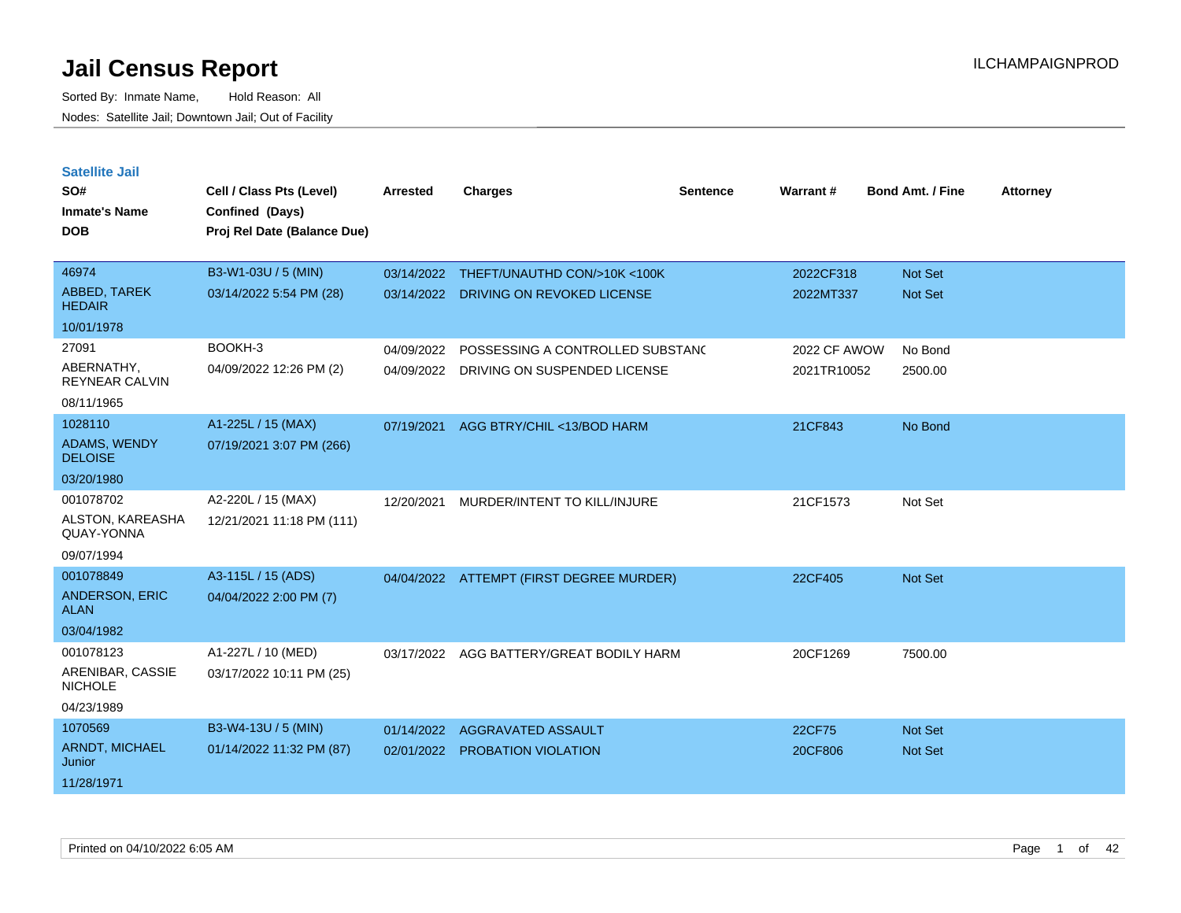| <b>Satellite Jail</b><br>SO#        | Cell / Class Pts (Level)    | <b>Arrested</b> | <b>Charges</b>                           | <b>Sentence</b> | <b>Warrant#</b>     | <b>Bond Amt. / Fine</b> | <b>Attorney</b> |
|-------------------------------------|-----------------------------|-----------------|------------------------------------------|-----------------|---------------------|-------------------------|-----------------|
| <b>Inmate's Name</b>                | Confined (Days)             |                 |                                          |                 |                     |                         |                 |
| <b>DOB</b>                          | Proj Rel Date (Balance Due) |                 |                                          |                 |                     |                         |                 |
|                                     |                             |                 |                                          |                 |                     |                         |                 |
| 46974                               | B3-W1-03U / 5 (MIN)         | 03/14/2022      | THEFT/UNAUTHD CON/>10K <100K             |                 | 2022CF318           | <b>Not Set</b>          |                 |
| ABBED, TAREK<br><b>HEDAIR</b>       | 03/14/2022 5:54 PM (28)     | 03/14/2022      | DRIVING ON REVOKED LICENSE               |                 | 2022MT337           | Not Set                 |                 |
| 10/01/1978                          |                             |                 |                                          |                 |                     |                         |                 |
| 27091                               | BOOKH-3                     | 04/09/2022      | POSSESSING A CONTROLLED SUBSTAND         |                 | <b>2022 CF AWOW</b> | No Bond                 |                 |
| ABERNATHY,<br><b>REYNEAR CALVIN</b> | 04/09/2022 12:26 PM (2)     | 04/09/2022      | DRIVING ON SUSPENDED LICENSE             |                 | 2021TR10052         | 2500.00                 |                 |
| 08/11/1965                          |                             |                 |                                          |                 |                     |                         |                 |
| 1028110                             | A1-225L / 15 (MAX)          | 07/19/2021      | AGG BTRY/CHIL <13/BOD HARM               |                 | 21CF843             | No Bond                 |                 |
| ADAMS, WENDY<br><b>DELOISE</b>      | 07/19/2021 3:07 PM (266)    |                 |                                          |                 |                     |                         |                 |
| 03/20/1980                          |                             |                 |                                          |                 |                     |                         |                 |
| 001078702                           | A2-220L / 15 (MAX)          | 12/20/2021      | MURDER/INTENT TO KILL/INJURE             |                 | 21CF1573            | Not Set                 |                 |
| ALSTON, KAREASHA<br>QUAY-YONNA      | 12/21/2021 11:18 PM (111)   |                 |                                          |                 |                     |                         |                 |
| 09/07/1994                          |                             |                 |                                          |                 |                     |                         |                 |
| 001078849                           | A3-115L / 15 (ADS)          |                 | 04/04/2022 ATTEMPT (FIRST DEGREE MURDER) |                 | 22CF405             | Not Set                 |                 |
| ANDERSON, ERIC<br><b>ALAN</b>       | 04/04/2022 2:00 PM (7)      |                 |                                          |                 |                     |                         |                 |
| 03/04/1982                          |                             |                 |                                          |                 |                     |                         |                 |
| 001078123                           | A1-227L / 10 (MED)          | 03/17/2022      | AGG BATTERY/GREAT BODILY HARM            |                 | 20CF1269            | 7500.00                 |                 |
| ARENIBAR, CASSIE<br><b>NICHOLE</b>  | 03/17/2022 10:11 PM (25)    |                 |                                          |                 |                     |                         |                 |
| 04/23/1989                          |                             |                 |                                          |                 |                     |                         |                 |
| 1070569                             | B3-W4-13U / 5 (MIN)         | 01/14/2022      | AGGRAVATED ASSAULT                       |                 | 22CF75              | Not Set                 |                 |
| ARNDT, MICHAEL<br>Junior            | 01/14/2022 11:32 PM (87)    | 02/01/2022      | PROBATION VIOLATION                      |                 | 20CF806             | Not Set                 |                 |
| 11/28/1971                          |                             |                 |                                          |                 |                     |                         |                 |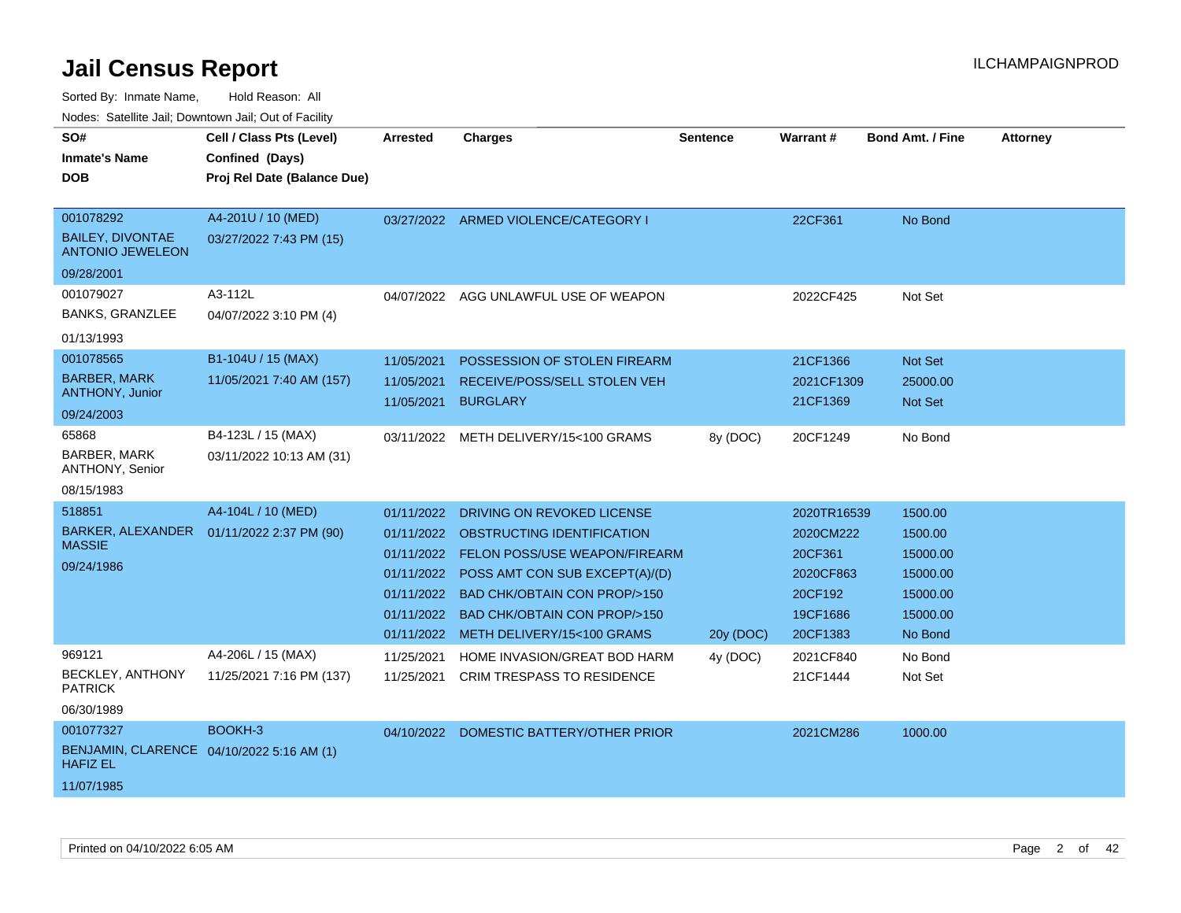Sorted By: Inmate Name, Hold Reason: All

Nodes: Satellite Jail; Downtown Jail; Out of Facility

| SO#                                                          | Cell / Class Pts (Level)                   | <b>Arrested</b> | <b>Charges</b>                           | <b>Sentence</b> | Warrant#    | <b>Bond Amt. / Fine</b> | <b>Attorney</b> |
|--------------------------------------------------------------|--------------------------------------------|-----------------|------------------------------------------|-----------------|-------------|-------------------------|-----------------|
| <b>Inmate's Name</b>                                         | Confined (Days)                            |                 |                                          |                 |             |                         |                 |
| <b>DOB</b>                                                   | Proj Rel Date (Balance Due)                |                 |                                          |                 |             |                         |                 |
|                                                              |                                            |                 |                                          |                 |             |                         |                 |
| 001078292                                                    | A4-201U / 10 (MED)                         |                 | 03/27/2022 ARMED VIOLENCE/CATEGORY I     |                 | 22CF361     | No Bond                 |                 |
| <b>BAILEY, DIVONTAE</b><br><b>ANTONIO JEWELEON</b>           | 03/27/2022 7:43 PM (15)                    |                 |                                          |                 |             |                         |                 |
| 09/28/2001                                                   |                                            |                 |                                          |                 |             |                         |                 |
| 001079027                                                    | A3-112L                                    | 04/07/2022      | AGG UNLAWFUL USE OF WEAPON               |                 | 2022CF425   | Not Set                 |                 |
| <b>BANKS, GRANZLEE</b>                                       | 04/07/2022 3:10 PM (4)                     |                 |                                          |                 |             |                         |                 |
| 01/13/1993                                                   |                                            |                 |                                          |                 |             |                         |                 |
| 001078565                                                    | B1-104U / 15 (MAX)                         | 11/05/2021      | POSSESSION OF STOLEN FIREARM             |                 | 21CF1366    | <b>Not Set</b>          |                 |
| <b>BARBER, MARK</b>                                          | 11/05/2021 7:40 AM (157)                   | 11/05/2021      | RECEIVE/POSS/SELL STOLEN VEH             |                 | 2021CF1309  | 25000.00                |                 |
| <b>ANTHONY, Junior</b>                                       |                                            | 11/05/2021      | <b>BURGLARY</b>                          |                 | 21CF1369    | <b>Not Set</b>          |                 |
| 09/24/2003                                                   |                                            |                 |                                          |                 |             |                         |                 |
| 65868                                                        | B4-123L / 15 (MAX)                         |                 | 03/11/2022 METH DELIVERY/15<100 GRAMS    | 8y (DOC)        | 20CF1249    | No Bond                 |                 |
| <b>BARBER, MARK</b><br>ANTHONY, Senior                       | 03/11/2022 10:13 AM (31)                   |                 |                                          |                 |             |                         |                 |
| 08/15/1983                                                   |                                            |                 |                                          |                 |             |                         |                 |
| 518851                                                       | A4-104L / 10 (MED)                         | 01/11/2022      | DRIVING ON REVOKED LICENSE               |                 | 2020TR16539 | 1500.00                 |                 |
|                                                              | BARKER, ALEXANDER  01/11/2022 2:37 PM (90) |                 | 01/11/2022 OBSTRUCTING IDENTIFICATION    |                 | 2020CM222   | 1500.00                 |                 |
| <b>MASSIE</b>                                                |                                            |                 | 01/11/2022 FELON POSS/USE WEAPON/FIREARM |                 | 20CF361     | 15000.00                |                 |
| 09/24/1986                                                   |                                            | 01/11/2022      | POSS AMT CON SUB EXCEPT(A)/(D)           |                 | 2020CF863   | 15000.00                |                 |
|                                                              |                                            |                 | 01/11/2022 BAD CHK/OBTAIN CON PROP/>150  |                 | 20CF192     | 15000.00                |                 |
|                                                              |                                            |                 | 01/11/2022 BAD CHK/OBTAIN CON PROP/>150  |                 | 19CF1686    | 15000.00                |                 |
|                                                              |                                            |                 | 01/11/2022 METH DELIVERY/15<100 GRAMS    | 20y (DOC)       | 20CF1383    | No Bond                 |                 |
| 969121                                                       | A4-206L / 15 (MAX)                         | 11/25/2021      | HOME INVASION/GREAT BOD HARM             | 4y (DOC)        | 2021CF840   | No Bond                 |                 |
| <b>BECKLEY, ANTHONY</b><br><b>PATRICK</b>                    | 11/25/2021 7:16 PM (137)                   | 11/25/2021      | <b>CRIM TRESPASS TO RESIDENCE</b>        |                 | 21CF1444    | Not Set                 |                 |
| 06/30/1989                                                   |                                            |                 |                                          |                 |             |                         |                 |
| 001077327                                                    | BOOKH-3                                    | 04/10/2022      | DOMESTIC BATTERY/OTHER PRIOR             |                 | 2021CM286   | 1000.00                 |                 |
| BENJAMIN, CLARENCE 04/10/2022 5:16 AM (1)<br><b>HAFIZ EL</b> |                                            |                 |                                          |                 |             |                         |                 |
| 11/07/1985                                                   |                                            |                 |                                          |                 |             |                         |                 |
|                                                              |                                            |                 |                                          |                 |             |                         |                 |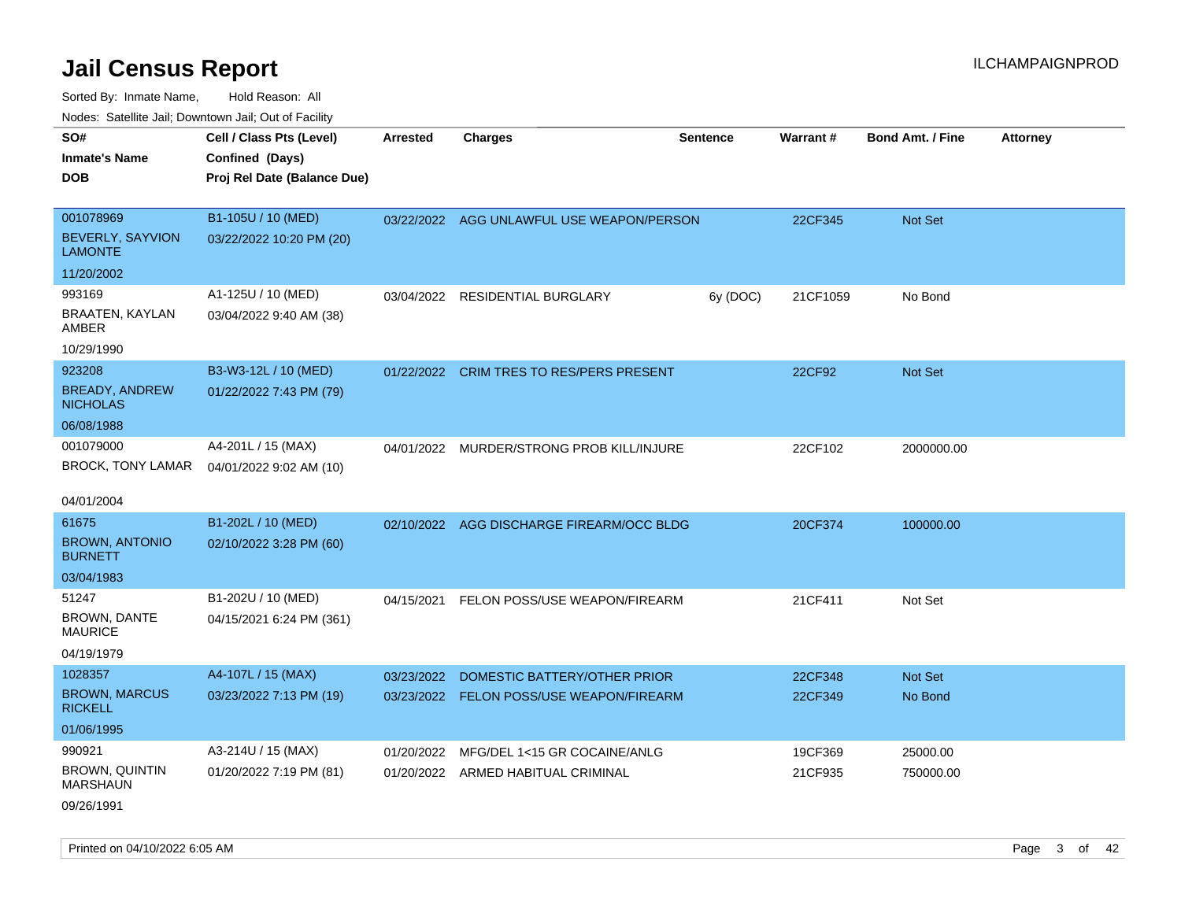Sorted By: Inmate Name, Hold Reason: All Nodes: Satellite Jail; Downtown Jail; Out of Facility

| SO#                                      | Cell / Class Pts (Level)    | Arrested   | <b>Charges</b>                            | <b>Sentence</b> | Warrant# | <b>Bond Amt. / Fine</b> | <b>Attorney</b> |
|------------------------------------------|-----------------------------|------------|-------------------------------------------|-----------------|----------|-------------------------|-----------------|
| <b>Inmate's Name</b>                     | Confined (Days)             |            |                                           |                 |          |                         |                 |
| <b>DOB</b>                               | Proj Rel Date (Balance Due) |            |                                           |                 |          |                         |                 |
|                                          |                             |            |                                           |                 |          |                         |                 |
| 001078969                                | B1-105U / 10 (MED)          |            | 03/22/2022 AGG UNLAWFUL USE WEAPON/PERSON |                 | 22CF345  | Not Set                 |                 |
| BEVERLY, SAYVION<br><b>LAMONTE</b>       | 03/22/2022 10:20 PM (20)    |            |                                           |                 |          |                         |                 |
| 11/20/2002                               |                             |            |                                           |                 |          |                         |                 |
| 993169                                   | A1-125U / 10 (MED)          |            | 03/04/2022 RESIDENTIAL BURGLARY           | 6y (DOC)        | 21CF1059 | No Bond                 |                 |
| BRAATEN, KAYLAN<br>AMBER                 | 03/04/2022 9:40 AM (38)     |            |                                           |                 |          |                         |                 |
| 10/29/1990                               |                             |            |                                           |                 |          |                         |                 |
| 923208                                   | B3-W3-12L / 10 (MED)        |            | 01/22/2022 CRIM TRES TO RES/PERS PRESENT  |                 | 22CF92   | Not Set                 |                 |
| <b>BREADY, ANDREW</b><br><b>NICHOLAS</b> | 01/22/2022 7:43 PM (79)     |            |                                           |                 |          |                         |                 |
| 06/08/1988                               |                             |            |                                           |                 |          |                         |                 |
| 001079000                                | A4-201L / 15 (MAX)          |            | 04/01/2022 MURDER/STRONG PROB KILL/INJURE |                 | 22CF102  | 2000000.00              |                 |
| BROCK, TONY LAMAR                        | 04/01/2022 9:02 AM (10)     |            |                                           |                 |          |                         |                 |
|                                          |                             |            |                                           |                 |          |                         |                 |
| 04/01/2004                               |                             |            |                                           |                 |          |                         |                 |
| 61675                                    | B1-202L / 10 (MED)          |            | 02/10/2022 AGG DISCHARGE FIREARM/OCC BLDG |                 | 20CF374  | 100000.00               |                 |
| <b>BROWN, ANTONIO</b><br><b>BURNETT</b>  | 02/10/2022 3:28 PM (60)     |            |                                           |                 |          |                         |                 |
| 03/04/1983                               |                             |            |                                           |                 |          |                         |                 |
| 51247                                    | B1-202U / 10 (MED)          | 04/15/2021 | FELON POSS/USE WEAPON/FIREARM             |                 | 21CF411  | Not Set                 |                 |
| BROWN, DANTE<br><b>MAURICE</b>           | 04/15/2021 6:24 PM (361)    |            |                                           |                 |          |                         |                 |
| 04/19/1979                               |                             |            |                                           |                 |          |                         |                 |
| 1028357                                  | A4-107L / 15 (MAX)          | 03/23/2022 | DOMESTIC BATTERY/OTHER PRIOR              |                 | 22CF348  | Not Set                 |                 |
| <b>BROWN, MARCUS</b><br><b>RICKELL</b>   | 03/23/2022 7:13 PM (19)     |            | 03/23/2022 FELON POSS/USE WEAPON/FIREARM  |                 | 22CF349  | No Bond                 |                 |
| 01/06/1995                               |                             |            |                                           |                 |          |                         |                 |
| 990921                                   | A3-214U / 15 (MAX)          | 01/20/2022 | MFG/DEL 1<15 GR COCAINE/ANLG              |                 | 19CF369  | 25000.00                |                 |
| <b>BROWN, QUINTIN</b><br><b>MARSHAUN</b> | 01/20/2022 7:19 PM (81)     |            | 01/20/2022 ARMED HABITUAL CRIMINAL        |                 | 21CF935  | 750000.00               |                 |
| 09/26/1991                               |                             |            |                                           |                 |          |                         |                 |

Printed on 04/10/2022 6:05 AM Page 3 of 42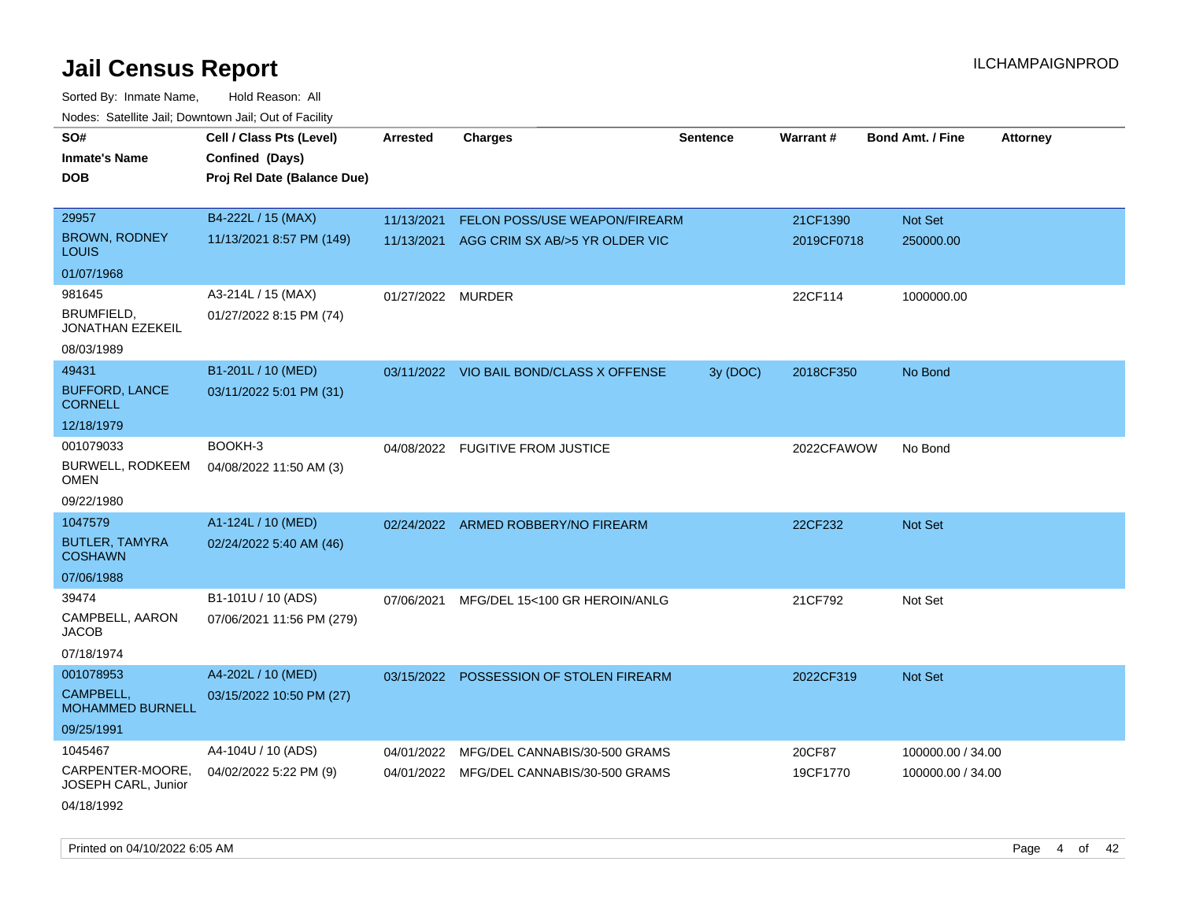| SO#<br><b>Inmate's Name</b><br><b>DOB</b> | Cell / Class Pts (Level)<br>Confined (Days)<br>Proj Rel Date (Balance Due) | <b>Arrested</b>   | <b>Charges</b>                           | <b>Sentence</b> | Warrant#   | <b>Bond Amt. / Fine</b> | <b>Attorney</b> |
|-------------------------------------------|----------------------------------------------------------------------------|-------------------|------------------------------------------|-----------------|------------|-------------------------|-----------------|
|                                           |                                                                            |                   |                                          |                 |            |                         |                 |
| 29957                                     | B4-222L / 15 (MAX)                                                         | 11/13/2021        | FELON POSS/USE WEAPON/FIREARM            |                 | 21CF1390   | Not Set                 |                 |
| <b>BROWN, RODNEY</b><br>LOUIS             | 11/13/2021 8:57 PM (149)                                                   | 11/13/2021        | AGG CRIM SX AB/>5 YR OLDER VIC           |                 | 2019CF0718 | 250000.00               |                 |
| 01/07/1968                                |                                                                            |                   |                                          |                 |            |                         |                 |
| 981645                                    | A3-214L / 15 (MAX)                                                         | 01/27/2022 MURDER |                                          |                 | 22CF114    | 1000000.00              |                 |
| BRUMFIELD,<br>JONATHAN EZEKEIL            | 01/27/2022 8:15 PM (74)                                                    |                   |                                          |                 |            |                         |                 |
| 08/03/1989                                |                                                                            |                   |                                          |                 |            |                         |                 |
| 49431                                     | B1-201L / 10 (MED)                                                         |                   | 03/11/2022 VIO BAIL BOND/CLASS X OFFENSE | 3y (DOC)        | 2018CF350  | No Bond                 |                 |
| <b>BUFFORD, LANCE</b><br><b>CORNELL</b>   | 03/11/2022 5:01 PM (31)                                                    |                   |                                          |                 |            |                         |                 |
| 12/18/1979                                |                                                                            |                   |                                          |                 |            |                         |                 |
| 001079033                                 | BOOKH-3                                                                    |                   | 04/08/2022 FUGITIVE FROM JUSTICE         |                 | 2022CFAWOW | No Bond                 |                 |
| BURWELL, RODKEEM<br>OMEN                  | 04/08/2022 11:50 AM (3)                                                    |                   |                                          |                 |            |                         |                 |
| 09/22/1980                                |                                                                            |                   |                                          |                 |            |                         |                 |
| 1047579                                   | A1-124L / 10 (MED)                                                         |                   | 02/24/2022 ARMED ROBBERY/NO FIREARM      |                 | 22CF232    | Not Set                 |                 |
| <b>BUTLER, TAMYRA</b><br><b>COSHAWN</b>   | 02/24/2022 5:40 AM (46)                                                    |                   |                                          |                 |            |                         |                 |
| 07/06/1988                                |                                                                            |                   |                                          |                 |            |                         |                 |
| 39474                                     | B1-101U / 10 (ADS)                                                         | 07/06/2021        | MFG/DEL 15<100 GR HEROIN/ANLG            |                 | 21CF792    | Not Set                 |                 |
| CAMPBELL, AARON<br>JACOB                  | 07/06/2021 11:56 PM (279)                                                  |                   |                                          |                 |            |                         |                 |
| 07/18/1974                                |                                                                            |                   |                                          |                 |            |                         |                 |
| 001078953                                 | A4-202L / 10 (MED)                                                         |                   | 03/15/2022 POSSESSION OF STOLEN FIREARM  |                 | 2022CF319  | Not Set                 |                 |
| CAMPBELL,<br><b>MOHAMMED BURNELL</b>      | 03/15/2022 10:50 PM (27)                                                   |                   |                                          |                 |            |                         |                 |
| 09/25/1991                                |                                                                            |                   |                                          |                 |            |                         |                 |
| 1045467                                   | A4-104U / 10 (ADS)                                                         | 04/01/2022        | MFG/DEL CANNABIS/30-500 GRAMS            |                 | 20CF87     | 100000.00 / 34.00       |                 |
| CARPENTER-MOORE,<br>JOSEPH CARL, Junior   | 04/02/2022 5:22 PM (9)                                                     | 04/01/2022        | MFG/DEL CANNABIS/30-500 GRAMS            |                 | 19CF1770   | 100000.00 / 34.00       |                 |
| 04/18/1992                                |                                                                            |                   |                                          |                 |            |                         |                 |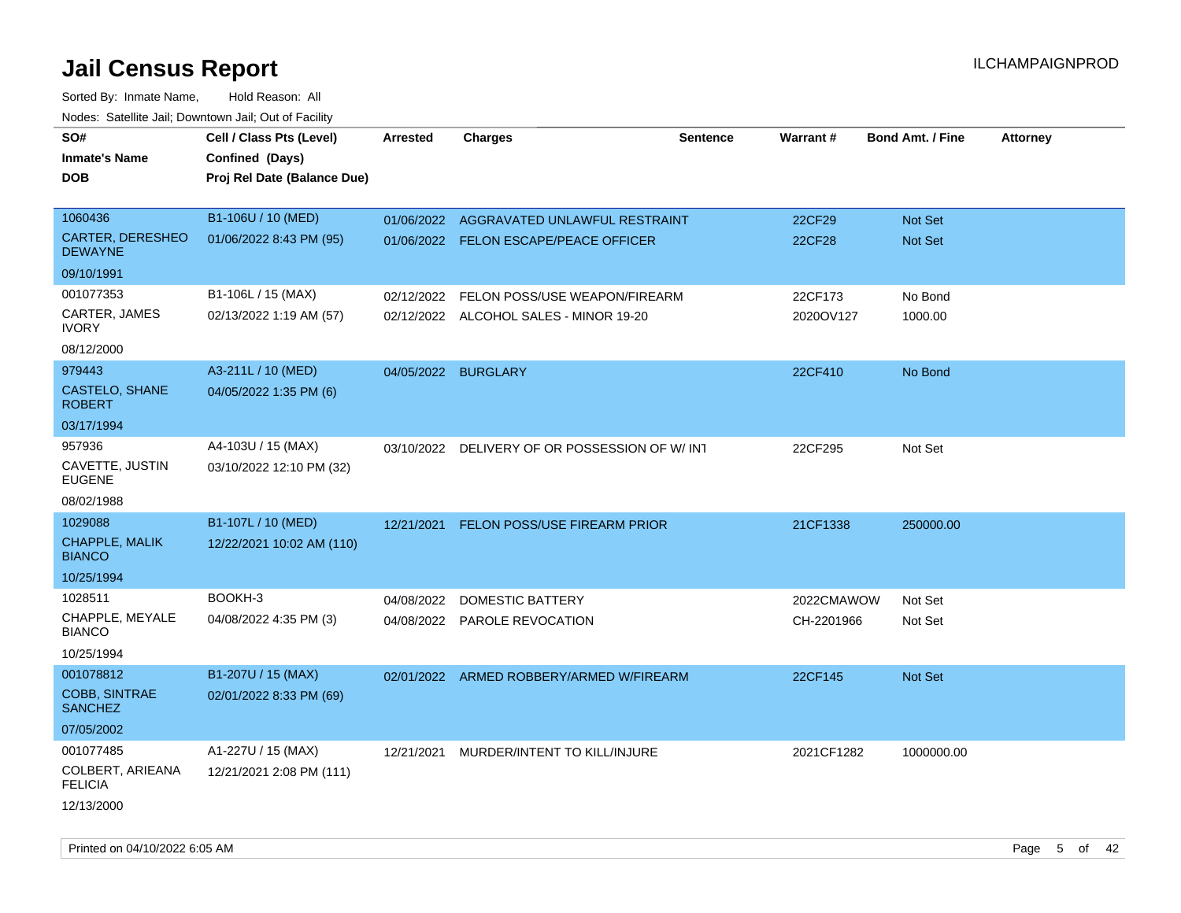| SO#<br><b>Inmate's Name</b><br><b>DOB</b> | Cell / Class Pts (Level)<br>Confined (Days)<br>Proj Rel Date (Balance Due) | <b>Arrested</b> | <b>Charges</b>                                | <b>Sentence</b> | <b>Warrant#</b> | <b>Bond Amt. / Fine</b> | <b>Attorney</b> |
|-------------------------------------------|----------------------------------------------------------------------------|-----------------|-----------------------------------------------|-----------------|-----------------|-------------------------|-----------------|
| 1060436                                   | B1-106U / 10 (MED)                                                         | 01/06/2022      | AGGRAVATED UNLAWFUL RESTRAINT                 |                 | 22CF29          | Not Set                 |                 |
| <b>CARTER, DERESHEO</b><br><b>DEWAYNE</b> | 01/06/2022 8:43 PM (95)                                                    |                 | 01/06/2022 FELON ESCAPE/PEACE OFFICER         |                 | <b>22CF28</b>   | Not Set                 |                 |
| 09/10/1991                                |                                                                            |                 |                                               |                 |                 |                         |                 |
| 001077353                                 | B1-106L / 15 (MAX)                                                         | 02/12/2022      | FELON POSS/USE WEAPON/FIREARM                 |                 | 22CF173         | No Bond                 |                 |
| CARTER, JAMES<br><b>IVORY</b>             | 02/13/2022 1:19 AM (57)                                                    |                 | 02/12/2022 ALCOHOL SALES - MINOR 19-20        |                 | 2020OV127       | 1000.00                 |                 |
| 08/12/2000                                |                                                                            |                 |                                               |                 |                 |                         |                 |
| 979443                                    | A3-211L / 10 (MED)                                                         |                 | 04/05/2022 BURGLARY                           |                 | 22CF410         | No Bond                 |                 |
| CASTELO, SHANE<br><b>ROBERT</b>           | 04/05/2022 1:35 PM (6)                                                     |                 |                                               |                 |                 |                         |                 |
| 03/17/1994                                |                                                                            |                 |                                               |                 |                 |                         |                 |
| 957936                                    | A4-103U / 15 (MAX)                                                         |                 | 03/10/2022 DELIVERY OF OR POSSESSION OF W/INT |                 | 22CF295         | Not Set                 |                 |
| CAVETTE, JUSTIN<br><b>EUGENE</b>          | 03/10/2022 12:10 PM (32)                                                   |                 |                                               |                 |                 |                         |                 |
| 08/02/1988                                |                                                                            |                 |                                               |                 |                 |                         |                 |
| 1029088                                   | B1-107L / 10 (MED)                                                         |                 | 12/21/2021 FELON POSS/USE FIREARM PRIOR       |                 | 21CF1338        | 250000.00               |                 |
| CHAPPLE, MALIK<br><b>BIANCO</b>           | 12/22/2021 10:02 AM (110)                                                  |                 |                                               |                 |                 |                         |                 |
| 10/25/1994                                |                                                                            |                 |                                               |                 |                 |                         |                 |
| 1028511                                   | BOOKH-3                                                                    |                 | 04/08/2022 DOMESTIC BATTERY                   |                 | 2022CMAWOW      | Not Set                 |                 |
| CHAPPLE, MEYALE<br><b>BIANCO</b>          | 04/08/2022 4:35 PM (3)                                                     |                 | 04/08/2022 PAROLE REVOCATION                  |                 | CH-2201966      | Not Set                 |                 |
| 10/25/1994                                |                                                                            |                 |                                               |                 |                 |                         |                 |
| 001078812                                 | B1-207U / 15 (MAX)                                                         | 02/01/2022      | ARMED ROBBERY/ARMED W/FIREARM                 |                 | 22CF145         | Not Set                 |                 |
| COBB, SINTRAE<br><b>SANCHEZ</b>           | 02/01/2022 8:33 PM (69)                                                    |                 |                                               |                 |                 |                         |                 |
| 07/05/2002                                |                                                                            |                 |                                               |                 |                 |                         |                 |
| 001077485                                 | A1-227U / 15 (MAX)                                                         |                 | 12/21/2021 MURDER/INTENT TO KILL/INJURE       |                 | 2021CF1282      | 1000000.00              |                 |
| COLBERT, ARIEANA<br><b>FELICIA</b>        | 12/21/2021 2:08 PM (111)                                                   |                 |                                               |                 |                 |                         |                 |
| 12/13/2000                                |                                                                            |                 |                                               |                 |                 |                         |                 |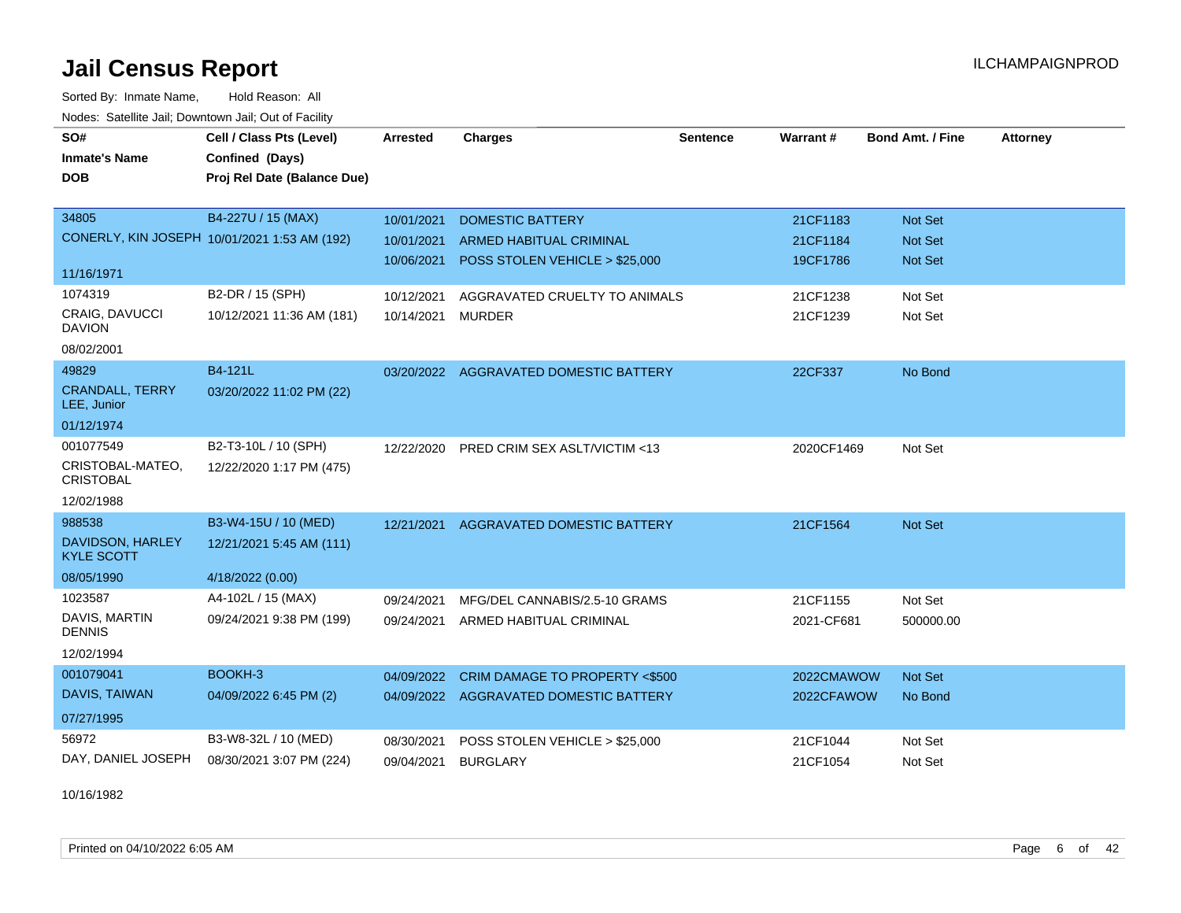Sorted By: Inmate Name, Hold Reason: All Nodes: Satellite Jail; Downtown Jail; Out of Facility

| SO#                                    | Cell / Class Pts (Level)                     | Arrested   | <b>Charges</b>                         | <b>Sentence</b> | <b>Warrant#</b> | <b>Bond Amt. / Fine</b> | <b>Attorney</b> |
|----------------------------------------|----------------------------------------------|------------|----------------------------------------|-----------------|-----------------|-------------------------|-----------------|
| <b>Inmate's Name</b>                   | Confined (Days)                              |            |                                        |                 |                 |                         |                 |
| <b>DOB</b>                             | Proj Rel Date (Balance Due)                  |            |                                        |                 |                 |                         |                 |
|                                        |                                              |            |                                        |                 |                 |                         |                 |
| 34805                                  | B4-227U / 15 (MAX)                           | 10/01/2021 | <b>DOMESTIC BATTERY</b>                |                 | 21CF1183        | <b>Not Set</b>          |                 |
|                                        | CONERLY, KIN JOSEPH 10/01/2021 1:53 AM (192) | 10/01/2021 | <b>ARMED HABITUAL CRIMINAL</b>         |                 | 21CF1184        | <b>Not Set</b>          |                 |
| 11/16/1971                             |                                              | 10/06/2021 | POSS STOLEN VEHICLE > \$25,000         |                 | 19CF1786        | Not Set                 |                 |
| 1074319                                | B2-DR / 15 (SPH)                             | 10/12/2021 | AGGRAVATED CRUELTY TO ANIMALS          |                 | 21CF1238        | Not Set                 |                 |
| <b>CRAIG, DAVUCCI</b><br><b>DAVION</b> | 10/12/2021 11:36 AM (181)                    | 10/14/2021 | <b>MURDER</b>                          |                 | 21CF1239        | Not Set                 |                 |
| 08/02/2001                             |                                              |            |                                        |                 |                 |                         |                 |
| 49829                                  | B4-121L                                      |            | 03/20/2022 AGGRAVATED DOMESTIC BATTERY |                 | 22CF337         | No Bond                 |                 |
| <b>CRANDALL, TERRY</b><br>LEE, Junior  | 03/20/2022 11:02 PM (22)                     |            |                                        |                 |                 |                         |                 |
| 01/12/1974                             |                                              |            |                                        |                 |                 |                         |                 |
| 001077549                              | B2-T3-10L / 10 (SPH)                         | 12/22/2020 | PRED CRIM SEX ASLT/VICTIM <13          |                 | 2020CF1469      | Not Set                 |                 |
| CRISTOBAL-MATEO,<br><b>CRISTOBAL</b>   | 12/22/2020 1:17 PM (475)                     |            |                                        |                 |                 |                         |                 |
| 12/02/1988                             |                                              |            |                                        |                 |                 |                         |                 |
| 988538                                 | B3-W4-15U / 10 (MED)                         | 12/21/2021 | AGGRAVATED DOMESTIC BATTERY            |                 | 21CF1564        | <b>Not Set</b>          |                 |
| DAVIDSON, HARLEY<br><b>KYLE SCOTT</b>  | 12/21/2021 5:45 AM (111)                     |            |                                        |                 |                 |                         |                 |
| 08/05/1990                             | 4/18/2022 (0.00)                             |            |                                        |                 |                 |                         |                 |
| 1023587                                | A4-102L / 15 (MAX)                           | 09/24/2021 | MFG/DEL CANNABIS/2.5-10 GRAMS          |                 | 21CF1155        | Not Set                 |                 |
| DAVIS, MARTIN<br><b>DENNIS</b>         | 09/24/2021 9:38 PM (199)                     | 09/24/2021 | ARMED HABITUAL CRIMINAL                |                 | 2021-CF681      | 500000.00               |                 |
| 12/02/1994                             |                                              |            |                                        |                 |                 |                         |                 |
| 001079041                              | BOOKH-3                                      | 04/09/2022 | CRIM DAMAGE TO PROPERTY <\$500         |                 | 2022CMAWOW      | <b>Not Set</b>          |                 |
| DAVIS, TAIWAN                          | 04/09/2022 6:45 PM (2)                       |            | 04/09/2022 AGGRAVATED DOMESTIC BATTERY |                 | 2022CFAWOW      | No Bond                 |                 |
| 07/27/1995                             |                                              |            |                                        |                 |                 |                         |                 |
| 56972                                  | B3-W8-32L / 10 (MED)                         | 08/30/2021 | POSS STOLEN VEHICLE > \$25,000         |                 | 21CF1044        | Not Set                 |                 |
| DAY, DANIEL JOSEPH                     | 08/30/2021 3:07 PM (224)                     | 09/04/2021 | <b>BURGLARY</b>                        |                 | 21CF1054        | Not Set                 |                 |

10/16/1982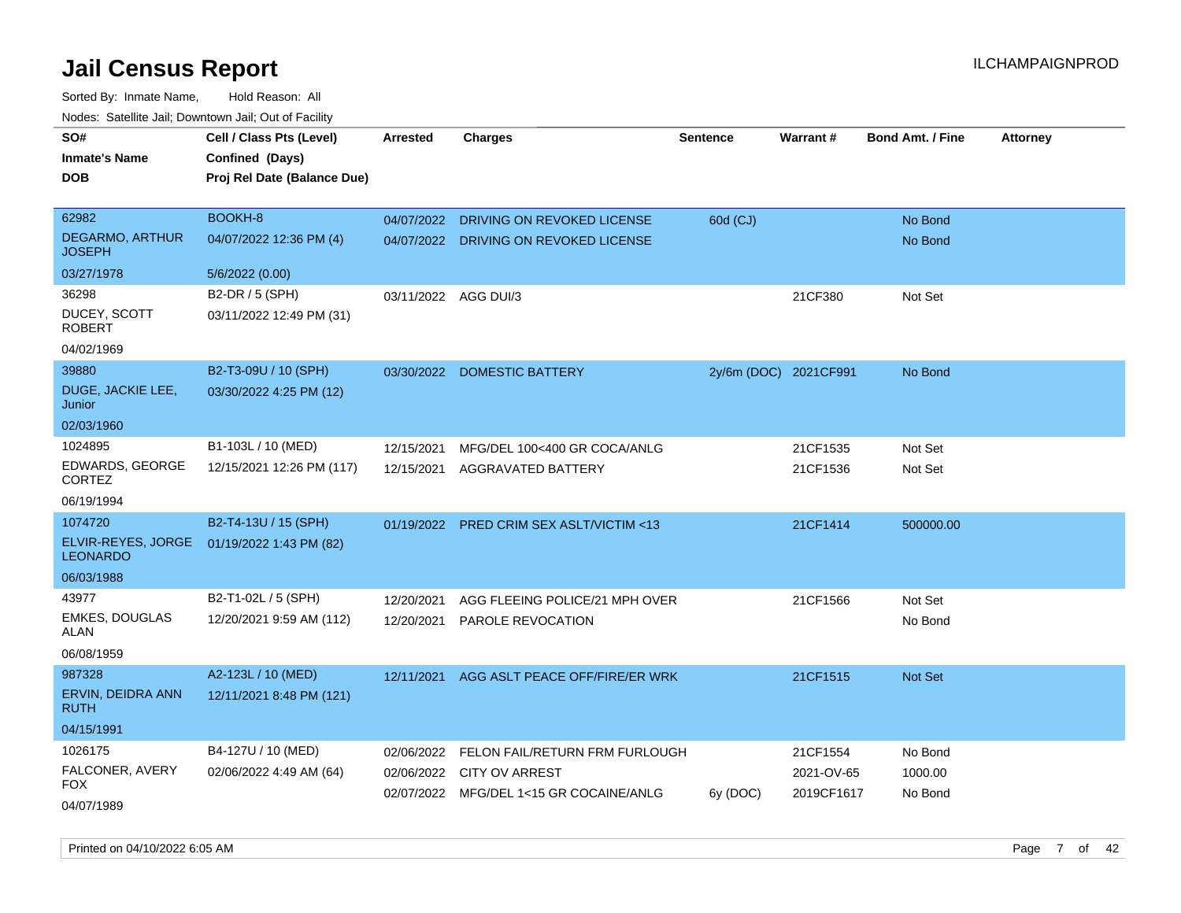Sorted By: Inmate Name, Hold Reason: All Nodes: Satellite Jail; Downtown Jail; Out of Facility

| SO#<br><b>Inmate's Name</b><br>DOB      | Cell / Class Pts (Level)<br>Confined (Days)<br>Proj Rel Date (Balance Due) | Arrested             | <b>Charges</b>                           | <b>Sentence</b> | Warrant#              | <b>Bond Amt. / Fine</b> | <b>Attorney</b> |
|-----------------------------------------|----------------------------------------------------------------------------|----------------------|------------------------------------------|-----------------|-----------------------|-------------------------|-----------------|
| 62982                                   | <b>BOOKH-8</b>                                                             | 04/07/2022           | DRIVING ON REVOKED LICENSE               | 60d (CJ)        |                       | No Bond                 |                 |
| <b>DEGARMO, ARTHUR</b><br><b>JOSEPH</b> | 04/07/2022 12:36 PM (4)                                                    |                      | 04/07/2022 DRIVING ON REVOKED LICENSE    |                 |                       | No Bond                 |                 |
| 03/27/1978                              | 5/6/2022 (0.00)                                                            |                      |                                          |                 |                       |                         |                 |
| 36298                                   | B2-DR / 5 (SPH)                                                            | 03/11/2022 AGG DUI/3 |                                          |                 | 21CF380               | Not Set                 |                 |
| DUCEY, SCOTT<br><b>ROBERT</b>           | 03/11/2022 12:49 PM (31)                                                   |                      |                                          |                 |                       |                         |                 |
| 04/02/1969                              |                                                                            |                      |                                          |                 |                       |                         |                 |
| 39880                                   | B2-T3-09U / 10 (SPH)                                                       |                      | 03/30/2022 DOMESTIC BATTERY              |                 | 2y/6m (DOC) 2021CF991 | No Bond                 |                 |
| DUGE, JACKIE LEE,<br>Junior             | 03/30/2022 4:25 PM (12)                                                    |                      |                                          |                 |                       |                         |                 |
| 02/03/1960                              |                                                                            |                      |                                          |                 |                       |                         |                 |
| 1024895                                 | B1-103L / 10 (MED)                                                         | 12/15/2021           | MFG/DEL 100<400 GR COCA/ANLG             |                 | 21CF1535              | Not Set                 |                 |
| EDWARDS, GEORGE<br><b>CORTEZ</b>        | 12/15/2021 12:26 PM (117)                                                  | 12/15/2021           | <b>AGGRAVATED BATTERY</b>                |                 | 21CF1536              | Not Set                 |                 |
| 06/19/1994                              |                                                                            |                      |                                          |                 |                       |                         |                 |
| 1074720                                 | B2-T4-13U / 15 (SPH)                                                       |                      | 01/19/2022 PRED CRIM SEX ASLT/VICTIM <13 |                 | 21CF1414              | 500000.00               |                 |
| ELVIR-REYES, JORGE<br><b>LEONARDO</b>   | 01/19/2022 1:43 PM (82)                                                    |                      |                                          |                 |                       |                         |                 |
| 06/03/1988                              |                                                                            |                      |                                          |                 |                       |                         |                 |
| 43977                                   | B2-T1-02L / 5 (SPH)                                                        | 12/20/2021           | AGG FLEEING POLICE/21 MPH OVER           |                 | 21CF1566              | Not Set                 |                 |
| <b>EMKES, DOUGLAS</b><br>ALAN           | 12/20/2021 9:59 AM (112)                                                   | 12/20/2021           | <b>PAROLE REVOCATION</b>                 |                 |                       | No Bond                 |                 |
| 06/08/1959                              |                                                                            |                      |                                          |                 |                       |                         |                 |
| 987328                                  | A2-123L / 10 (MED)                                                         | 12/11/2021           | AGG ASLT PEACE OFF/FIRE/ER WRK           |                 | 21CF1515              | Not Set                 |                 |
| ERVIN, DEIDRA ANN<br><b>RUTH</b>        | 12/11/2021 8:48 PM (121)                                                   |                      |                                          |                 |                       |                         |                 |
| 04/15/1991                              |                                                                            |                      |                                          |                 |                       |                         |                 |
| 1026175                                 | B4-127U / 10 (MED)                                                         | 02/06/2022           | FELON FAIL/RETURN FRM FURLOUGH           |                 | 21CF1554              | No Bond                 |                 |
| FALCONER, AVERY<br>FOX                  | 02/06/2022 4:49 AM (64)                                                    | 02/06/2022           | <b>CITY OV ARREST</b>                    |                 | 2021-OV-65            | 1000.00                 |                 |
| 04/07/1989                              |                                                                            |                      | 02/07/2022 MFG/DEL 1<15 GR COCAINE/ANLG  | 6y (DOC)        | 2019CF1617            | No Bond                 |                 |

Printed on 04/10/2022 6:05 AM Page 7 of 42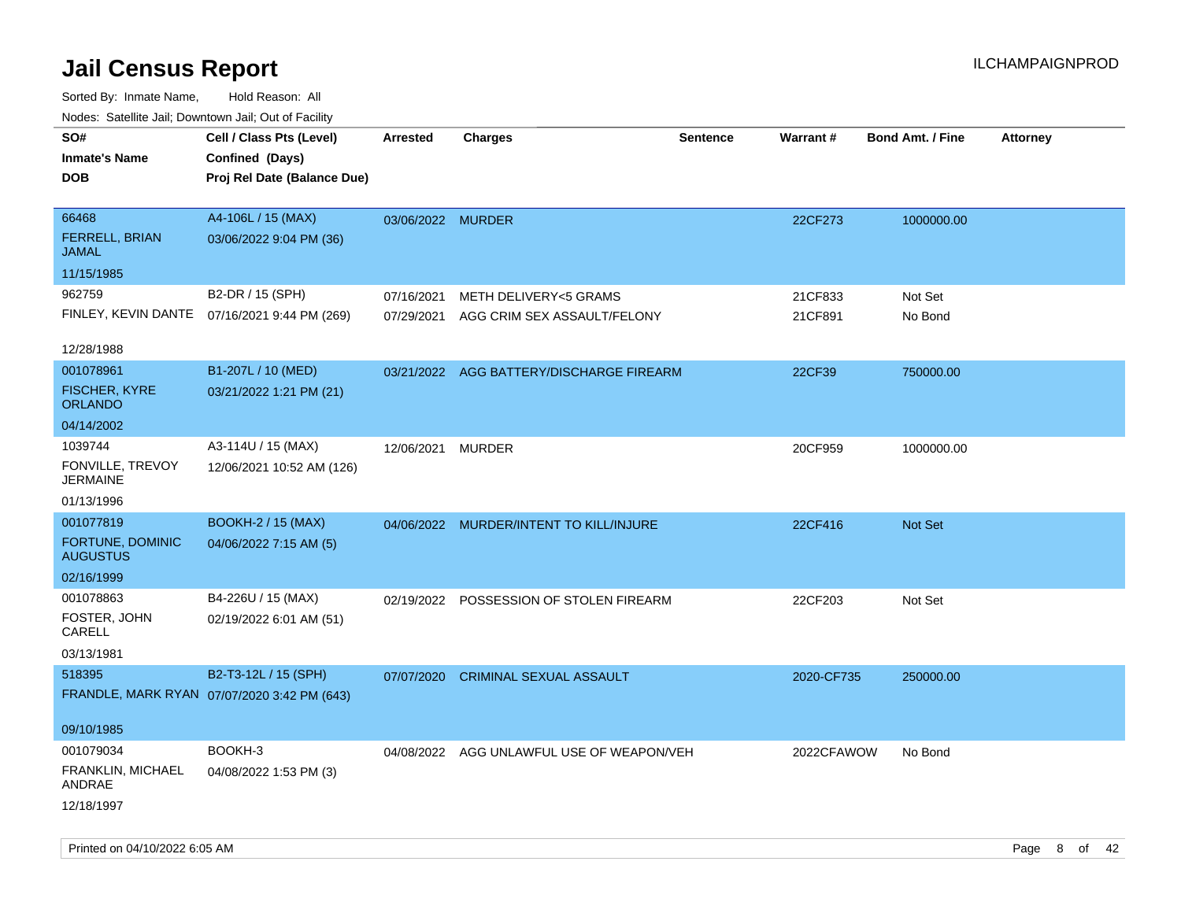| roaco. Oatomto dan, Downtown dan, Oat or Fability |                                                                            |                          |                                                      |                 |                    |                         |                 |
|---------------------------------------------------|----------------------------------------------------------------------------|--------------------------|------------------------------------------------------|-----------------|--------------------|-------------------------|-----------------|
| SO#<br><b>Inmate's Name</b><br><b>DOB</b>         | Cell / Class Pts (Level)<br>Confined (Days)<br>Proj Rel Date (Balance Due) | <b>Arrested</b>          | <b>Charges</b>                                       | <b>Sentence</b> | Warrant#           | <b>Bond Amt. / Fine</b> | <b>Attorney</b> |
| 66468<br><b>FERRELL, BRIAN</b><br>JAMAL           | A4-106L / 15 (MAX)<br>03/06/2022 9:04 PM (36)                              | 03/06/2022 MURDER        |                                                      |                 | 22CF273            | 1000000.00              |                 |
| 11/15/1985                                        |                                                                            |                          |                                                      |                 |                    |                         |                 |
| 962759<br>FINLEY, KEVIN DANTE                     | B2-DR / 15 (SPH)<br>07/16/2021 9:44 PM (269)                               | 07/16/2021<br>07/29/2021 | METH DELIVERY<5 GRAMS<br>AGG CRIM SEX ASSAULT/FELONY |                 | 21CF833<br>21CF891 | Not Set<br>No Bond      |                 |
| 12/28/1988                                        |                                                                            |                          |                                                      |                 |                    |                         |                 |
| 001078961<br>FISCHER, KYRE<br><b>ORLANDO</b>      | B1-207L / 10 (MED)<br>03/21/2022 1:21 PM (21)                              |                          | 03/21/2022 AGG BATTERY/DISCHARGE FIREARM             |                 | 22CF39             | 750000.00               |                 |
| 04/14/2002                                        |                                                                            |                          |                                                      |                 |                    |                         |                 |
| 1039744<br>FONVILLE, TREVOY<br><b>JERMAINE</b>    | A3-114U / 15 (MAX)<br>12/06/2021 10:52 AM (126)                            | 12/06/2021               | <b>MURDER</b>                                        |                 | 20CF959            | 1000000.00              |                 |
| 01/13/1996                                        |                                                                            |                          |                                                      |                 |                    |                         |                 |
| 001077819<br>FORTUNE, DOMINIC<br><b>AUGUSTUS</b>  | <b>BOOKH-2 / 15 (MAX)</b><br>04/06/2022 7:15 AM (5)                        | 04/06/2022               | MURDER/INTENT TO KILL/INJURE                         |                 | 22CF416            | Not Set                 |                 |
| 02/16/1999                                        |                                                                            |                          |                                                      |                 |                    |                         |                 |
| 001078863<br>FOSTER, JOHN<br>CARELL<br>03/13/1981 | B4-226U / 15 (MAX)<br>02/19/2022 6:01 AM (51)                              | 02/19/2022               | POSSESSION OF STOLEN FIREARM                         |                 | 22CF203            | Not Set                 |                 |
| 518395                                            | B2-T3-12L / 15 (SPH)                                                       | 07/07/2020               | <b>CRIMINAL SEXUAL ASSAULT</b>                       |                 | 2020-CF735         | 250000.00               |                 |
|                                                   | FRANDLE, MARK RYAN 07/07/2020 3:42 PM (643)                                |                          |                                                      |                 |                    |                         |                 |
| 09/10/1985                                        |                                                                            |                          |                                                      |                 |                    |                         |                 |
| 001079034<br>FRANKLIN, MICHAEL<br>ANDRAE          | BOOKH-3<br>04/08/2022 1:53 PM (3)                                          |                          | 04/08/2022 AGG UNLAWFUL USE OF WEAPON/VEH            |                 | 2022CFAWOW         | No Bond                 |                 |
| 12/18/1997                                        |                                                                            |                          |                                                      |                 |                    |                         |                 |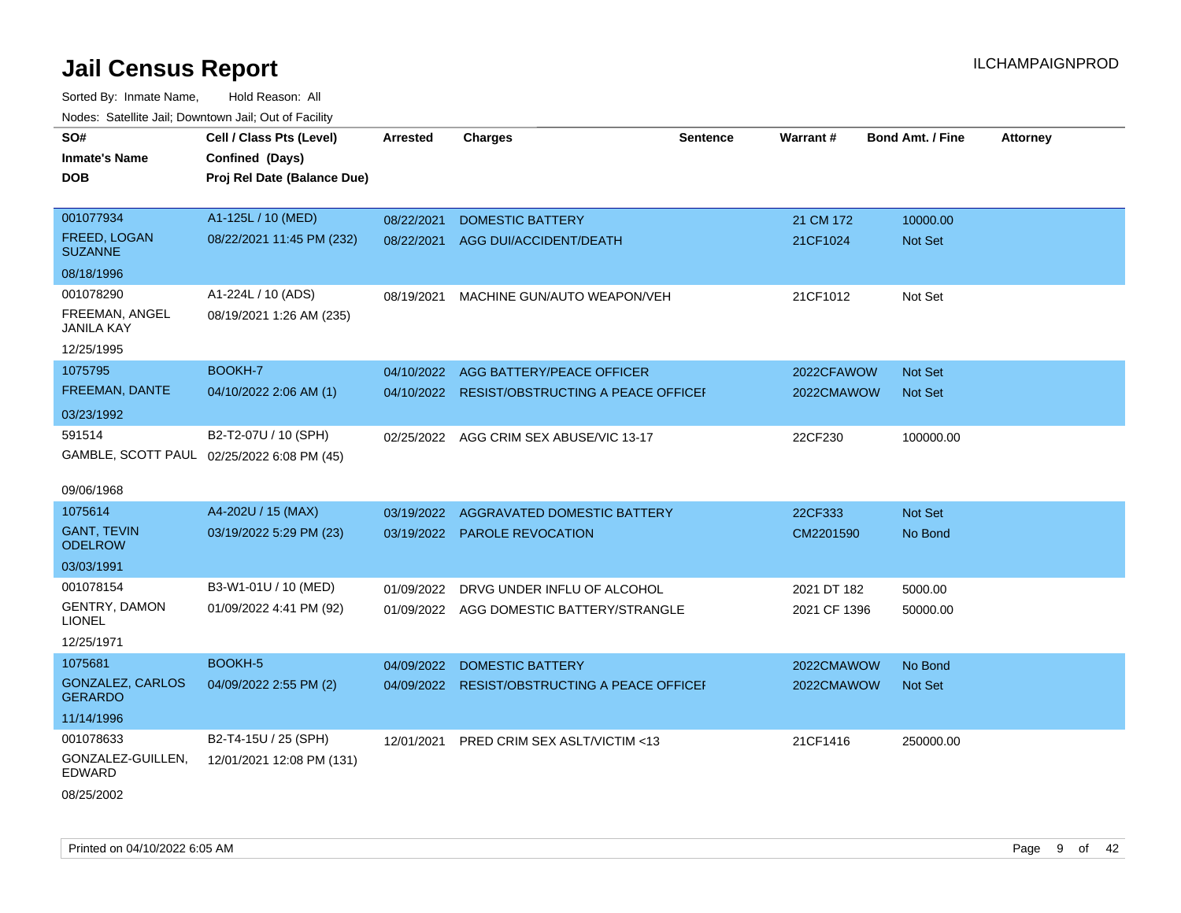| SO#                                        | Cell / Class Pts (Level)                   | Arrested   | <b>Charges</b>                                | <b>Sentence</b> | Warrant#     | <b>Bond Amt. / Fine</b> | <b>Attorney</b> |
|--------------------------------------------|--------------------------------------------|------------|-----------------------------------------------|-----------------|--------------|-------------------------|-----------------|
| <b>Inmate's Name</b>                       | Confined (Days)                            |            |                                               |                 |              |                         |                 |
| <b>DOB</b>                                 | Proj Rel Date (Balance Due)                |            |                                               |                 |              |                         |                 |
|                                            |                                            |            |                                               |                 |              |                         |                 |
| 001077934                                  | A1-125L / 10 (MED)                         | 08/22/2021 | <b>DOMESTIC BATTERY</b>                       |                 | 21 CM 172    | 10000.00                |                 |
| FREED, LOGAN<br><b>SUZANNE</b>             | 08/22/2021 11:45 PM (232)                  | 08/22/2021 | AGG DUI/ACCIDENT/DEATH                        |                 | 21CF1024     | Not Set                 |                 |
| 08/18/1996                                 |                                            |            |                                               |                 |              |                         |                 |
| 001078290                                  | A1-224L / 10 (ADS)                         | 08/19/2021 | MACHINE GUN/AUTO WEAPON/VEH                   |                 | 21CF1012     | Not Set                 |                 |
| <b>FREEMAN, ANGEL</b><br><b>JANILA KAY</b> | 08/19/2021 1:26 AM (235)                   |            |                                               |                 |              |                         |                 |
| 12/25/1995                                 |                                            |            |                                               |                 |              |                         |                 |
| 1075795                                    | BOOKH-7                                    | 04/10/2022 | AGG BATTERY/PEACE OFFICER                     |                 | 2022CFAWOW   | Not Set                 |                 |
| FREEMAN, DANTE                             | 04/10/2022 2:06 AM (1)                     |            | 04/10/2022 RESIST/OBSTRUCTING A PEACE OFFICEI |                 | 2022CMAWOW   | <b>Not Set</b>          |                 |
| 03/23/1992                                 |                                            |            |                                               |                 |              |                         |                 |
| 591514                                     | B2-T2-07U / 10 (SPH)                       |            | 02/25/2022 AGG CRIM SEX ABUSE/VIC 13-17       |                 | 22CF230      | 100000.00               |                 |
|                                            | GAMBLE, SCOTT PAUL 02/25/2022 6:08 PM (45) |            |                                               |                 |              |                         |                 |
| 09/06/1968                                 |                                            |            |                                               |                 |              |                         |                 |
| 1075614                                    | A4-202U / 15 (MAX)                         | 03/19/2022 | AGGRAVATED DOMESTIC BATTERY                   |                 | 22CF333      | Not Set                 |                 |
| <b>GANT, TEVIN</b><br><b>ODELROW</b>       | 03/19/2022 5:29 PM (23)                    | 03/19/2022 | <b>PAROLE REVOCATION</b>                      |                 | CM2201590    | No Bond                 |                 |
| 03/03/1991                                 |                                            |            |                                               |                 |              |                         |                 |
| 001078154                                  | B3-W1-01U / 10 (MED)                       | 01/09/2022 | DRVG UNDER INFLU OF ALCOHOL                   |                 | 2021 DT 182  | 5000.00                 |                 |
| <b>GENTRY, DAMON</b><br><b>LIONEL</b>      | 01/09/2022 4:41 PM (92)                    |            | 01/09/2022 AGG DOMESTIC BATTERY/STRANGLE      |                 | 2021 CF 1396 | 50000.00                |                 |
| 12/25/1971                                 |                                            |            |                                               |                 |              |                         |                 |
| 1075681                                    | BOOKH-5                                    | 04/09/2022 | <b>DOMESTIC BATTERY</b>                       |                 | 2022CMAWOW   | No Bond                 |                 |
| <b>GONZALEZ, CARLOS</b><br><b>GERARDO</b>  | 04/09/2022 2:55 PM (2)                     |            | 04/09/2022 RESIST/OBSTRUCTING A PEACE OFFICEF |                 | 2022CMAWOW   | Not Set                 |                 |
| 11/14/1996                                 |                                            |            |                                               |                 |              |                         |                 |
| 001078633                                  | B2-T4-15U / 25 (SPH)                       | 12/01/2021 | PRED CRIM SEX ASLT/VICTIM <13                 |                 | 21CF1416     | 250000.00               |                 |
| GONZALEZ-GUILLEN,<br>EDWARD                | 12/01/2021 12:08 PM (131)                  |            |                                               |                 |              |                         |                 |
| 08/25/2002                                 |                                            |            |                                               |                 |              |                         |                 |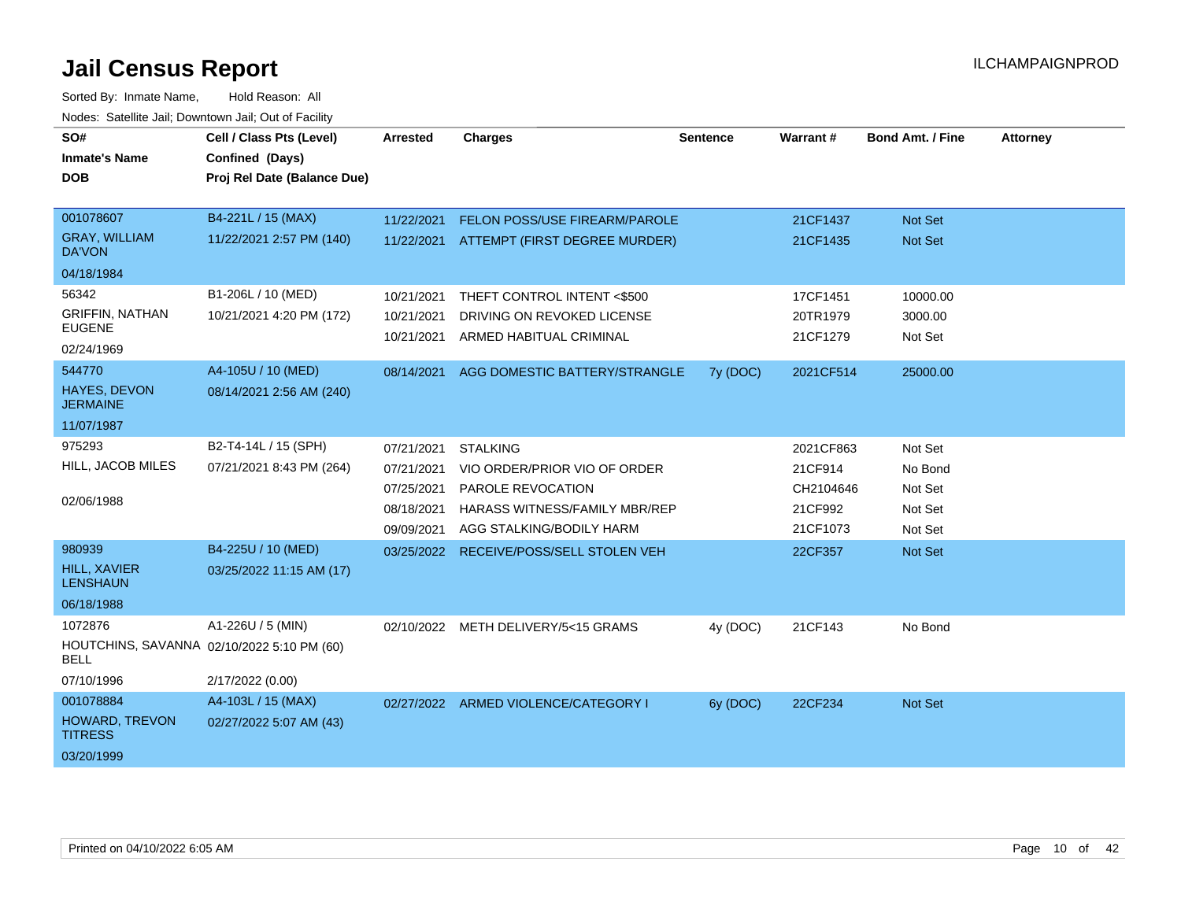| SO#<br><b>Inmate's Name</b><br><b>DOB</b>                 | Cell / Class Pts (Level)<br>Confined (Days)<br>Proj Rel Date (Balance Due) | <b>Arrested</b> | <b>Charges</b>                       | Sentence | Warrant#  | <b>Bond Amt. / Fine</b> | <b>Attorney</b> |
|-----------------------------------------------------------|----------------------------------------------------------------------------|-----------------|--------------------------------------|----------|-----------|-------------------------|-----------------|
|                                                           |                                                                            |                 |                                      |          |           |                         |                 |
| 001078607                                                 | B4-221L / 15 (MAX)                                                         | 11/22/2021      | FELON POSS/USE FIREARM/PAROLE        |          | 21CF1437  | Not Set                 |                 |
| <b>GRAY, WILLIAM</b><br>DA'VON                            | 11/22/2021 2:57 PM (140)                                                   | 11/22/2021      | ATTEMPT (FIRST DEGREE MURDER)        |          | 21CF1435  | Not Set                 |                 |
| 04/18/1984                                                |                                                                            |                 |                                      |          |           |                         |                 |
| 56342                                                     | B1-206L / 10 (MED)                                                         | 10/21/2021      | THEFT CONTROL INTENT <\$500          |          | 17CF1451  | 10000.00                |                 |
| <b>GRIFFIN, NATHAN</b>                                    | 10/21/2021 4:20 PM (172)                                                   | 10/21/2021      | DRIVING ON REVOKED LICENSE           |          | 20TR1979  | 3000.00                 |                 |
| <b>EUGENE</b><br>02/24/1969                               |                                                                            | 10/21/2021      | ARMED HABITUAL CRIMINAL              |          | 21CF1279  | Not Set                 |                 |
| 544770                                                    | A4-105U / 10 (MED)                                                         | 08/14/2021      | AGG DOMESTIC BATTERY/STRANGLE        | 7y (DOC) | 2021CF514 | 25000.00                |                 |
| <b>HAYES, DEVON</b><br><b>JERMAINE</b>                    | 08/14/2021 2:56 AM (240)                                                   |                 |                                      |          |           |                         |                 |
| 11/07/1987                                                |                                                                            |                 |                                      |          |           |                         |                 |
| 975293                                                    | B2-T4-14L / 15 (SPH)                                                       | 07/21/2021      | <b>STALKING</b>                      |          | 2021CF863 | Not Set                 |                 |
| HILL, JACOB MILES                                         | 07/21/2021 8:43 PM (264)                                                   | 07/21/2021      | VIO ORDER/PRIOR VIO OF ORDER         |          | 21CF914   | No Bond                 |                 |
|                                                           |                                                                            | 07/25/2021      | PAROLE REVOCATION                    |          | CH2104646 | Not Set                 |                 |
| 02/06/1988                                                |                                                                            | 08/18/2021      | <b>HARASS WITNESS/FAMILY MBR/REP</b> |          | 21CF992   | Not Set                 |                 |
|                                                           |                                                                            | 09/09/2021      | AGG STALKING/BODILY HARM             |          | 21CF1073  | Not Set                 |                 |
| 980939                                                    | B4-225U / 10 (MED)                                                         | 03/25/2022      | RECEIVE/POSS/SELL STOLEN VEH         |          | 22CF357   | Not Set                 |                 |
| <b>HILL, XAVIER</b><br><b>LENSHAUN</b>                    | 03/25/2022 11:15 AM (17)                                                   |                 |                                      |          |           |                         |                 |
| 06/18/1988                                                |                                                                            |                 |                                      |          |           |                         |                 |
| 1072876                                                   | A1-226U / 5 (MIN)                                                          | 02/10/2022      | METH DELIVERY/5<15 GRAMS             | 4y (DOC) | 21CF143   | No Bond                 |                 |
| HOUTCHINS, SAVANNA 02/10/2022 5:10 PM (60)<br><b>BELL</b> |                                                                            |                 |                                      |          |           |                         |                 |
| 07/10/1996                                                | 2/17/2022 (0.00)                                                           |                 |                                      |          |           |                         |                 |
| 001078884                                                 | A4-103L / 15 (MAX)                                                         |                 | 02/27/2022 ARMED VIOLENCE/CATEGORY I | 6y (DOC) | 22CF234   | Not Set                 |                 |
| HOWARD, TREVON<br><b>TITRESS</b>                          | 02/27/2022 5:07 AM (43)                                                    |                 |                                      |          |           |                         |                 |
| 03/20/1999                                                |                                                                            |                 |                                      |          |           |                         |                 |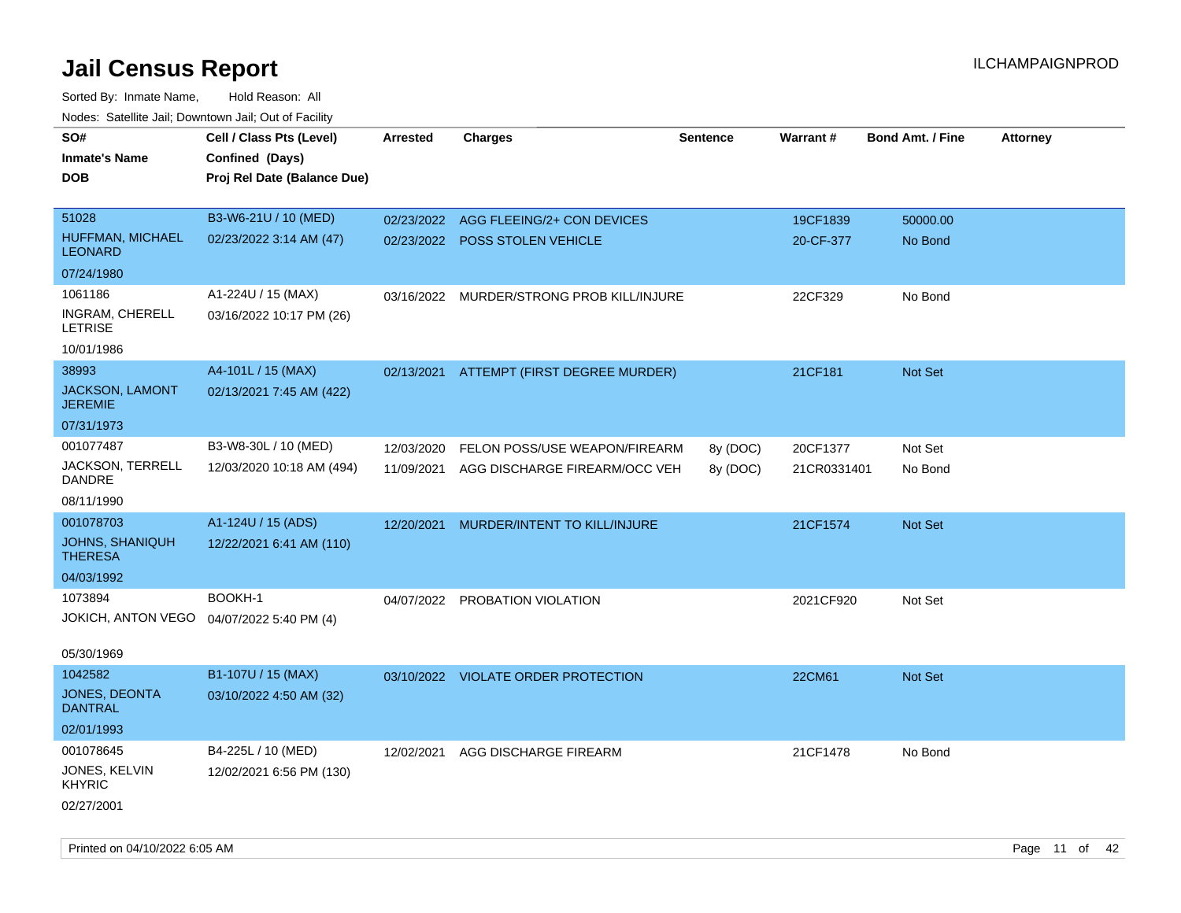| Noues. Salemie Jan, Downtown Jan, Out of Facility |                             |                 |                                     |                 |             |                         |                 |
|---------------------------------------------------|-----------------------------|-----------------|-------------------------------------|-----------------|-------------|-------------------------|-----------------|
| SO#                                               | Cell / Class Pts (Level)    | <b>Arrested</b> | <b>Charges</b>                      | <b>Sentence</b> | Warrant#    | <b>Bond Amt. / Fine</b> | <b>Attorney</b> |
| <b>Inmate's Name</b>                              | Confined (Days)             |                 |                                     |                 |             |                         |                 |
| DOB                                               | Proj Rel Date (Balance Due) |                 |                                     |                 |             |                         |                 |
|                                                   |                             |                 |                                     |                 |             |                         |                 |
| 51028                                             | B3-W6-21U / 10 (MED)        | 02/23/2022      | AGG FLEEING/2+ CON DEVICES          |                 | 19CF1839    | 50000.00                |                 |
| HUFFMAN, MICHAEL<br><b>LEONARD</b>                | 02/23/2022 3:14 AM (47)     |                 | 02/23/2022 POSS STOLEN VEHICLE      |                 | 20-CF-377   | No Bond                 |                 |
| 07/24/1980                                        |                             |                 |                                     |                 |             |                         |                 |
| 1061186                                           | A1-224U / 15 (MAX)          | 03/16/2022      | MURDER/STRONG PROB KILL/INJURE      |                 | 22CF329     | No Bond                 |                 |
| INGRAM, CHERELL<br><b>LETRISE</b>                 | 03/16/2022 10:17 PM (26)    |                 |                                     |                 |             |                         |                 |
| 10/01/1986                                        |                             |                 |                                     |                 |             |                         |                 |
| 38993                                             | A4-101L / 15 (MAX)          | 02/13/2021      | ATTEMPT (FIRST DEGREE MURDER)       |                 | 21CF181     | <b>Not Set</b>          |                 |
| <b>JACKSON, LAMONT</b><br><b>JEREMIE</b>          | 02/13/2021 7:45 AM (422)    |                 |                                     |                 |             |                         |                 |
| 07/31/1973                                        |                             |                 |                                     |                 |             |                         |                 |
| 001077487                                         | B3-W8-30L / 10 (MED)        | 12/03/2020      | FELON POSS/USE WEAPON/FIREARM       | 8y (DOC)        | 20CF1377    | Not Set                 |                 |
| JACKSON, TERRELL<br>DANDRE                        | 12/03/2020 10:18 AM (494)   | 11/09/2021      | AGG DISCHARGE FIREARM/OCC VEH       | 8y (DOC)        | 21CR0331401 | No Bond                 |                 |
| 08/11/1990                                        |                             |                 |                                     |                 |             |                         |                 |
| 001078703                                         | A1-124U / 15 (ADS)          | 12/20/2021      | MURDER/INTENT TO KILL/INJURE        |                 | 21CF1574    | Not Set                 |                 |
| <b>JOHNS, SHANIQUH</b><br><b>THERESA</b>          | 12/22/2021 6:41 AM (110)    |                 |                                     |                 |             |                         |                 |
| 04/03/1992                                        |                             |                 |                                     |                 |             |                         |                 |
| 1073894                                           | BOOKH-1                     |                 | 04/07/2022 PROBATION VIOLATION      |                 | 2021CF920   | Not Set                 |                 |
| JOKICH, ANTON VEGO  04/07/2022 5:40 PM (4)        |                             |                 |                                     |                 |             |                         |                 |
|                                                   |                             |                 |                                     |                 |             |                         |                 |
| 05/30/1969                                        |                             |                 |                                     |                 |             |                         |                 |
| 1042582                                           | B1-107U / 15 (MAX)          |                 | 03/10/2022 VIOLATE ORDER PROTECTION |                 | 22CM61      | <b>Not Set</b>          |                 |
| <b>JONES, DEONTA</b><br><b>DANTRAL</b>            | 03/10/2022 4:50 AM (32)     |                 |                                     |                 |             |                         |                 |
| 02/01/1993                                        |                             |                 |                                     |                 |             |                         |                 |
| 001078645                                         | B4-225L / 10 (MED)          | 12/02/2021      | AGG DISCHARGE FIREARM               |                 | 21CF1478    | No Bond                 |                 |
| JONES, KELVIN<br><b>KHYRIC</b>                    | 12/02/2021 6:56 PM (130)    |                 |                                     |                 |             |                         |                 |
| 02/27/2001                                        |                             |                 |                                     |                 |             |                         |                 |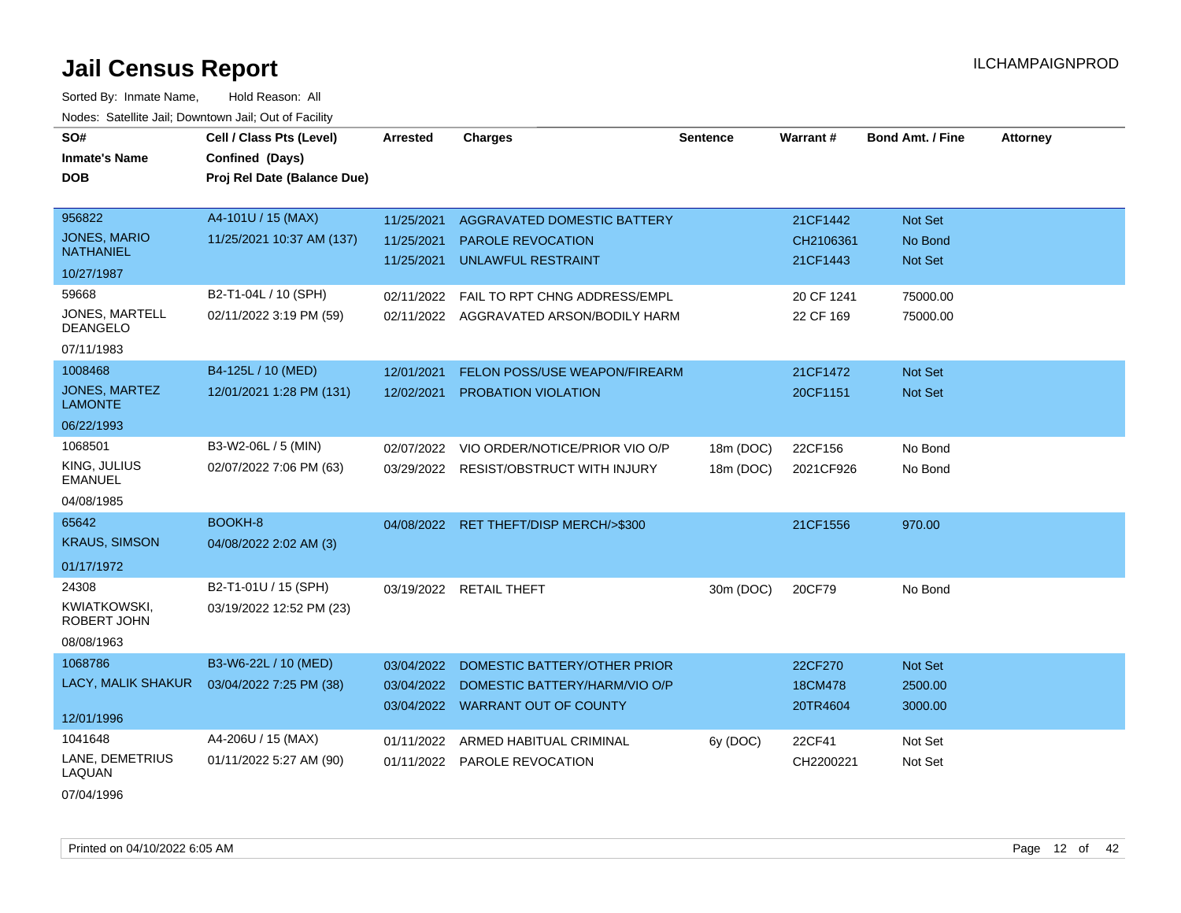| SO#                                | Cell / Class Pts (Level)    | <b>Arrested</b> | <b>Charges</b>                     | <b>Sentence</b> | <b>Warrant#</b> | <b>Bond Amt. / Fine</b> | <b>Attorney</b> |
|------------------------------------|-----------------------------|-----------------|------------------------------------|-----------------|-----------------|-------------------------|-----------------|
| <b>Inmate's Name</b>               | Confined (Days)             |                 |                                    |                 |                 |                         |                 |
| <b>DOB</b>                         | Proj Rel Date (Balance Due) |                 |                                    |                 |                 |                         |                 |
| 956822                             |                             |                 |                                    |                 |                 |                         |                 |
| <b>JONES, MARIO</b>                | A4-101U / 15 (MAX)          | 11/25/2021      | AGGRAVATED DOMESTIC BATTERY        |                 | 21CF1442        | Not Set                 |                 |
| <b>NATHANIEL</b>                   | 11/25/2021 10:37 AM (137)   | 11/25/2021      | <b>PAROLE REVOCATION</b>           |                 | CH2106361       | No Bond                 |                 |
| 10/27/1987                         |                             | 11/25/2021      | <b>UNLAWFUL RESTRAINT</b>          |                 | 21CF1443        | Not Set                 |                 |
| 59668                              | B2-T1-04L / 10 (SPH)        | 02/11/2022      | FAIL TO RPT CHNG ADDRESS/EMPL      |                 | 20 CF 1241      | 75000.00                |                 |
| JONES, MARTELL<br><b>DEANGELO</b>  | 02/11/2022 3:19 PM (59)     | 02/11/2022      | AGGRAVATED ARSON/BODILY HARM       |                 | 22 CF 169       | 75000.00                |                 |
| 07/11/1983                         |                             |                 |                                    |                 |                 |                         |                 |
| 1008468                            | B4-125L / 10 (MED)          | 12/01/2021      | FELON POSS/USE WEAPON/FIREARM      |                 | 21CF1472        | Not Set                 |                 |
| JONES, MARTEZ<br><b>LAMONTE</b>    | 12/01/2021 1:28 PM (131)    | 12/02/2021      | PROBATION VIOLATION                |                 | 20CF1151        | Not Set                 |                 |
| 06/22/1993                         |                             |                 |                                    |                 |                 |                         |                 |
| 1068501                            | B3-W2-06L / 5 (MIN)         | 02/07/2022      | VIO ORDER/NOTICE/PRIOR VIO O/P     | 18m (DOC)       | 22CF156         | No Bond                 |                 |
| KING, JULIUS<br><b>EMANUEL</b>     | 02/07/2022 7:06 PM (63)     | 03/29/2022      | <b>RESIST/OBSTRUCT WITH INJURY</b> | 18m (DOC)       | 2021CF926       | No Bond                 |                 |
| 04/08/1985                         |                             |                 |                                    |                 |                 |                         |                 |
| 65642                              | BOOKH-8                     | 04/08/2022      | RET THEFT/DISP MERCH/>\$300        |                 | 21CF1556        | 970.00                  |                 |
| <b>KRAUS, SIMSON</b>               | 04/08/2022 2:02 AM (3)      |                 |                                    |                 |                 |                         |                 |
| 01/17/1972                         |                             |                 |                                    |                 |                 |                         |                 |
| 24308                              | B2-T1-01U / 15 (SPH)        | 03/19/2022      | <b>RETAIL THEFT</b>                | 30m (DOC)       | 20CF79          | No Bond                 |                 |
| <b>KWIATKOWSKI,</b><br>ROBERT JOHN | 03/19/2022 12:52 PM (23)    |                 |                                    |                 |                 |                         |                 |
| 08/08/1963                         |                             |                 |                                    |                 |                 |                         |                 |
| 1068786                            | B3-W6-22L / 10 (MED)        | 03/04/2022      | DOMESTIC BATTERY/OTHER PRIOR       |                 | 22CF270         | Not Set                 |                 |
| LACY, MALIK SHAKUR                 | 03/04/2022 7:25 PM (38)     | 03/04/2022      | DOMESTIC BATTERY/HARM/VIO O/P      |                 | 18CM478         | 2500.00                 |                 |
| 12/01/1996                         |                             |                 | 03/04/2022 WARRANT OUT OF COUNTY   |                 | 20TR4604        | 3000.00                 |                 |
| 1041648                            | A4-206U / 15 (MAX)          | 01/11/2022      | ARMED HABITUAL CRIMINAL            | 6y (DOC)        | 22CF41          | Not Set                 |                 |
| LANE, DEMETRIUS<br>LAQUAN          | 01/11/2022 5:27 AM (90)     | 01/11/2022      | PAROLE REVOCATION                  |                 | CH2200221       | Not Set                 |                 |
| 07/04/1996                         |                             |                 |                                    |                 |                 |                         |                 |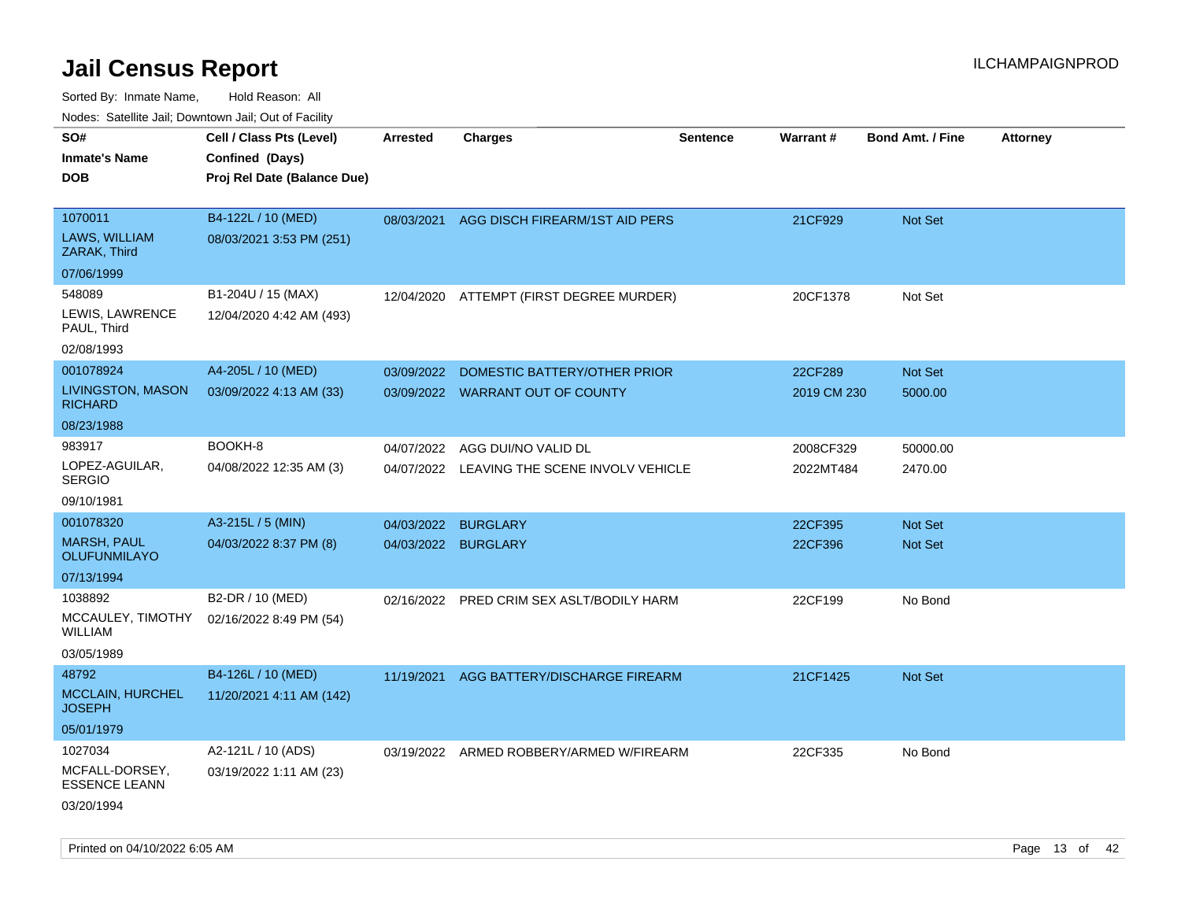| ivouss. Satellite Jali, Downtown Jali, Out of Facility |                             |                 |                                           |                 |             |                         |                 |
|--------------------------------------------------------|-----------------------------|-----------------|-------------------------------------------|-----------------|-------------|-------------------------|-----------------|
| SO#                                                    | Cell / Class Pts (Level)    | <b>Arrested</b> | <b>Charges</b>                            | <b>Sentence</b> | Warrant#    | <b>Bond Amt. / Fine</b> | <b>Attorney</b> |
| <b>Inmate's Name</b>                                   | Confined (Days)             |                 |                                           |                 |             |                         |                 |
| DOB                                                    | Proj Rel Date (Balance Due) |                 |                                           |                 |             |                         |                 |
|                                                        |                             |                 |                                           |                 |             |                         |                 |
| 1070011                                                | B4-122L / 10 (MED)          |                 | 08/03/2021 AGG DISCH FIREARM/1ST AID PERS |                 | 21CF929     | <b>Not Set</b>          |                 |
| LAWS, WILLIAM<br>ZARAK, Third                          | 08/03/2021 3:53 PM (251)    |                 |                                           |                 |             |                         |                 |
| 07/06/1999                                             |                             |                 |                                           |                 |             |                         |                 |
| 548089                                                 | B1-204U / 15 (MAX)          | 12/04/2020      | ATTEMPT (FIRST DEGREE MURDER)             |                 | 20CF1378    | Not Set                 |                 |
| LEWIS, LAWRENCE<br>PAUL, Third                         | 12/04/2020 4:42 AM (493)    |                 |                                           |                 |             |                         |                 |
| 02/08/1993                                             |                             |                 |                                           |                 |             |                         |                 |
| 001078924                                              | A4-205L / 10 (MED)          | 03/09/2022      | DOMESTIC BATTERY/OTHER PRIOR              |                 | 22CF289     | <b>Not Set</b>          |                 |
| LIVINGSTON, MASON<br><b>RICHARD</b>                    | 03/09/2022 4:13 AM (33)     |                 | 03/09/2022 WARRANT OUT OF COUNTY          |                 | 2019 CM 230 | 5000.00                 |                 |
| 08/23/1988                                             |                             |                 |                                           |                 |             |                         |                 |
| 983917                                                 | BOOKH-8                     | 04/07/2022      | AGG DUI/NO VALID DL                       |                 | 2008CF329   | 50000.00                |                 |
| LOPEZ-AGUILAR,<br>SERGIO                               | 04/08/2022 12:35 AM (3)     | 04/07/2022      | LEAVING THE SCENE INVOLV VEHICLE          |                 | 2022MT484   | 2470.00                 |                 |
| 09/10/1981                                             |                             |                 |                                           |                 |             |                         |                 |
| 001078320                                              | A3-215L / 5 (MIN)           | 04/03/2022      | <b>BURGLARY</b>                           |                 | 22CF395     | <b>Not Set</b>          |                 |
| MARSH, PAUL<br>OLUFUNMILAYO                            | 04/03/2022 8:37 PM (8)      | 04/03/2022      | <b>BURGLARY</b>                           |                 | 22CF396     | Not Set                 |                 |
| 07/13/1994                                             |                             |                 |                                           |                 |             |                         |                 |
| 1038892                                                | B2-DR / 10 (MED)            |                 | 02/16/2022 PRED CRIM SEX ASLT/BODILY HARM |                 | 22CF199     | No Bond                 |                 |
| MCCAULEY, TIMOTHY<br>WILLIAM                           | 02/16/2022 8:49 PM (54)     |                 |                                           |                 |             |                         |                 |
| 03/05/1989                                             |                             |                 |                                           |                 |             |                         |                 |
| 48792                                                  | B4-126L / 10 (MED)          | 11/19/2021      | AGG BATTERY/DISCHARGE FIREARM             |                 | 21CF1425    | <b>Not Set</b>          |                 |
| <b>MCCLAIN, HURCHEL</b><br>JOSEPH                      | 11/20/2021 4:11 AM (142)    |                 |                                           |                 |             |                         |                 |
| 05/01/1979                                             |                             |                 |                                           |                 |             |                         |                 |
| 1027034                                                | A2-121L / 10 (ADS)          | 03/19/2022      | ARMED ROBBERY/ARMED W/FIREARM             |                 | 22CF335     | No Bond                 |                 |
| MCFALL-DORSEY,<br><b>ESSENCE LEANN</b>                 | 03/19/2022 1:11 AM (23)     |                 |                                           |                 |             |                         |                 |
| 03/20/1994                                             |                             |                 |                                           |                 |             |                         |                 |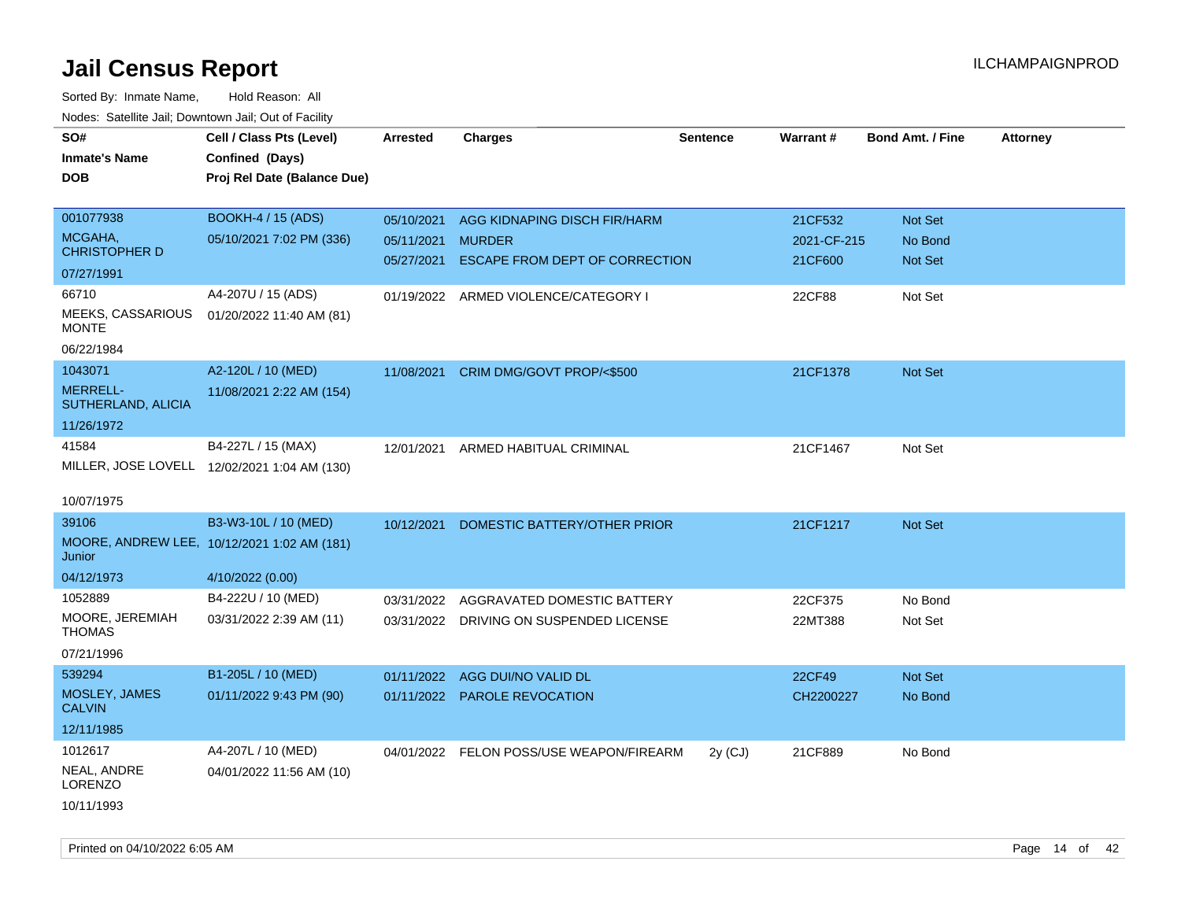| SO#                               | Cell / Class Pts (Level)                     | <b>Arrested</b> | <b>Charges</b>                           | <b>Sentence</b> | Warrant#    | <b>Bond Amt. / Fine</b> | <b>Attorney</b> |
|-----------------------------------|----------------------------------------------|-----------------|------------------------------------------|-----------------|-------------|-------------------------|-----------------|
| <b>Inmate's Name</b>              | Confined (Days)                              |                 |                                          |                 |             |                         |                 |
| <b>DOB</b>                        | Proj Rel Date (Balance Due)                  |                 |                                          |                 |             |                         |                 |
|                                   |                                              |                 |                                          |                 |             |                         |                 |
| 001077938                         | <b>BOOKH-4 / 15 (ADS)</b>                    | 05/10/2021      | AGG KIDNAPING DISCH FIR/HARM             |                 | 21CF532     | Not Set                 |                 |
| MCGAHA,                           | 05/10/2021 7:02 PM (336)                     | 05/11/2021      | <b>MURDER</b>                            |                 | 2021-CF-215 | No Bond                 |                 |
| <b>CHRISTOPHER D</b>              |                                              | 05/27/2021      | ESCAPE FROM DEPT OF CORRECTION           |                 | 21CF600     | Not Set                 |                 |
| 07/27/1991                        |                                              |                 |                                          |                 |             |                         |                 |
| 66710                             | A4-207U / 15 (ADS)                           |                 | 01/19/2022 ARMED VIOLENCE/CATEGORY I     |                 | 22CF88      | Not Set                 |                 |
| MEEKS, CASSARIOUS<br><b>MONTE</b> | 01/20/2022 11:40 AM (81)                     |                 |                                          |                 |             |                         |                 |
| 06/22/1984                        |                                              |                 |                                          |                 |             |                         |                 |
| 1043071                           | A2-120L / 10 (MED)                           | 11/08/2021      | CRIM DMG/GOVT PROP/<\$500                |                 | 21CF1378    | Not Set                 |                 |
| MERRELL-<br>SUTHERLAND, ALICIA    | 11/08/2021 2:22 AM (154)                     |                 |                                          |                 |             |                         |                 |
| 11/26/1972                        |                                              |                 |                                          |                 |             |                         |                 |
| 41584                             | B4-227L / 15 (MAX)                           | 12/01/2021      | ARMED HABITUAL CRIMINAL                  |                 | 21CF1467    | Not Set                 |                 |
|                                   | MILLER, JOSE LOVELL 12/02/2021 1:04 AM (130) |                 |                                          |                 |             |                         |                 |
|                                   |                                              |                 |                                          |                 |             |                         |                 |
| 10/07/1975                        |                                              |                 |                                          |                 |             |                         |                 |
| 39106                             | B3-W3-10L / 10 (MED)                         | 10/12/2021      | DOMESTIC BATTERY/OTHER PRIOR             |                 | 21CF1217    | <b>Not Set</b>          |                 |
| Junior                            | MOORE, ANDREW LEE, 10/12/2021 1:02 AM (181)  |                 |                                          |                 |             |                         |                 |
| 04/12/1973                        | 4/10/2022 (0.00)                             |                 |                                          |                 |             |                         |                 |
| 1052889                           | B4-222U / 10 (MED)                           | 03/31/2022      | AGGRAVATED DOMESTIC BATTERY              |                 | 22CF375     | No Bond                 |                 |
| MOORE, JEREMIAH<br><b>THOMAS</b>  | 03/31/2022 2:39 AM (11)                      |                 | 03/31/2022 DRIVING ON SUSPENDED LICENSE  |                 | 22MT388     | Not Set                 |                 |
| 07/21/1996                        |                                              |                 |                                          |                 |             |                         |                 |
| 539294                            | B1-205L / 10 (MED)                           | 01/11/2022      | AGG DUI/NO VALID DL                      |                 | 22CF49      | Not Set                 |                 |
| MOSLEY, JAMES<br><b>CALVIN</b>    | 01/11/2022 9:43 PM (90)                      |                 | 01/11/2022 PAROLE REVOCATION             |                 | CH2200227   | No Bond                 |                 |
| 12/11/1985                        |                                              |                 |                                          |                 |             |                         |                 |
| 1012617                           | A4-207L / 10 (MED)                           |                 | 04/01/2022 FELON POSS/USE WEAPON/FIREARM | $2y$ (CJ)       | 21CF889     | No Bond                 |                 |
| NEAL, ANDRE<br><b>LORENZO</b>     | 04/01/2022 11:56 AM (10)                     |                 |                                          |                 |             |                         |                 |
| 10/11/1993                        |                                              |                 |                                          |                 |             |                         |                 |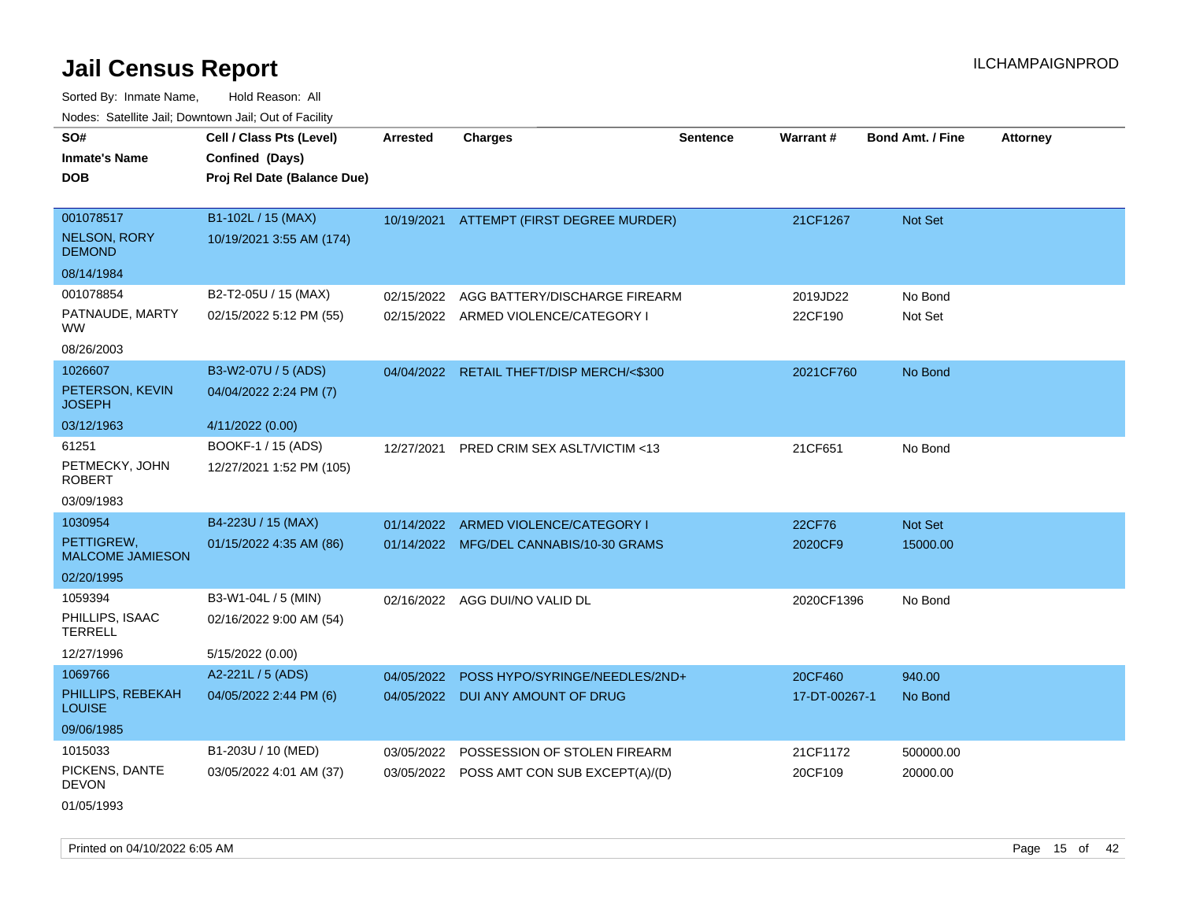Sorted By: Inmate Name, Hold Reason: All Nodes: Satellite Jail; Downtown Jail; Out of Facility

| roaco. Catolino cali, Downtown cali, Out of Fability |                             |                 |                                           |                 |               |                         |                 |
|------------------------------------------------------|-----------------------------|-----------------|-------------------------------------------|-----------------|---------------|-------------------------|-----------------|
| SO#                                                  | Cell / Class Pts (Level)    | <b>Arrested</b> | <b>Charges</b>                            | <b>Sentence</b> | Warrant#      | <b>Bond Amt. / Fine</b> | <b>Attorney</b> |
| <b>Inmate's Name</b>                                 | Confined (Days)             |                 |                                           |                 |               |                         |                 |
| <b>DOB</b>                                           | Proj Rel Date (Balance Due) |                 |                                           |                 |               |                         |                 |
|                                                      |                             |                 |                                           |                 |               |                         |                 |
| 001078517                                            | B1-102L / 15 (MAX)          |                 | 10/19/2021 ATTEMPT (FIRST DEGREE MURDER)  |                 | 21CF1267      | Not Set                 |                 |
| <b>NELSON, RORY</b><br><b>DEMOND</b>                 | 10/19/2021 3:55 AM (174)    |                 |                                           |                 |               |                         |                 |
| 08/14/1984                                           |                             |                 |                                           |                 |               |                         |                 |
| 001078854                                            | B2-T2-05U / 15 (MAX)        | 02/15/2022      | AGG BATTERY/DISCHARGE FIREARM             |                 | 2019JD22      | No Bond                 |                 |
| PATNAUDE, MARTY<br><b>WW</b>                         | 02/15/2022 5:12 PM (55)     |                 | 02/15/2022 ARMED VIOLENCE/CATEGORY I      |                 | 22CF190       | Not Set                 |                 |
| 08/26/2003                                           |                             |                 |                                           |                 |               |                         |                 |
| 1026607                                              | B3-W2-07U / 5 (ADS)         |                 | 04/04/2022 RETAIL THEFT/DISP MERCH/<\$300 |                 | 2021CF760     | No Bond                 |                 |
| PETERSON, KEVIN<br><b>JOSEPH</b>                     | 04/04/2022 2:24 PM (7)      |                 |                                           |                 |               |                         |                 |
| 03/12/1963                                           | 4/11/2022 (0.00)            |                 |                                           |                 |               |                         |                 |
| 61251                                                | BOOKF-1 / 15 (ADS)          | 12/27/2021      | PRED CRIM SEX ASLT/VICTIM <13             |                 | 21CF651       | No Bond                 |                 |
| PETMECKY, JOHN<br><b>ROBERT</b>                      | 12/27/2021 1:52 PM (105)    |                 |                                           |                 |               |                         |                 |
| 03/09/1983                                           |                             |                 |                                           |                 |               |                         |                 |
| 1030954                                              | B4-223U / 15 (MAX)          |                 | 01/14/2022 ARMED VIOLENCE/CATEGORY I      |                 | 22CF76        | Not Set                 |                 |
| PETTIGREW.<br><b>MALCOME JAMIESON</b>                | 01/15/2022 4:35 AM (86)     |                 | 01/14/2022 MFG/DEL CANNABIS/10-30 GRAMS   |                 | 2020CF9       | 15000.00                |                 |
| 02/20/1995                                           |                             |                 |                                           |                 |               |                         |                 |
| 1059394                                              | B3-W1-04L / 5 (MIN)         |                 | 02/16/2022 AGG DUI/NO VALID DL            |                 | 2020CF1396    | No Bond                 |                 |
| PHILLIPS, ISAAC<br><b>TERRELL</b>                    | 02/16/2022 9:00 AM (54)     |                 |                                           |                 |               |                         |                 |
| 12/27/1996                                           | 5/15/2022 (0.00)            |                 |                                           |                 |               |                         |                 |
| 1069766                                              | A2-221L / 5 (ADS)           | 04/05/2022      | POSS HYPO/SYRINGE/NEEDLES/2ND+            |                 | 20CF460       | 940.00                  |                 |
| PHILLIPS, REBEKAH<br><b>LOUISE</b>                   | 04/05/2022 2:44 PM (6)      |                 | 04/05/2022 DUI ANY AMOUNT OF DRUG         |                 | 17-DT-00267-1 | No Bond                 |                 |
| 09/06/1985                                           |                             |                 |                                           |                 |               |                         |                 |
| 1015033                                              | B1-203U / 10 (MED)          | 03/05/2022      | POSSESSION OF STOLEN FIREARM              |                 | 21CF1172      | 500000.00               |                 |
| PICKENS, DANTE<br><b>DEVON</b>                       | 03/05/2022 4:01 AM (37)     |                 | 03/05/2022 POSS AMT CON SUB EXCEPT(A)/(D) |                 | 20CF109       | 20000.00                |                 |
| 01/05/1993                                           |                             |                 |                                           |                 |               |                         |                 |

Printed on 04/10/2022 6:05 AM Page 15 of 42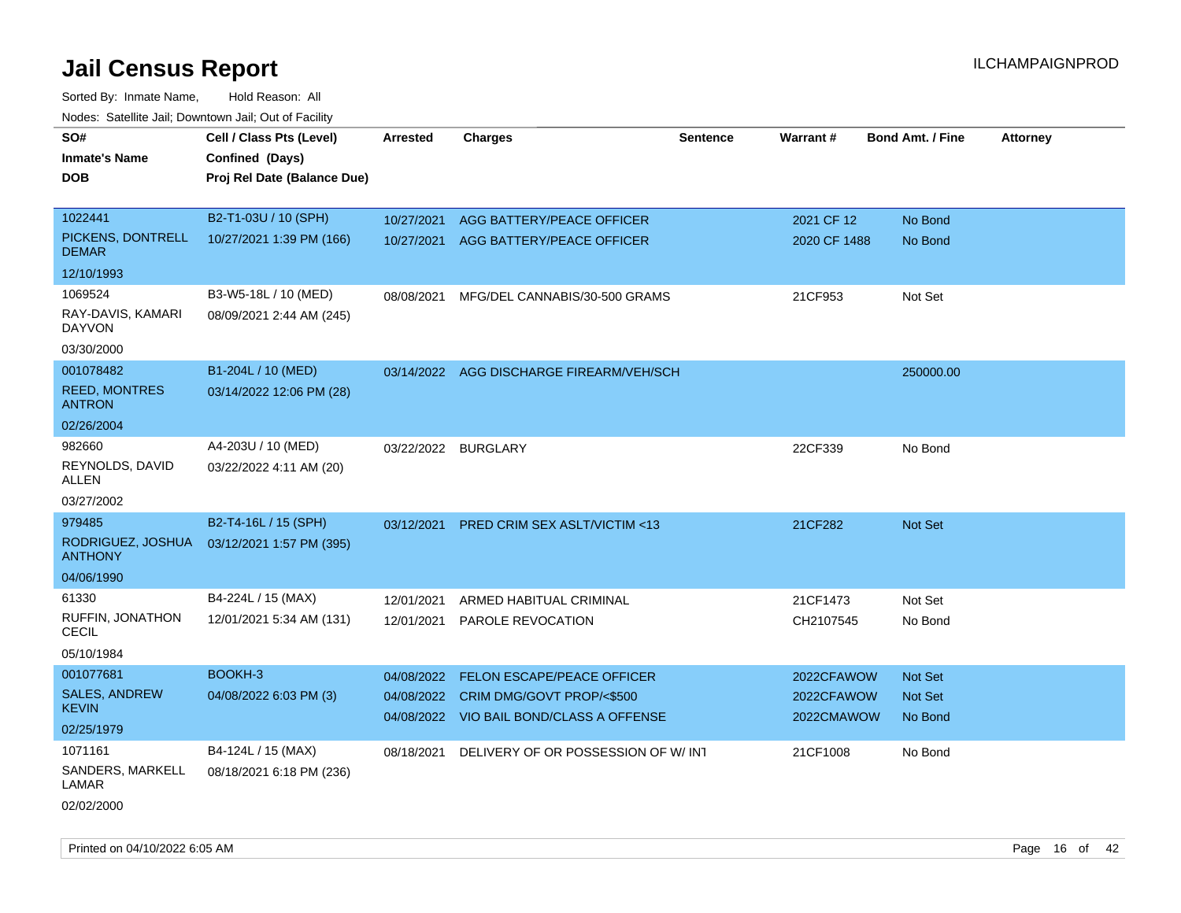| roaco. Catolino cali, Domntonn cali, Out of Facility |                             |                 |                                          |                 |              |                         |                 |
|------------------------------------------------------|-----------------------------|-----------------|------------------------------------------|-----------------|--------------|-------------------------|-----------------|
| SO#                                                  | Cell / Class Pts (Level)    | <b>Arrested</b> | Charges                                  | <b>Sentence</b> | Warrant#     | <b>Bond Amt. / Fine</b> | <b>Attorney</b> |
| <b>Inmate's Name</b>                                 | Confined (Days)             |                 |                                          |                 |              |                         |                 |
| <b>DOB</b>                                           | Proj Rel Date (Balance Due) |                 |                                          |                 |              |                         |                 |
|                                                      |                             |                 |                                          |                 |              |                         |                 |
| 1022441                                              | B2-T1-03U / 10 (SPH)        | 10/27/2021      | AGG BATTERY/PEACE OFFICER                |                 | 2021 CF 12   | No Bond                 |                 |
| PICKENS, DONTRELL<br><b>DEMAR</b>                    | 10/27/2021 1:39 PM (166)    |                 | 10/27/2021 AGG BATTERY/PEACE OFFICER     |                 | 2020 CF 1488 | No Bond                 |                 |
| 12/10/1993                                           |                             |                 |                                          |                 |              |                         |                 |
| 1069524                                              | B3-W5-18L / 10 (MED)        | 08/08/2021      | MFG/DEL CANNABIS/30-500 GRAMS            |                 | 21CF953      | Not Set                 |                 |
| RAY-DAVIS, KAMARI<br><b>DAYVON</b>                   | 08/09/2021 2:44 AM (245)    |                 |                                          |                 |              |                         |                 |
| 03/30/2000                                           |                             |                 |                                          |                 |              |                         |                 |
| 001078482                                            | B1-204L / 10 (MED)          |                 | 03/14/2022 AGG DISCHARGE FIREARM/VEH/SCH |                 |              | 250000.00               |                 |
| <b>REED, MONTRES</b><br><b>ANTRON</b>                | 03/14/2022 12:06 PM (28)    |                 |                                          |                 |              |                         |                 |
| 02/26/2004                                           |                             |                 |                                          |                 |              |                         |                 |
| 982660                                               | A4-203U / 10 (MED)          |                 | 03/22/2022 BURGLARY                      |                 | 22CF339      | No Bond                 |                 |
| REYNOLDS, DAVID<br>ALLEN                             | 03/22/2022 4:11 AM (20)     |                 |                                          |                 |              |                         |                 |
| 03/27/2002                                           |                             |                 |                                          |                 |              |                         |                 |
| 979485                                               | B2-T4-16L / 15 (SPH)        | 03/12/2021      | <b>PRED CRIM SEX ASLT/VICTIM &lt;13</b>  |                 | 21CF282      | Not Set                 |                 |
| RODRIGUEZ, JOSHUA<br><b>ANTHONY</b>                  | 03/12/2021 1:57 PM (395)    |                 |                                          |                 |              |                         |                 |
| 04/06/1990                                           |                             |                 |                                          |                 |              |                         |                 |
| 61330                                                | B4-224L / 15 (MAX)          | 12/01/2021      | ARMED HABITUAL CRIMINAL                  |                 | 21CF1473     | Not Set                 |                 |
| RUFFIN, JONATHON<br>CECIL                            | 12/01/2021 5:34 AM (131)    | 12/01/2021      | <b>PAROLE REVOCATION</b>                 |                 | CH2107545    | No Bond                 |                 |
| 05/10/1984                                           |                             |                 |                                          |                 |              |                         |                 |
| 001077681                                            | BOOKH-3                     | 04/08/2022      | FELON ESCAPE/PEACE OFFICER               |                 | 2022CFAWOW   | Not Set                 |                 |
| <b>SALES, ANDREW</b><br><b>KEVIN</b>                 | 04/08/2022 6:03 PM (3)      |                 | 04/08/2022 CRIM DMG/GOVT PROP/<\$500     |                 | 2022CFAWOW   | Not Set                 |                 |
| 02/25/1979                                           |                             |                 | 04/08/2022 VIO BAIL BOND/CLASS A OFFENSE |                 | 2022CMAWOW   | No Bond                 |                 |
| 1071161                                              | B4-124L / 15 (MAX)          | 08/18/2021      | DELIVERY OF OR POSSESSION OF W/INT       |                 | 21CF1008     | No Bond                 |                 |
| SANDERS, MARKELL<br>LAMAR                            | 08/18/2021 6:18 PM (236)    |                 |                                          |                 |              |                         |                 |
| 02/02/2000                                           |                             |                 |                                          |                 |              |                         |                 |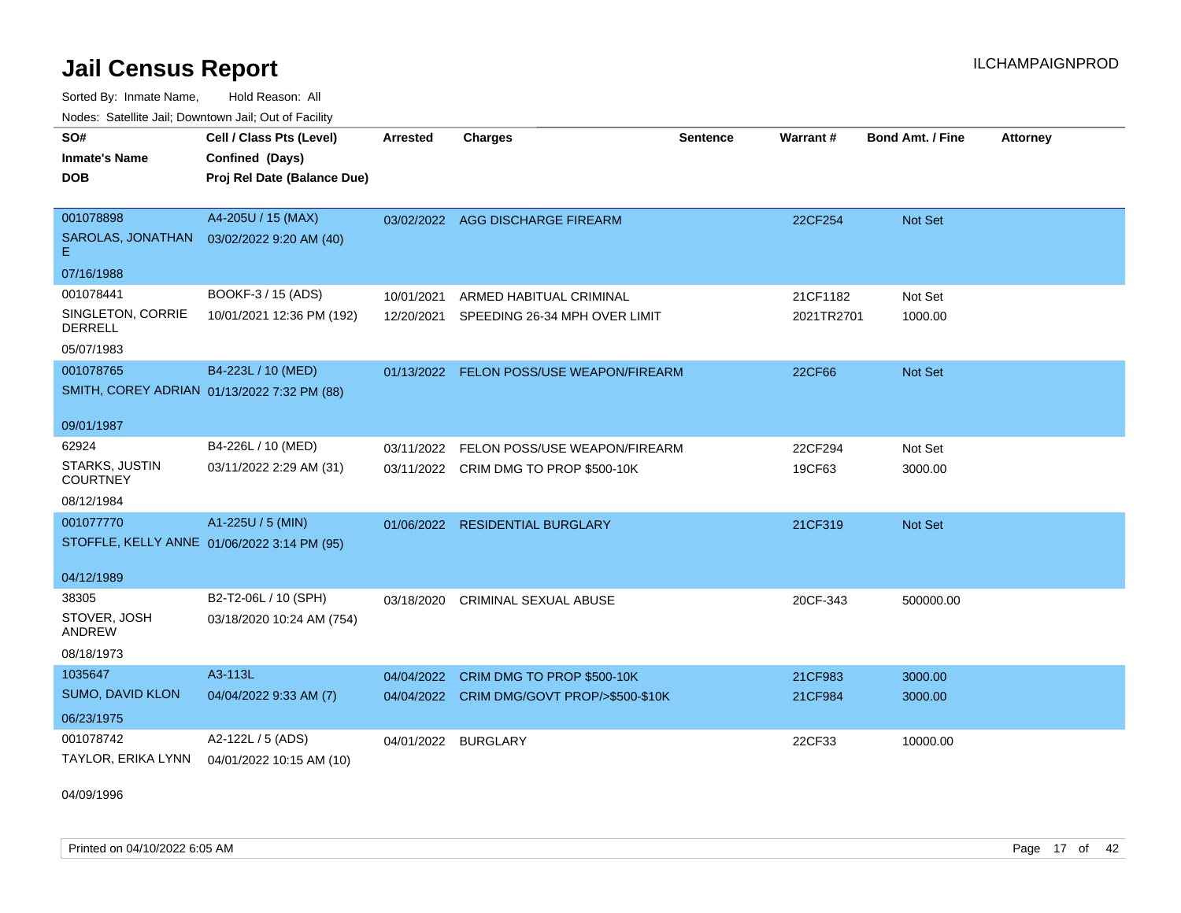Sorted By: Inmate Name, Hold Reason: All Nodes: Satellite Jail; Downtown Jail; Out of Facility

| Noucs. Catchitic sail, Downtown sail, Out of Facility |                                             |                     |                                            |                 |                 |                         |                 |
|-------------------------------------------------------|---------------------------------------------|---------------------|--------------------------------------------|-----------------|-----------------|-------------------------|-----------------|
| SO#                                                   | Cell / Class Pts (Level)                    | Arrested            | <b>Charges</b>                             | <b>Sentence</b> | <b>Warrant#</b> | <b>Bond Amt. / Fine</b> | <b>Attorney</b> |
| <b>Inmate's Name</b>                                  | Confined (Days)                             |                     |                                            |                 |                 |                         |                 |
| <b>DOB</b>                                            | Proj Rel Date (Balance Due)                 |                     |                                            |                 |                 |                         |                 |
|                                                       |                                             |                     |                                            |                 |                 |                         |                 |
| 001078898                                             | A4-205U / 15 (MAX)                          |                     | 03/02/2022 AGG DISCHARGE FIREARM           |                 | 22CF254         | <b>Not Set</b>          |                 |
| E.                                                    | SAROLAS, JONATHAN  03/02/2022 9:20 AM (40)  |                     |                                            |                 |                 |                         |                 |
| 07/16/1988                                            |                                             |                     |                                            |                 |                 |                         |                 |
| 001078441                                             | BOOKF-3 / 15 (ADS)                          | 10/01/2021          | ARMED HABITUAL CRIMINAL                    |                 | 21CF1182        | Not Set                 |                 |
| SINGLETON, CORRIE<br><b>DERRELL</b>                   | 10/01/2021 12:36 PM (192)                   | 12/20/2021          | SPEEDING 26-34 MPH OVER LIMIT              |                 | 2021TR2701      | 1000.00                 |                 |
| 05/07/1983                                            |                                             |                     |                                            |                 |                 |                         |                 |
| 001078765                                             | B4-223L / 10 (MED)                          |                     | 01/13/2022 FELON POSS/USE WEAPON/FIREARM   |                 | 22CF66          | <b>Not Set</b>          |                 |
|                                                       | SMITH, COREY ADRIAN 01/13/2022 7:32 PM (88) |                     |                                            |                 |                 |                         |                 |
|                                                       |                                             |                     |                                            |                 |                 |                         |                 |
| 09/01/1987                                            |                                             |                     |                                            |                 |                 |                         |                 |
| 62924                                                 | B4-226L / 10 (MED)                          |                     | 03/11/2022 FELON POSS/USE WEAPON/FIREARM   |                 | 22CF294         | Not Set                 |                 |
| STARKS, JUSTIN<br><b>COURTNEY</b>                     | 03/11/2022 2:29 AM (31)                     |                     | 03/11/2022 CRIM DMG TO PROP \$500-10K      |                 | 19CF63          | 3000.00                 |                 |
| 08/12/1984                                            |                                             |                     |                                            |                 |                 |                         |                 |
| 001077770                                             | A1-225U / 5 (MIN)                           |                     | 01/06/2022 RESIDENTIAL BURGLARY            |                 | 21CF319         | Not Set                 |                 |
|                                                       | STOFFLE, KELLY ANNE 01/06/2022 3:14 PM (95) |                     |                                            |                 |                 |                         |                 |
|                                                       |                                             |                     |                                            |                 |                 |                         |                 |
| 04/12/1989                                            |                                             |                     |                                            |                 |                 |                         |                 |
| 38305                                                 | B2-T2-06L / 10 (SPH)                        |                     | 03/18/2020 CRIMINAL SEXUAL ABUSE           |                 | 20CF-343        | 500000.00               |                 |
| STOVER, JOSH<br><b>ANDREW</b>                         | 03/18/2020 10:24 AM (754)                   |                     |                                            |                 |                 |                         |                 |
| 08/18/1973                                            |                                             |                     |                                            |                 |                 |                         |                 |
| 1035647                                               | A3-113L                                     | 04/04/2022          | CRIM DMG TO PROP \$500-10K                 |                 | 21CF983         | 3000.00                 |                 |
| SUMO, DAVID KLON                                      | 04/04/2022 9:33 AM (7)                      |                     | 04/04/2022 CRIM DMG/GOVT PROP/>\$500-\$10K |                 | 21CF984         | 3000.00                 |                 |
| 06/23/1975                                            |                                             |                     |                                            |                 |                 |                         |                 |
| 001078742                                             | A2-122L / 5 (ADS)                           | 04/01/2022 BURGLARY |                                            |                 | 22CF33          | 10000.00                |                 |
| TAYLOR, ERIKA LYNN                                    | 04/01/2022 10:15 AM (10)                    |                     |                                            |                 |                 |                         |                 |

04/09/1996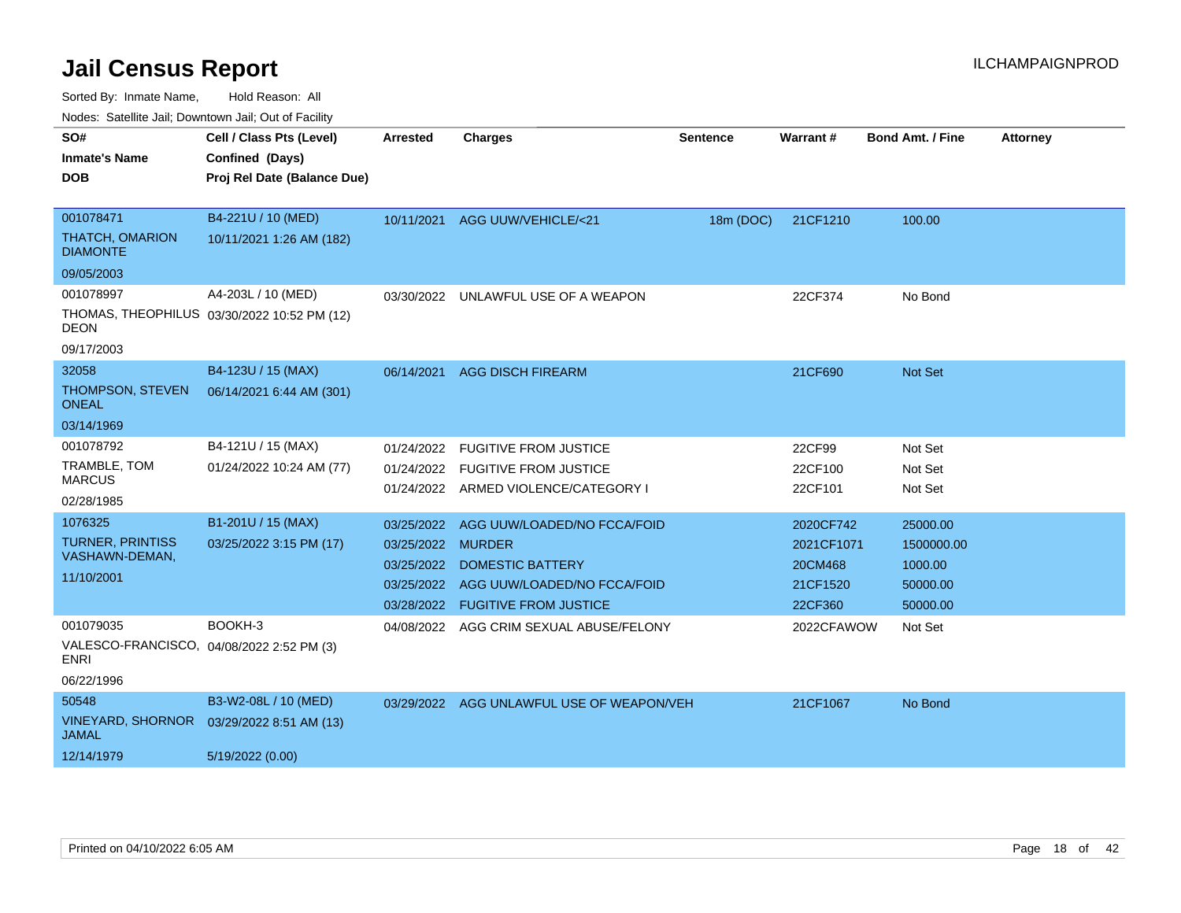Sorted By: Inmate Name, Hold Reason: All

Nodes: Satellite Jail; Downtown Jail; Out of Facility

| SO#                                                      | Cell / Class Pts (Level)                    | Arrested          | <b>Charges</b>                            | <b>Sentence</b> | <b>Warrant#</b> | <b>Bond Amt. / Fine</b> | <b>Attorney</b> |
|----------------------------------------------------------|---------------------------------------------|-------------------|-------------------------------------------|-----------------|-----------------|-------------------------|-----------------|
| <b>Inmate's Name</b>                                     | Confined (Days)                             |                   |                                           |                 |                 |                         |                 |
| <b>DOB</b>                                               | Proj Rel Date (Balance Due)                 |                   |                                           |                 |                 |                         |                 |
|                                                          |                                             |                   |                                           |                 |                 |                         |                 |
| 001078471                                                | B4-221U / 10 (MED)                          | 10/11/2021        | AGG UUW/VEHICLE/<21                       | 18m (DOC)       | 21CF1210        | 100.00                  |                 |
| <b>THATCH, OMARION</b><br><b>DIAMONTE</b>                | 10/11/2021 1:26 AM (182)                    |                   |                                           |                 |                 |                         |                 |
| 09/05/2003                                               |                                             |                   |                                           |                 |                 |                         |                 |
| 001078997                                                | A4-203L / 10 (MED)                          |                   | 03/30/2022 UNLAWFUL USE OF A WEAPON       |                 | 22CF374         | No Bond                 |                 |
| <b>DEON</b>                                              | THOMAS, THEOPHILUS 03/30/2022 10:52 PM (12) |                   |                                           |                 |                 |                         |                 |
| 09/17/2003                                               |                                             |                   |                                           |                 |                 |                         |                 |
| 32058                                                    | B4-123U / 15 (MAX)                          | 06/14/2021        | <b>AGG DISCH FIREARM</b>                  |                 | 21CF690         | <b>Not Set</b>          |                 |
| THOMPSON, STEVEN<br><b>ONEAL</b>                         | 06/14/2021 6:44 AM (301)                    |                   |                                           |                 |                 |                         |                 |
| 03/14/1969                                               |                                             |                   |                                           |                 |                 |                         |                 |
| 001078792                                                | B4-121U / 15 (MAX)                          | 01/24/2022        | <b>FUGITIVE FROM JUSTICE</b>              |                 | 22CF99          | Not Set                 |                 |
| TRAMBLE, TOM                                             | 01/24/2022 10:24 AM (77)                    | 01/24/2022        | <b>FUGITIVE FROM JUSTICE</b>              |                 | 22CF100         | Not Set                 |                 |
| <b>MARCUS</b>                                            |                                             |                   | 01/24/2022 ARMED VIOLENCE/CATEGORY I      |                 | 22CF101         | Not Set                 |                 |
| 02/28/1985                                               |                                             |                   |                                           |                 |                 |                         |                 |
| 1076325                                                  | B1-201U / 15 (MAX)                          | 03/25/2022        | AGG UUW/LOADED/NO FCCA/FOID               |                 | 2020CF742       | 25000.00                |                 |
| <b>TURNER, PRINTISS</b><br>VASHAWN-DEMAN,                | 03/25/2022 3:15 PM (17)                     | 03/25/2022 MURDER |                                           |                 | 2021CF1071      | 1500000.00              |                 |
| 11/10/2001                                               |                                             | 03/25/2022        | <b>DOMESTIC BATTERY</b>                   |                 | 20CM468         | 1000.00                 |                 |
|                                                          |                                             | 03/25/2022        | AGG UUW/LOADED/NO FCCA/FOID               |                 | 21CF1520        | 50000.00                |                 |
|                                                          |                                             |                   | 03/28/2022 FUGITIVE FROM JUSTICE          |                 | 22CF360         | 50000.00                |                 |
| 001079035                                                | BOOKH-3                                     | 04/08/2022        | AGG CRIM SEXUAL ABUSE/FELONY              |                 | 2022CFAWOW      | Not Set                 |                 |
| VALESCO-FRANCISCO, 04/08/2022 2:52 PM (3)<br><b>ENRI</b> |                                             |                   |                                           |                 |                 |                         |                 |
| 06/22/1996                                               |                                             |                   |                                           |                 |                 |                         |                 |
| 50548                                                    | B3-W2-08L / 10 (MED)                        |                   | 03/29/2022 AGG UNLAWFUL USE OF WEAPON/VEH |                 | 21CF1067        | No Bond                 |                 |
| <b>VINEYARD, SHORNOR</b><br><b>JAMAL</b>                 | 03/29/2022 8:51 AM (13)                     |                   |                                           |                 |                 |                         |                 |
| 12/14/1979                                               | 5/19/2022 (0.00)                            |                   |                                           |                 |                 |                         |                 |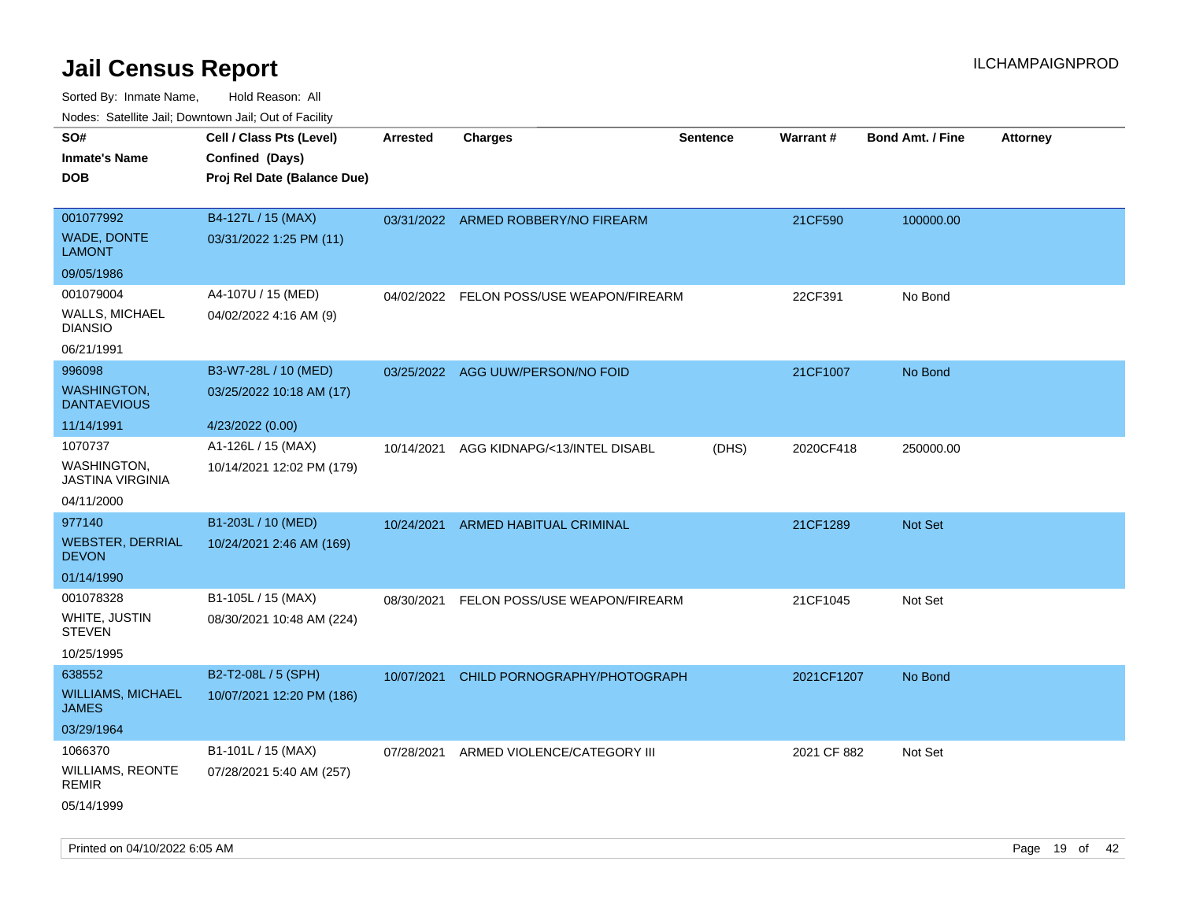| ivouss. Saleline Jali, Downtown Jali, Out of Facility |                             |            |                                     |                 |                 |                         |                 |
|-------------------------------------------------------|-----------------------------|------------|-------------------------------------|-----------------|-----------------|-------------------------|-----------------|
| SO#                                                   | Cell / Class Pts (Level)    | Arrested   | <b>Charges</b>                      | <b>Sentence</b> | <b>Warrant#</b> | <b>Bond Amt. / Fine</b> | <b>Attorney</b> |
| Inmate's Name                                         | Confined (Days)             |            |                                     |                 |                 |                         |                 |
| DOB                                                   | Proj Rel Date (Balance Due) |            |                                     |                 |                 |                         |                 |
|                                                       |                             |            |                                     |                 |                 |                         |                 |
| 001077992                                             | B4-127L / 15 (MAX)          |            | 03/31/2022 ARMED ROBBERY/NO FIREARM |                 | 21CF590         | 100000.00               |                 |
| <b>WADE, DONTE</b><br>LAMONT                          | 03/31/2022 1:25 PM (11)     |            |                                     |                 |                 |                         |                 |
| 09/05/1986                                            |                             |            |                                     |                 |                 |                         |                 |
| 001079004                                             | A4-107U / 15 (MED)          | 04/02/2022 | FELON POSS/USE WEAPON/FIREARM       |                 | 22CF391         | No Bond                 |                 |
| <b>WALLS, MICHAEL</b><br>DIANSIO                      | 04/02/2022 4:16 AM (9)      |            |                                     |                 |                 |                         |                 |
| 06/21/1991                                            |                             |            |                                     |                 |                 |                         |                 |
| 996098                                                | B3-W7-28L / 10 (MED)        |            | 03/25/2022 AGG UUW/PERSON/NO FOID   |                 | 21CF1007        | No Bond                 |                 |
| WASHINGTON,<br><b>DANTAEVIOUS</b>                     | 03/25/2022 10:18 AM (17)    |            |                                     |                 |                 |                         |                 |
| 11/14/1991                                            | 4/23/2022 (0.00)            |            |                                     |                 |                 |                         |                 |
| 1070737                                               | A1-126L / 15 (MAX)          | 10/14/2021 | AGG KIDNAPG/<13/INTEL DISABL        | (DHS)           | 2020CF418       | 250000.00               |                 |
| WASHINGTON.<br>JASTINA VIRGINIA                       | 10/14/2021 12:02 PM (179)   |            |                                     |                 |                 |                         |                 |
| 04/11/2000                                            |                             |            |                                     |                 |                 |                         |                 |
| 977140                                                | B1-203L / 10 (MED)          | 10/24/2021 | ARMED HABITUAL CRIMINAL             |                 | 21CF1289        | Not Set                 |                 |
| <b>WEBSTER, DERRIAL</b><br><b>DEVON</b>               | 10/24/2021 2:46 AM (169)    |            |                                     |                 |                 |                         |                 |
| 01/14/1990                                            |                             |            |                                     |                 |                 |                         |                 |
| 001078328                                             | B1-105L / 15 (MAX)          | 08/30/2021 | FELON POSS/USE WEAPON/FIREARM       |                 | 21CF1045        | Not Set                 |                 |
| WHITE, JUSTIN<br>STEVEN                               | 08/30/2021 10:48 AM (224)   |            |                                     |                 |                 |                         |                 |
| 10/25/1995                                            |                             |            |                                     |                 |                 |                         |                 |
| 638552                                                | B2-T2-08L / 5 (SPH)         | 10/07/2021 | CHILD PORNOGRAPHY/PHOTOGRAPH        |                 | 2021CF1207      | No Bond                 |                 |
| WILLIAMS, MICHAEL<br>JAMES                            | 10/07/2021 12:20 PM (186)   |            |                                     |                 |                 |                         |                 |
| 03/29/1964                                            |                             |            |                                     |                 |                 |                         |                 |
| 1066370                                               | B1-101L / 15 (MAX)          | 07/28/2021 | ARMED VIOLENCE/CATEGORY III         |                 | 2021 CF 882     | Not Set                 |                 |
| WILLIAMS, REONTE<br>REMIR                             | 07/28/2021 5:40 AM (257)    |            |                                     |                 |                 |                         |                 |
| 05/14/1999                                            |                             |            |                                     |                 |                 |                         |                 |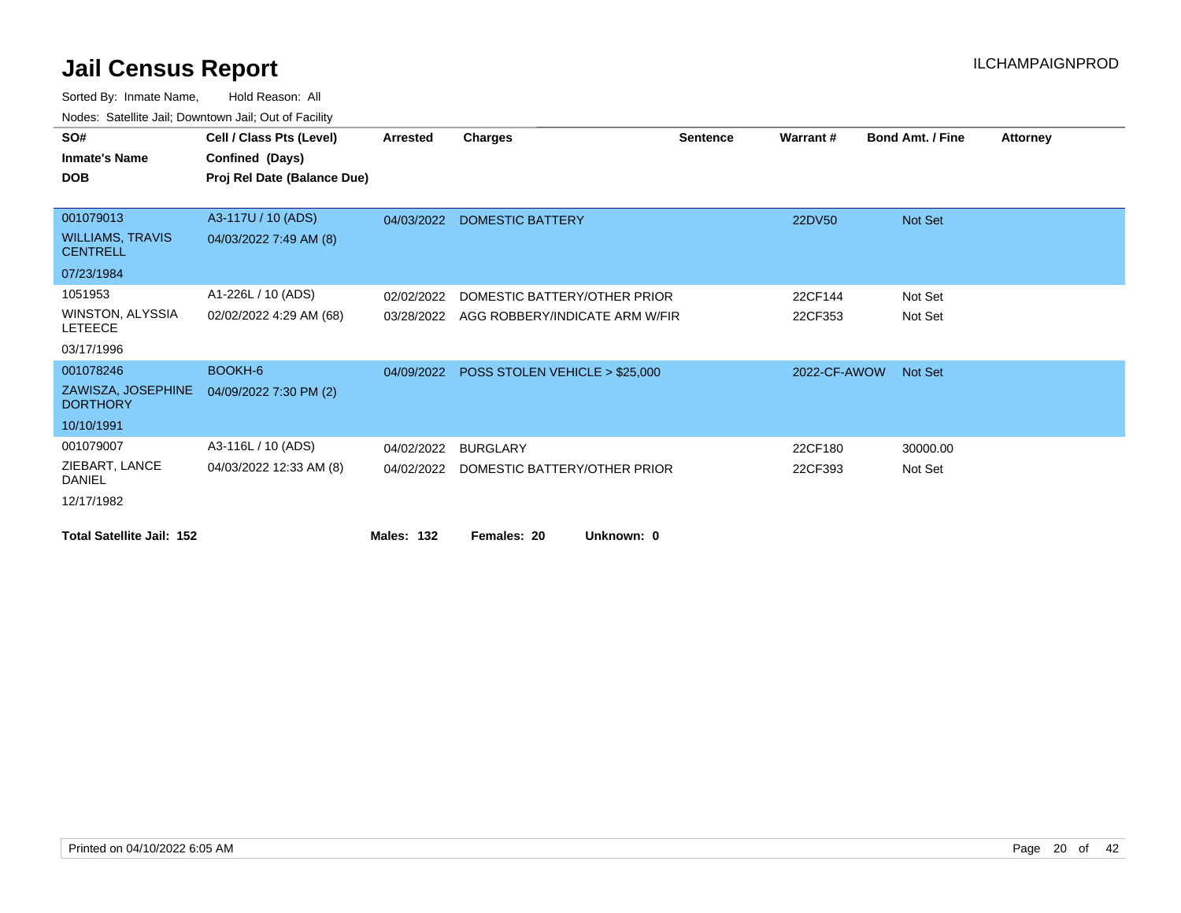| SO#                                        | Cell / Class Pts (Level)    | <b>Arrested</b>   | <b>Charges</b>                 | <b>Sentence</b> | Warrant#     | <b>Bond Amt. / Fine</b> | <b>Attorney</b> |
|--------------------------------------------|-----------------------------|-------------------|--------------------------------|-----------------|--------------|-------------------------|-----------------|
| <b>Inmate's Name</b>                       | Confined (Days)             |                   |                                |                 |              |                         |                 |
| <b>DOB</b>                                 | Proj Rel Date (Balance Due) |                   |                                |                 |              |                         |                 |
|                                            |                             |                   |                                |                 |              |                         |                 |
| 001079013                                  | A3-117U / 10 (ADS)          | 04/03/2022        | <b>DOMESTIC BATTERY</b>        |                 | 22DV50       | <b>Not Set</b>          |                 |
| <b>WILLIAMS, TRAVIS</b><br><b>CENTRELL</b> | 04/03/2022 7:49 AM (8)      |                   |                                |                 |              |                         |                 |
| 07/23/1984                                 |                             |                   |                                |                 |              |                         |                 |
| 1051953                                    | A1-226L / 10 (ADS)          | 02/02/2022        | DOMESTIC BATTERY/OTHER PRIOR   |                 | 22CF144      | Not Set                 |                 |
| WINSTON, ALYSSIA<br><b>LETEECE</b>         | 02/02/2022 4:29 AM (68)     | 03/28/2022        | AGG ROBBERY/INDICATE ARM W/FIR |                 | 22CF353      | Not Set                 |                 |
| 03/17/1996                                 |                             |                   |                                |                 |              |                         |                 |
| 001078246                                  | BOOKH-6                     | 04/09/2022        | POSS STOLEN VEHICLE > \$25,000 |                 | 2022-CF-AWOW | <b>Not Set</b>          |                 |
| ZAWISZA, JOSEPHINE<br><b>DORTHORY</b>      | 04/09/2022 7:30 PM (2)      |                   |                                |                 |              |                         |                 |
| 10/10/1991                                 |                             |                   |                                |                 |              |                         |                 |
| 001079007                                  | A3-116L / 10 (ADS)          | 04/02/2022        | <b>BURGLARY</b>                |                 | 22CF180      | 30000.00                |                 |
| ZIEBART, LANCE<br><b>DANIEL</b>            | 04/03/2022 12:33 AM (8)     | 04/02/2022        | DOMESTIC BATTERY/OTHER PRIOR   |                 | 22CF393      | Not Set                 |                 |
| 12/17/1982                                 |                             |                   |                                |                 |              |                         |                 |
| <b>Total Satellite Jail: 152</b>           |                             | <b>Males: 132</b> | Females: 20<br>Unknown: 0      |                 |              |                         |                 |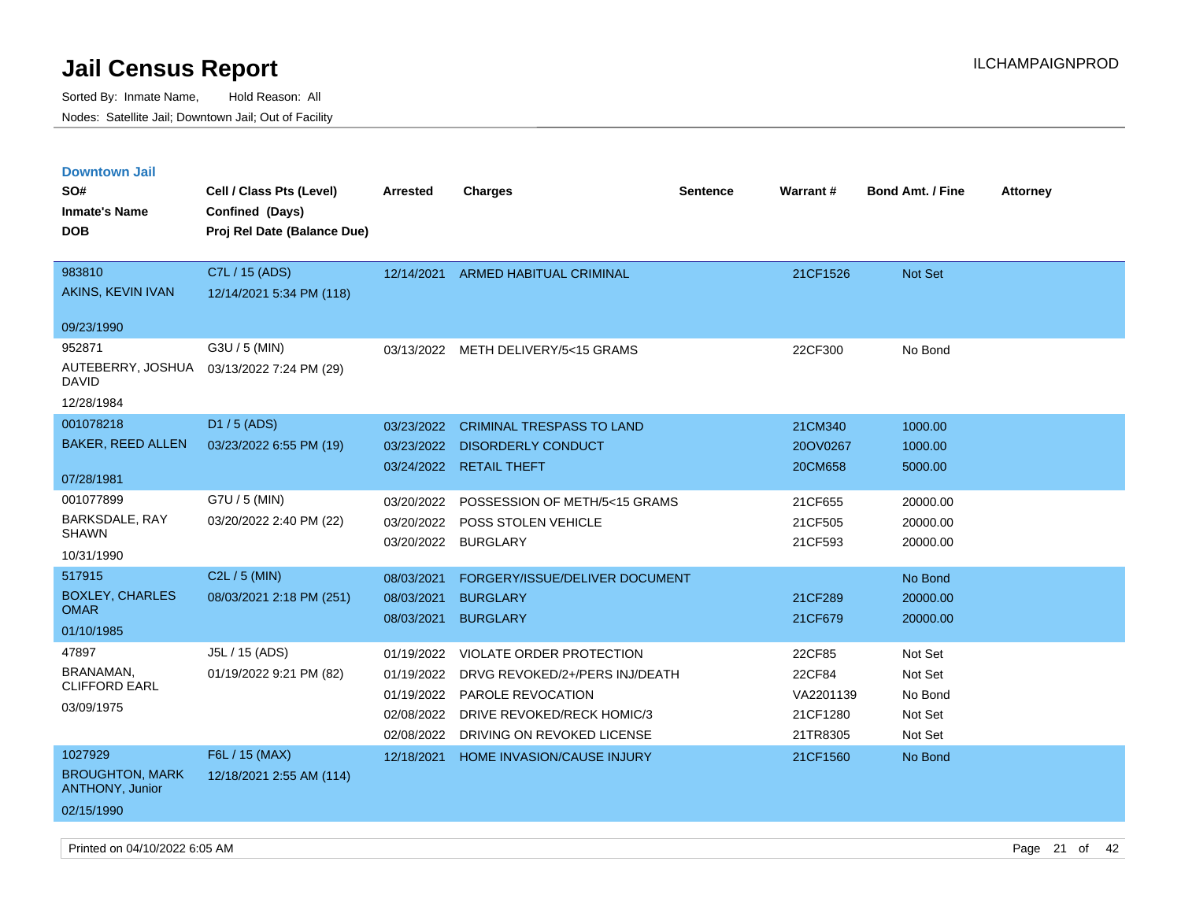| <b>Downtown Jail</b>                             |                             |            |                                   |                 |                 |                         |                 |
|--------------------------------------------------|-----------------------------|------------|-----------------------------------|-----------------|-----------------|-------------------------|-----------------|
| SO#                                              | Cell / Class Pts (Level)    | Arrested   | <b>Charges</b>                    | <b>Sentence</b> | <b>Warrant#</b> | <b>Bond Amt. / Fine</b> | <b>Attorney</b> |
| <b>Inmate's Name</b>                             | Confined (Days)             |            |                                   |                 |                 |                         |                 |
| <b>DOB</b>                                       | Proj Rel Date (Balance Due) |            |                                   |                 |                 |                         |                 |
|                                                  |                             |            |                                   |                 |                 |                         |                 |
| 983810                                           | C7L / 15 (ADS)              | 12/14/2021 | <b>ARMED HABITUAL CRIMINAL</b>    |                 | 21CF1526        | Not Set                 |                 |
| AKINS, KEVIN IVAN                                | 12/14/2021 5:34 PM (118)    |            |                                   |                 |                 |                         |                 |
| 09/23/1990                                       |                             |            |                                   |                 |                 |                         |                 |
| 952871                                           | G3U / 5 (MIN)               | 03/13/2022 | METH DELIVERY/5<15 GRAMS          |                 | 22CF300         | No Bond                 |                 |
| AUTEBERRY, JOSHUA<br>DAVID                       | 03/13/2022 7:24 PM (29)     |            |                                   |                 |                 |                         |                 |
| 12/28/1984                                       |                             |            |                                   |                 |                 |                         |                 |
| 001078218                                        | D1 / 5 (ADS)                | 03/23/2022 | <b>CRIMINAL TRESPASS TO LAND</b>  |                 | 21CM340         | 1000.00                 |                 |
| <b>BAKER, REED ALLEN</b>                         | 03/23/2022 6:55 PM (19)     | 03/23/2022 | <b>DISORDERLY CONDUCT</b>         |                 | 20OV0267        | 1000.00                 |                 |
|                                                  |                             |            | 03/24/2022 RETAIL THEFT           |                 | 20CM658         | 5000.00                 |                 |
| 07/28/1981                                       |                             |            |                                   |                 |                 |                         |                 |
| 001077899                                        | G7U / 5 (MIN)               | 03/20/2022 | POSSESSION OF METH/5<15 GRAMS     |                 | 21CF655         | 20000.00                |                 |
| <b>BARKSDALE, RAY</b><br><b>SHAWN</b>            | 03/20/2022 2:40 PM (22)     | 03/20/2022 | <b>POSS STOLEN VEHICLE</b>        |                 | 21CF505         | 20000.00                |                 |
| 10/31/1990                                       |                             | 03/20/2022 | <b>BURGLARY</b>                   |                 | 21CF593         | 20000.00                |                 |
| 517915                                           | C2L / 5 (MIN)               |            |                                   |                 |                 |                         |                 |
| <b>BOXLEY, CHARLES</b>                           |                             | 08/03/2021 | FORGERY/ISSUE/DELIVER DOCUMENT    |                 |                 | No Bond                 |                 |
| <b>OMAR</b>                                      | 08/03/2021 2:18 PM (251)    | 08/03/2021 | <b>BURGLARY</b>                   |                 | 21CF289         | 20000.00                |                 |
| 01/10/1985                                       |                             | 08/03/2021 | <b>BURGLARY</b>                   |                 | 21CF679         | 20000.00                |                 |
| 47897                                            | J5L / 15 (ADS)              | 01/19/2022 | VIOLATE ORDER PROTECTION          |                 | 22CF85          | Not Set                 |                 |
| BRANAMAN,                                        | 01/19/2022 9:21 PM (82)     | 01/19/2022 | DRVG REVOKED/2+/PERS INJ/DEATH    |                 | 22CF84          | Not Set                 |                 |
| <b>CLIFFORD EARL</b>                             |                             | 01/19/2022 | PAROLE REVOCATION                 |                 | VA2201139       | No Bond                 |                 |
| 03/09/1975                                       |                             | 02/08/2022 | DRIVE REVOKED/RECK HOMIC/3        |                 | 21CF1280        | Not Set                 |                 |
|                                                  |                             | 02/08/2022 | DRIVING ON REVOKED LICENSE        |                 | 21TR8305        | Not Set                 |                 |
| 1027929                                          | F6L / 15 (MAX)              | 12/18/2021 | <b>HOME INVASION/CAUSE INJURY</b> |                 | 21CF1560        | No Bond                 |                 |
| <b>BROUGHTON, MARK</b><br><b>ANTHONY, Junior</b> | 12/18/2021 2:55 AM (114)    |            |                                   |                 |                 |                         |                 |
| 02/15/1990                                       |                             |            |                                   |                 |                 |                         |                 |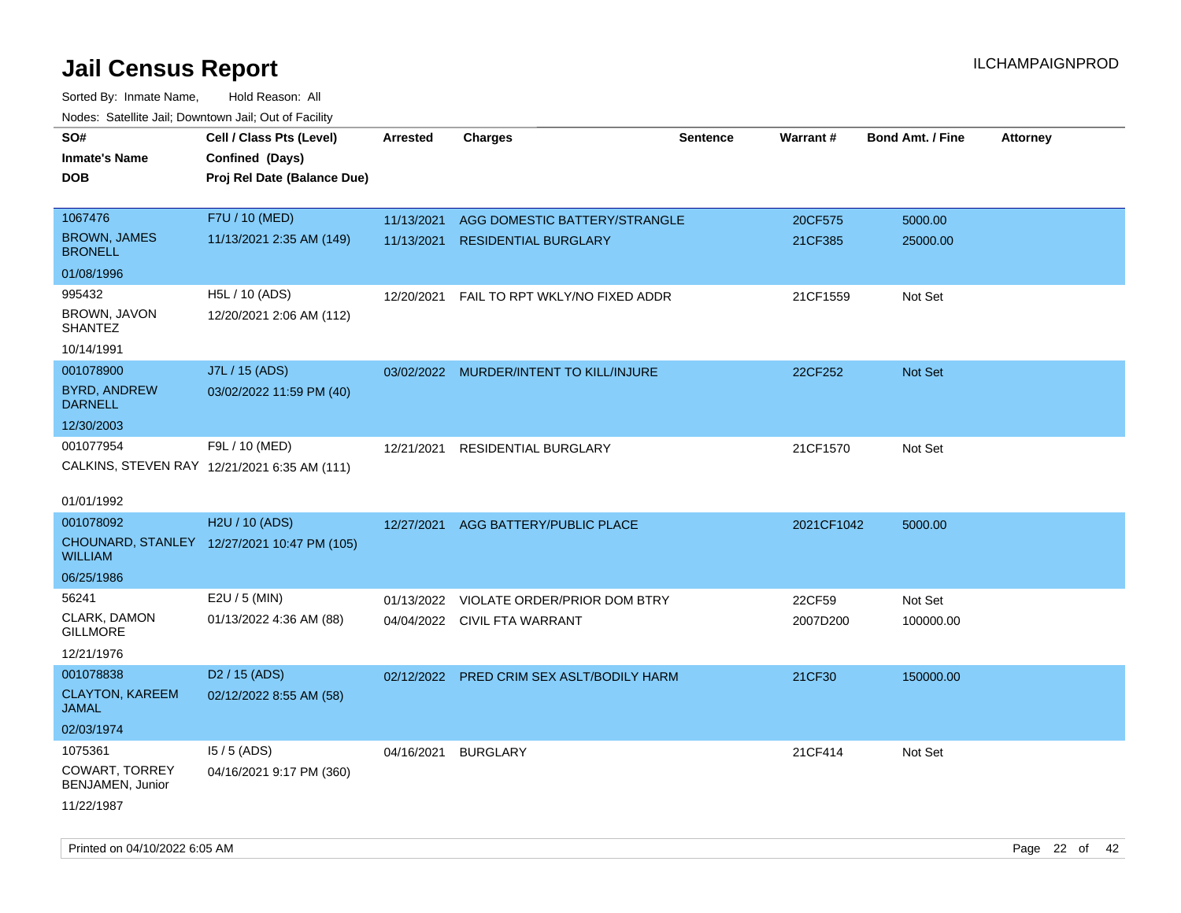| roaco. Oatomto dan, Downtown dan, Oat or Fability |                                              |                 |                                           |                 |            |                         |                 |
|---------------------------------------------------|----------------------------------------------|-----------------|-------------------------------------------|-----------------|------------|-------------------------|-----------------|
| SO#                                               | Cell / Class Pts (Level)                     | <b>Arrested</b> | <b>Charges</b>                            | <b>Sentence</b> | Warrant#   | <b>Bond Amt. / Fine</b> | <b>Attorney</b> |
| <b>Inmate's Name</b>                              | Confined (Days)                              |                 |                                           |                 |            |                         |                 |
| <b>DOB</b>                                        | Proj Rel Date (Balance Due)                  |                 |                                           |                 |            |                         |                 |
|                                                   |                                              |                 |                                           |                 |            |                         |                 |
| 1067476                                           | F7U / 10 (MED)                               | 11/13/2021      | AGG DOMESTIC BATTERY/STRANGLE             |                 | 20CF575    | 5000.00                 |                 |
| <b>BROWN, JAMES</b><br><b>BRONELL</b>             | 11/13/2021 2:35 AM (149)                     | 11/13/2021      | <b>RESIDENTIAL BURGLARY</b>               |                 | 21CF385    | 25000.00                |                 |
| 01/08/1996                                        |                                              |                 |                                           |                 |            |                         |                 |
| 995432                                            | H5L / 10 (ADS)                               | 12/20/2021      | FAIL TO RPT WKLY/NO FIXED ADDR            |                 | 21CF1559   | Not Set                 |                 |
| BROWN, JAVON<br><b>SHANTEZ</b>                    | 12/20/2021 2:06 AM (112)                     |                 |                                           |                 |            |                         |                 |
| 10/14/1991                                        |                                              |                 |                                           |                 |            |                         |                 |
| 001078900                                         | J7L / 15 (ADS)                               |                 | 03/02/2022 MURDER/INTENT TO KILL/INJURE   |                 | 22CF252    | <b>Not Set</b>          |                 |
| <b>BYRD, ANDREW</b><br><b>DARNELL</b>             | 03/02/2022 11:59 PM (40)                     |                 |                                           |                 |            |                         |                 |
| 12/30/2003                                        |                                              |                 |                                           |                 |            |                         |                 |
| 001077954                                         | F9L / 10 (MED)                               | 12/21/2021      | <b>RESIDENTIAL BURGLARY</b>               |                 | 21CF1570   | Not Set                 |                 |
|                                                   | CALKINS, STEVEN RAY 12/21/2021 6:35 AM (111) |                 |                                           |                 |            |                         |                 |
|                                                   |                                              |                 |                                           |                 |            |                         |                 |
| 01/01/1992                                        |                                              |                 |                                           |                 |            |                         |                 |
| 001078092                                         | H2U / 10 (ADS)                               | 12/27/2021      | AGG BATTERY/PUBLIC PLACE                  |                 | 2021CF1042 | 5000.00                 |                 |
| <b>WILLIAM</b>                                    | CHOUNARD, STANLEY 12/27/2021 10:47 PM (105)  |                 |                                           |                 |            |                         |                 |
| 06/25/1986                                        |                                              |                 |                                           |                 |            |                         |                 |
| 56241                                             | E2U / 5 (MIN)                                | 01/13/2022      | VIOLATE ORDER/PRIOR DOM BTRY              |                 | 22CF59     | Not Set                 |                 |
| CLARK, DAMON<br><b>GILLMORE</b>                   | 01/13/2022 4:36 AM (88)                      |                 | 04/04/2022 CIVIL FTA WARRANT              |                 | 2007D200   | 100000.00               |                 |
| 12/21/1976                                        |                                              |                 |                                           |                 |            |                         |                 |
| 001078838                                         | D <sub>2</sub> / 15 (ADS)                    |                 | 02/12/2022 PRED CRIM SEX ASLT/BODILY HARM |                 | 21CF30     | 150000.00               |                 |
| <b>CLAYTON, KAREEM</b><br><b>JAMAL</b>            | 02/12/2022 8:55 AM (58)                      |                 |                                           |                 |            |                         |                 |
| 02/03/1974                                        |                                              |                 |                                           |                 |            |                         |                 |
| 1075361                                           | $15/5$ (ADS)                                 | 04/16/2021      | <b>BURGLARY</b>                           |                 | 21CF414    | Not Set                 |                 |
| COWART, TORREY<br>BENJAMEN, Junior                | 04/16/2021 9:17 PM (360)                     |                 |                                           |                 |            |                         |                 |
| 11/22/1987                                        |                                              |                 |                                           |                 |            |                         |                 |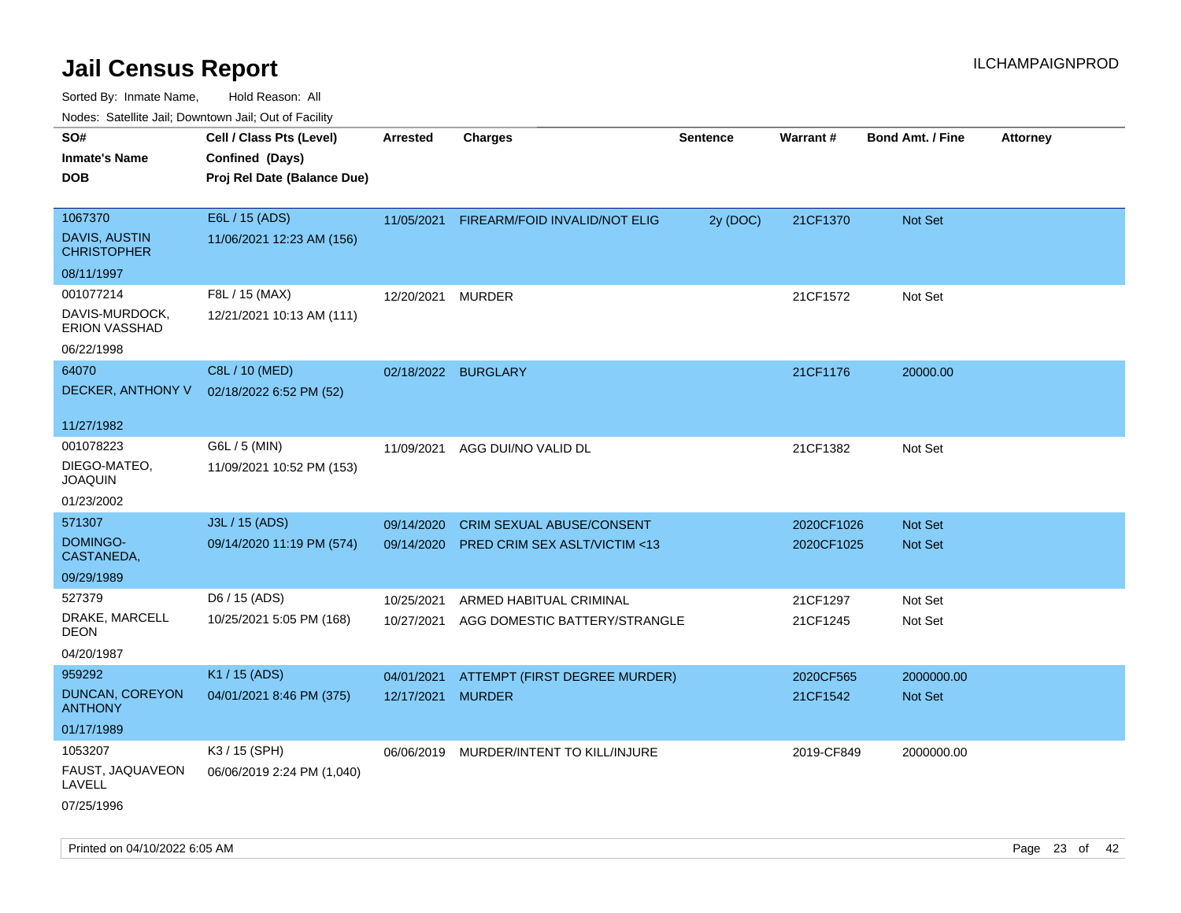| rouco. Calcinic Jan, Downtown Jan, Out of Facility |                                                                            |                     |                                          |                 |                 |                         |                 |
|----------------------------------------------------|----------------------------------------------------------------------------|---------------------|------------------------------------------|-----------------|-----------------|-------------------------|-----------------|
| SO#<br><b>Inmate's Name</b><br><b>DOB</b>          | Cell / Class Pts (Level)<br>Confined (Days)<br>Proj Rel Date (Balance Due) | <b>Arrested</b>     | <b>Charges</b>                           | <b>Sentence</b> | <b>Warrant#</b> | <b>Bond Amt. / Fine</b> | <b>Attorney</b> |
|                                                    |                                                                            |                     |                                          |                 |                 |                         |                 |
| 1067370                                            | E6L / 15 (ADS)                                                             |                     | 11/05/2021 FIREARM/FOID INVALID/NOT ELIG | 2y (DOC)        | 21CF1370        | Not Set                 |                 |
| <b>DAVIS, AUSTIN</b><br><b>CHRISTOPHER</b>         | 11/06/2021 12:23 AM (156)                                                  |                     |                                          |                 |                 |                         |                 |
| 08/11/1997                                         |                                                                            |                     |                                          |                 |                 |                         |                 |
| 001077214                                          | F8L / 15 (MAX)                                                             | 12/20/2021          | <b>MURDER</b>                            |                 | 21CF1572        | Not Set                 |                 |
| DAVIS-MURDOCK,<br><b>ERION VASSHAD</b>             | 12/21/2021 10:13 AM (111)                                                  |                     |                                          |                 |                 |                         |                 |
| 06/22/1998                                         |                                                                            |                     |                                          |                 |                 |                         |                 |
| 64070                                              | C8L / 10 (MED)                                                             | 02/18/2022 BURGLARY |                                          |                 | 21CF1176        | 20000.00                |                 |
| DECKER, ANTHONY V                                  | 02/18/2022 6:52 PM (52)                                                    |                     |                                          |                 |                 |                         |                 |
| 11/27/1982                                         |                                                                            |                     |                                          |                 |                 |                         |                 |
| 001078223                                          | G6L / 5 (MIN)                                                              | 11/09/2021          | AGG DUI/NO VALID DL                      |                 | 21CF1382        | Not Set                 |                 |
| DIEGO-MATEO,<br><b>JOAQUIN</b>                     | 11/09/2021 10:52 PM (153)                                                  |                     |                                          |                 |                 |                         |                 |
| 01/23/2002                                         |                                                                            |                     |                                          |                 |                 |                         |                 |
| 571307                                             | J3L / 15 (ADS)                                                             | 09/14/2020          | <b>CRIM SEXUAL ABUSE/CONSENT</b>         |                 | 2020CF1026      | <b>Not Set</b>          |                 |
| DOMINGO-<br>CASTANEDA,                             | 09/14/2020 11:19 PM (574)                                                  | 09/14/2020          | PRED CRIM SEX ASLT/VICTIM <13            |                 | 2020CF1025      | Not Set                 |                 |
| 09/29/1989                                         |                                                                            |                     |                                          |                 |                 |                         |                 |
| 527379                                             | D6 / 15 (ADS)                                                              | 10/25/2021          | ARMED HABITUAL CRIMINAL                  |                 | 21CF1297        | Not Set                 |                 |
| DRAKE, MARCELL<br>DEON                             | 10/25/2021 5:05 PM (168)                                                   | 10/27/2021          | AGG DOMESTIC BATTERY/STRANGLE            |                 | 21CF1245        | Not Set                 |                 |
| 04/20/1987                                         |                                                                            |                     |                                          |                 |                 |                         |                 |
| 959292                                             | K1 / 15 (ADS)                                                              | 04/01/2021          | ATTEMPT (FIRST DEGREE MURDER)            |                 | 2020CF565       | 2000000.00              |                 |
| DUNCAN, COREYON<br><b>ANTHONY</b>                  | 04/01/2021 8:46 PM (375)                                                   | 12/17/2021          | <b>MURDER</b>                            |                 | 21CF1542        | Not Set                 |                 |
| 01/17/1989                                         |                                                                            |                     |                                          |                 |                 |                         |                 |
| 1053207                                            | K3 / 15 (SPH)                                                              |                     | 06/06/2019 MURDER/INTENT TO KILL/INJURE  |                 | 2019-CF849      | 2000000.00              |                 |
| FAUST, JAQUAVEON<br>LAVELL                         | 06/06/2019 2:24 PM (1,040)                                                 |                     |                                          |                 |                 |                         |                 |
| 07/25/1996                                         |                                                                            |                     |                                          |                 |                 |                         |                 |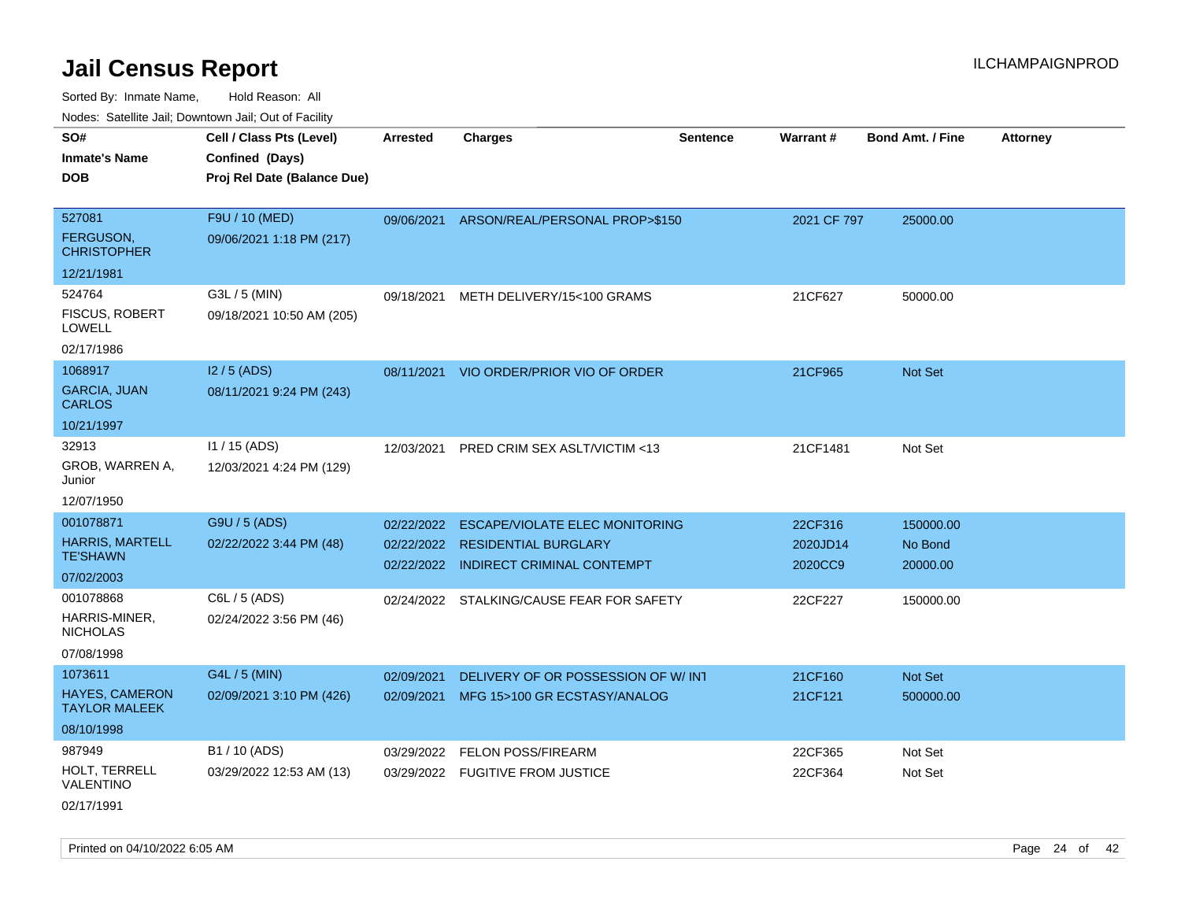Sorted By: Inmate Name, Hold Reason: All Nodes: Satellite Jail; Downtown Jail; Out of Facility

| rougs. Calcinic Jan, Downtown Jan, Out of Facility |                             |            |                                           |                 |             |                         |                 |
|----------------------------------------------------|-----------------------------|------------|-------------------------------------------|-----------------|-------------|-------------------------|-----------------|
| SO#                                                | Cell / Class Pts (Level)    | Arrested   | <b>Charges</b>                            | <b>Sentence</b> | Warrant#    | <b>Bond Amt. / Fine</b> | <b>Attorney</b> |
| <b>Inmate's Name</b>                               | Confined (Days)             |            |                                           |                 |             |                         |                 |
| <b>DOB</b>                                         | Proj Rel Date (Balance Due) |            |                                           |                 |             |                         |                 |
|                                                    |                             |            |                                           |                 |             |                         |                 |
| 527081                                             | F9U / 10 (MED)              |            | 09/06/2021 ARSON/REAL/PERSONAL PROP>\$150 |                 | 2021 CF 797 | 25000.00                |                 |
| FERGUSON,<br><b>CHRISTOPHER</b>                    | 09/06/2021 1:18 PM (217)    |            |                                           |                 |             |                         |                 |
| 12/21/1981                                         |                             |            |                                           |                 |             |                         |                 |
| 524764                                             | G3L / 5 (MIN)               | 09/18/2021 | METH DELIVERY/15<100 GRAMS                |                 | 21CF627     | 50000.00                |                 |
| <b>FISCUS, ROBERT</b><br><b>LOWELL</b>             | 09/18/2021 10:50 AM (205)   |            |                                           |                 |             |                         |                 |
| 02/17/1986                                         |                             |            |                                           |                 |             |                         |                 |
| 1068917                                            | $12/5$ (ADS)                |            | 08/11/2021 VIO ORDER/PRIOR VIO OF ORDER   |                 | 21CF965     | Not Set                 |                 |
| <b>GARCIA, JUAN</b><br><b>CARLOS</b>               | 08/11/2021 9:24 PM (243)    |            |                                           |                 |             |                         |                 |
| 10/21/1997                                         |                             |            |                                           |                 |             |                         |                 |
| 32913                                              | $11 / 15$ (ADS)             | 12/03/2021 | PRED CRIM SEX ASLT/VICTIM <13             |                 | 21CF1481    | Not Set                 |                 |
| GROB, WARREN A,<br>Junior                          | 12/03/2021 4:24 PM (129)    |            |                                           |                 |             |                         |                 |
| 12/07/1950                                         |                             |            |                                           |                 |             |                         |                 |
| 001078871                                          | G9U / 5 (ADS)               | 02/22/2022 | <b>ESCAPE/VIOLATE ELEC MONITORING</b>     |                 | 22CF316     | 150000.00               |                 |
| <b>HARRIS, MARTELL</b>                             | 02/22/2022 3:44 PM (48)     |            | 02/22/2022 RESIDENTIAL BURGLARY           |                 | 2020JD14    | No Bond                 |                 |
| <b>TE'SHAWN</b>                                    |                             |            | 02/22/2022 INDIRECT CRIMINAL CONTEMPT     |                 | 2020CC9     | 20000.00                |                 |
| 07/02/2003                                         |                             |            |                                           |                 |             |                         |                 |
| 001078868                                          | C6L / 5 (ADS)               |            | 02/24/2022 STALKING/CAUSE FEAR FOR SAFETY |                 | 22CF227     | 150000.00               |                 |
| HARRIS-MINER,<br><b>NICHOLAS</b>                   | 02/24/2022 3:56 PM (46)     |            |                                           |                 |             |                         |                 |
| 07/08/1998                                         |                             |            |                                           |                 |             |                         |                 |
| 1073611                                            | G4L / 5 (MIN)               | 02/09/2021 | DELIVERY OF OR POSSESSION OF W/INT        |                 | 21CF160     | Not Set                 |                 |
| HAYES, CAMERON<br><b>TAYLOR MALEEK</b>             | 02/09/2021 3:10 PM (426)    | 02/09/2021 | MFG 15>100 GR ECSTASY/ANALOG              |                 | 21CF121     | 500000.00               |                 |
| 08/10/1998                                         |                             |            |                                           |                 |             |                         |                 |
| 987949                                             | B1 / 10 (ADS)               | 03/29/2022 | <b>FELON POSS/FIREARM</b>                 |                 | 22CF365     | Not Set                 |                 |
| HOLT, TERRELL<br>VALENTINO                         | 03/29/2022 12:53 AM (13)    |            | 03/29/2022 FUGITIVE FROM JUSTICE          |                 | 22CF364     | Not Set                 |                 |
| 02/17/1991                                         |                             |            |                                           |                 |             |                         |                 |

Printed on 04/10/2022 6:05 AM Page 24 of 42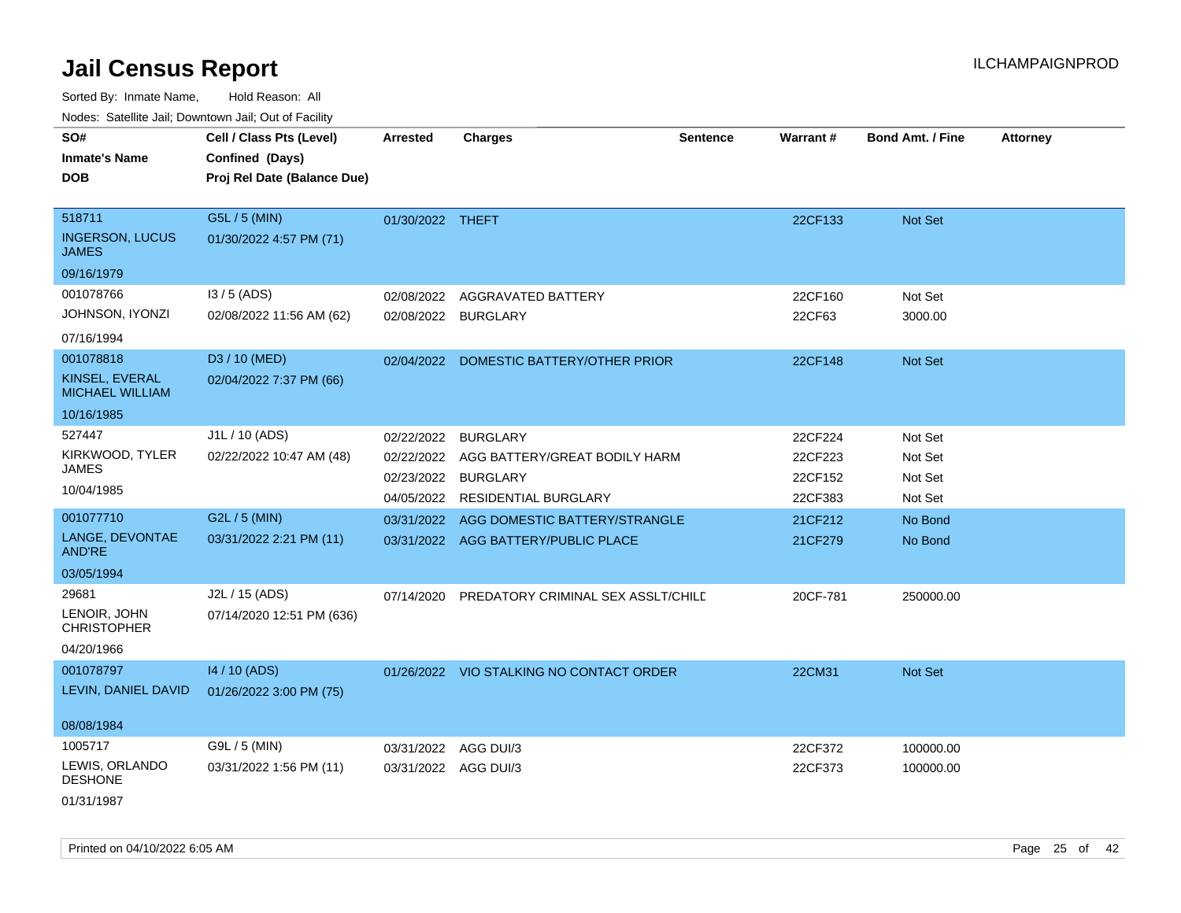Sorted By: Inmate Name, Hold Reason: All

Nodes: Satellite Jail; Downtown Jail; Out of Facility

| SO#<br><b>Inmate's Name</b><br><b>DOB</b>        | Cell / Class Pts (Level)<br>Confined (Days)<br>Proj Rel Date (Balance Due) | <b>Arrested</b>      | <b>Charges</b>                           | <b>Sentence</b> | Warrant# | <b>Bond Amt. / Fine</b> | <b>Attorney</b> |
|--------------------------------------------------|----------------------------------------------------------------------------|----------------------|------------------------------------------|-----------------|----------|-------------------------|-----------------|
| 518711<br><b>INGERSON, LUCUS</b><br><b>JAMES</b> | G5L / 5 (MIN)<br>01/30/2022 4:57 PM (71)                                   | 01/30/2022 THEFT     |                                          |                 | 22CF133  | Not Set                 |                 |
| 09/16/1979                                       |                                                                            |                      |                                          |                 |          |                         |                 |
| 001078766                                        | $13/5$ (ADS)                                                               | 02/08/2022           | AGGRAVATED BATTERY                       |                 | 22CF160  | Not Set                 |                 |
| JOHNSON, IYONZI<br>07/16/1994                    | 02/08/2022 11:56 AM (62)                                                   | 02/08/2022 BURGLARY  |                                          |                 | 22CF63   | 3000.00                 |                 |
| 001078818                                        | D3 / 10 (MED)                                                              |                      | 02/04/2022 DOMESTIC BATTERY/OTHER PRIOR  |                 | 22CF148  | Not Set                 |                 |
| KINSEL, EVERAL<br><b>MICHAEL WILLIAM</b>         | 02/04/2022 7:37 PM (66)                                                    |                      |                                          |                 |          |                         |                 |
| 10/16/1985                                       |                                                                            |                      |                                          |                 |          |                         |                 |
| 527447                                           | J1L / 10 (ADS)                                                             | 02/22/2022           | <b>BURGLARY</b>                          |                 | 22CF224  | Not Set                 |                 |
| KIRKWOOD, TYLER                                  | 02/22/2022 10:47 AM (48)                                                   | 02/22/2022           | AGG BATTERY/GREAT BODILY HARM            |                 | 22CF223  | Not Set                 |                 |
| <b>JAMES</b>                                     |                                                                            | 02/23/2022           | <b>BURGLARY</b>                          |                 | 22CF152  | Not Set                 |                 |
| 10/04/1985                                       |                                                                            |                      | 04/05/2022 RESIDENTIAL BURGLARY          |                 | 22CF383  | Not Set                 |                 |
| 001077710                                        | G2L / 5 (MIN)                                                              | 03/31/2022           | AGG DOMESTIC BATTERY/STRANGLE            |                 | 21CF212  | No Bond                 |                 |
| LANGE, DEVONTAE<br><b>AND'RE</b>                 | 03/31/2022 2:21 PM (11)                                                    |                      | 03/31/2022 AGG BATTERY/PUBLIC PLACE      |                 | 21CF279  | No Bond                 |                 |
| 03/05/1994                                       |                                                                            |                      |                                          |                 |          |                         |                 |
| 29681                                            | J2L / 15 (ADS)                                                             | 07/14/2020           | PREDATORY CRIMINAL SEX ASSLT/CHILE       |                 | 20CF-781 | 250000.00               |                 |
| LENOIR, JOHN<br><b>CHRISTOPHER</b>               | 07/14/2020 12:51 PM (636)                                                  |                      |                                          |                 |          |                         |                 |
| 04/20/1966                                       |                                                                            |                      |                                          |                 |          |                         |                 |
| 001078797                                        | 14 / 10 (ADS)                                                              |                      | 01/26/2022 VIO STALKING NO CONTACT ORDER |                 | 22CM31   | Not Set                 |                 |
| LEVIN, DANIEL DAVID                              | 01/26/2022 3:00 PM (75)                                                    |                      |                                          |                 |          |                         |                 |
| 08/08/1984                                       |                                                                            |                      |                                          |                 |          |                         |                 |
| 1005717                                          | G9L / 5 (MIN)                                                              | 03/31/2022           | AGG DUI/3                                |                 | 22CF372  | 100000.00               |                 |
| LEWIS, ORLANDO<br><b>DESHONE</b>                 | 03/31/2022 1:56 PM (11)                                                    | 03/31/2022 AGG DUI/3 |                                          |                 | 22CF373  | 100000.00               |                 |
| 01/31/1987                                       |                                                                            |                      |                                          |                 |          |                         |                 |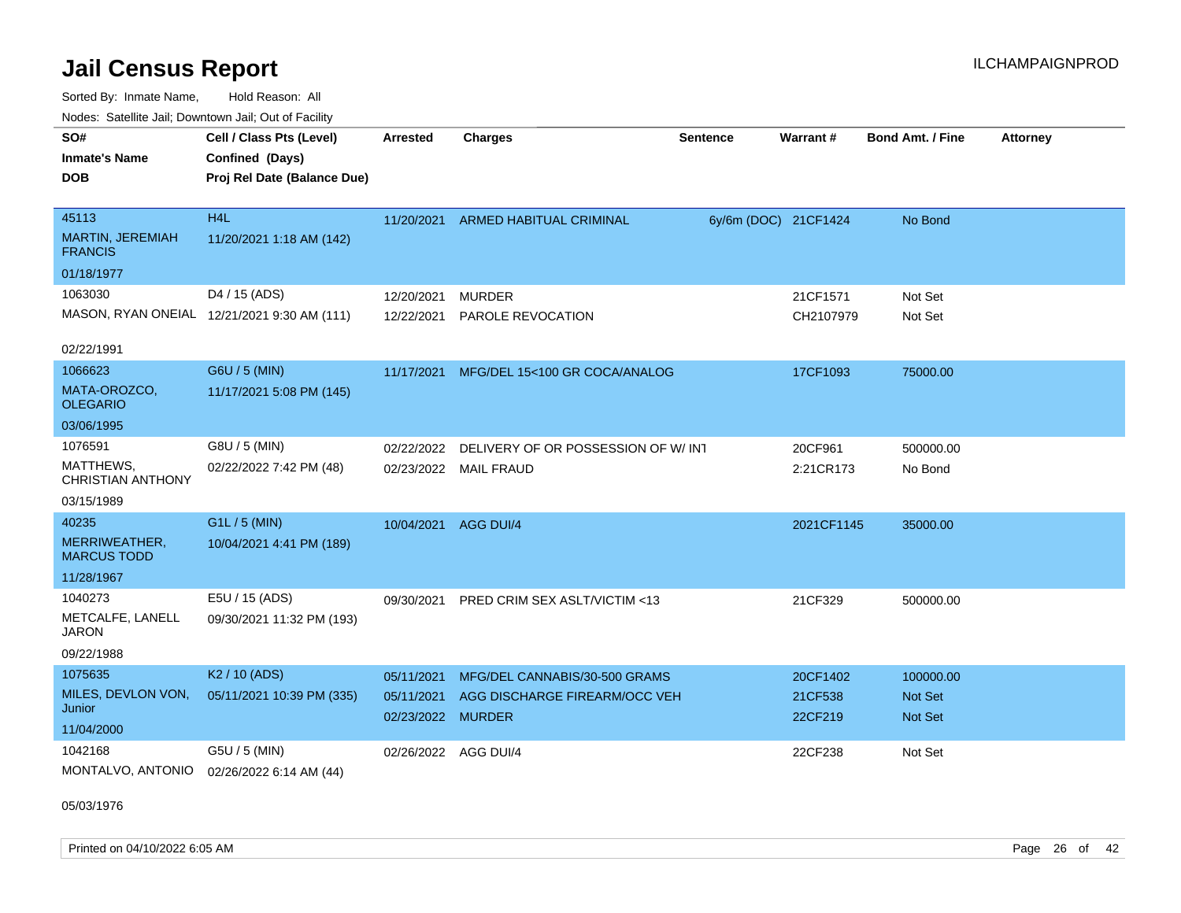Sorted By: Inmate Name, Hold Reason: All Nodes: Satellite Jail; Downtown Jail; Out of Facility

| SO#<br><b>Inmate's Name</b><br><b>DOB</b>          | Cell / Class Pts (Level)<br>Confined (Days)<br>Proj Rel Date (Balance Due) | <b>Arrested</b>                 | <b>Charges</b>                     | <b>Sentence</b> | Warrant#             | <b>Bond Amt. / Fine</b> | <b>Attorney</b> |
|----------------------------------------------------|----------------------------------------------------------------------------|---------------------------------|------------------------------------|-----------------|----------------------|-------------------------|-----------------|
| 45113<br><b>MARTIN, JEREMIAH</b><br><b>FRANCIS</b> | H <sub>4</sub> L<br>11/20/2021 1:18 AM (142)                               | 11/20/2021                      | ARMED HABITUAL CRIMINAL            |                 | 6y/6m (DOC) 21CF1424 | No Bond                 |                 |
| 01/18/1977                                         |                                                                            |                                 |                                    |                 |                      |                         |                 |
| 1063030                                            | D4 / 15 (ADS)                                                              | 12/20/2021                      | <b>MURDER</b>                      |                 | 21CF1571             | Not Set                 |                 |
|                                                    | MASON, RYAN ONEIAL 12/21/2021 9:30 AM (111)                                | 12/22/2021                      | PAROLE REVOCATION                  |                 | CH2107979            | Not Set                 |                 |
| 02/22/1991                                         |                                                                            |                                 |                                    |                 |                      |                         |                 |
| 1066623                                            | G6U / 5 (MIN)                                                              | 11/17/2021                      | MFG/DEL 15<100 GR COCA/ANALOG      |                 | 17CF1093             | 75000.00                |                 |
| MATA-OROZCO,<br><b>OLEGARIO</b>                    | 11/17/2021 5:08 PM (145)                                                   |                                 |                                    |                 |                      |                         |                 |
| 03/06/1995                                         |                                                                            |                                 |                                    |                 |                      |                         |                 |
| 1076591                                            | G8U / 5 (MIN)                                                              | 02/22/2022                      | DELIVERY OF OR POSSESSION OF W/INT |                 | 20CF961              | 500000.00               |                 |
| MATTHEWS,<br><b>CHRISTIAN ANTHONY</b>              | 02/22/2022 7:42 PM (48)                                                    |                                 | 02/23/2022 MAIL FRAUD              |                 | 2:21CR173            | No Bond                 |                 |
| 03/15/1989                                         |                                                                            |                                 |                                    |                 |                      |                         |                 |
| 40235                                              | G1L / 5 (MIN)                                                              | 10/04/2021                      | AGG DUI/4                          |                 | 2021CF1145           | 35000.00                |                 |
| MERRIWEATHER,<br><b>MARCUS TODD</b>                | 10/04/2021 4:41 PM (189)                                                   |                                 |                                    |                 |                      |                         |                 |
| 11/28/1967                                         |                                                                            |                                 |                                    |                 |                      |                         |                 |
| 1040273                                            | E5U / 15 (ADS)                                                             | 09/30/2021                      | PRED CRIM SEX ASLT/VICTIM <13      |                 | 21CF329              | 500000.00               |                 |
| METCALFE, LANELL<br>JARON                          | 09/30/2021 11:32 PM (193)                                                  |                                 |                                    |                 |                      |                         |                 |
| 09/22/1988                                         |                                                                            |                                 |                                    |                 |                      |                         |                 |
| 1075635                                            | K <sub>2</sub> / 10 (ADS)                                                  | 05/11/2021                      | MFG/DEL CANNABIS/30-500 GRAMS      |                 | 20CF1402             | 100000.00               |                 |
| MILES, DEVLON VON,<br>Junior                       | 05/11/2021 10:39 PM (335)                                                  | 05/11/2021<br>02/23/2022 MURDER | AGG DISCHARGE FIREARM/OCC VEH      |                 | 21CF538<br>22CF219   | Not Set<br>Not Set      |                 |
| 11/04/2000                                         |                                                                            |                                 |                                    |                 |                      |                         |                 |
| 1042168<br>MONTALVO, ANTONIO                       | G5U / 5 (MIN)<br>02/26/2022 6:14 AM (44)                                   | 02/26/2022 AGG DUI/4            |                                    |                 | 22CF238              | Not Set                 |                 |

05/03/1976

Printed on 04/10/2022 6:05 AM Page 26 of 42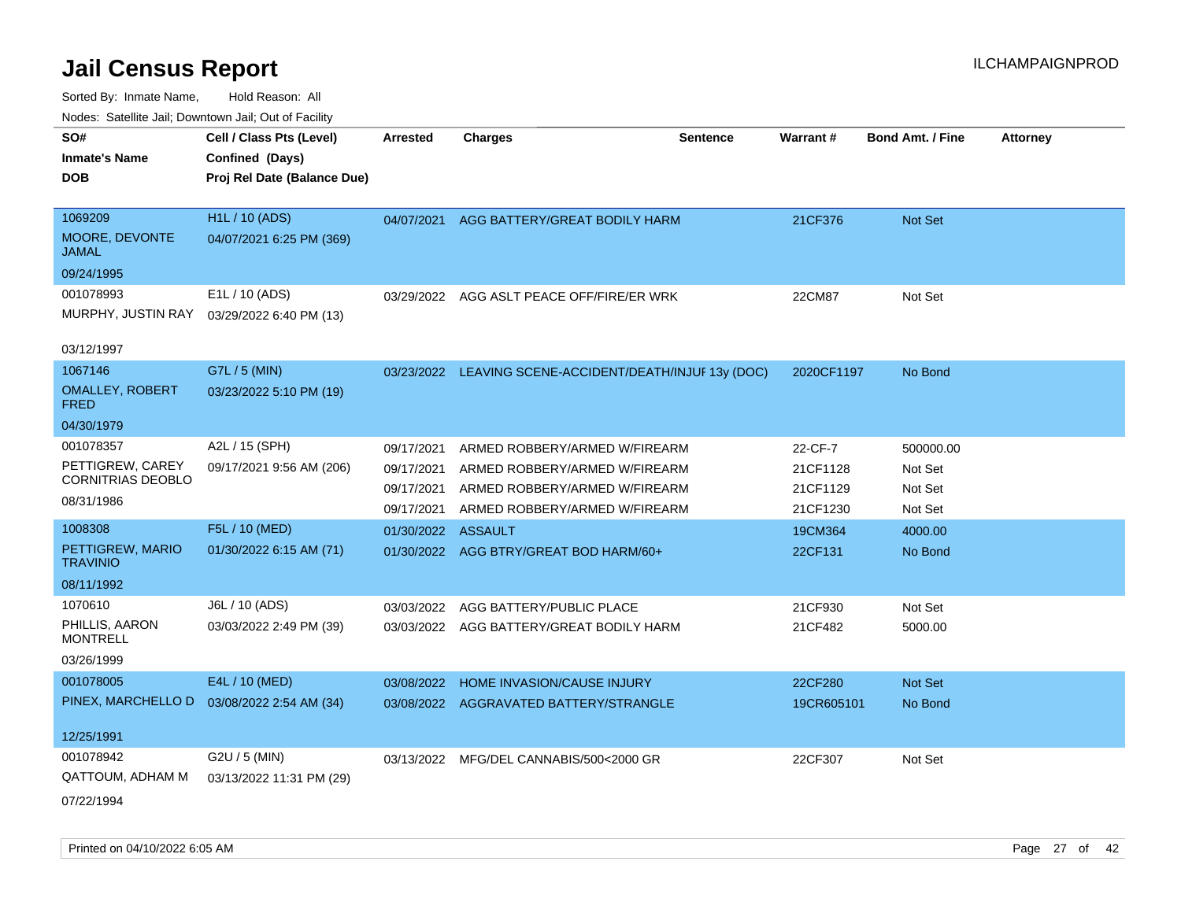| roaco. Catolino cali, Domntonn cali, Out of Facility |                             |                 |                                                         |                 |            |                         |                 |
|------------------------------------------------------|-----------------------------|-----------------|---------------------------------------------------------|-----------------|------------|-------------------------|-----------------|
| SO#                                                  | Cell / Class Pts (Level)    | <b>Arrested</b> | <b>Charges</b>                                          | <b>Sentence</b> | Warrant#   | <b>Bond Amt. / Fine</b> | <b>Attorney</b> |
| <b>Inmate's Name</b>                                 | Confined (Days)             |                 |                                                         |                 |            |                         |                 |
| <b>DOB</b>                                           | Proj Rel Date (Balance Due) |                 |                                                         |                 |            |                         |                 |
|                                                      |                             |                 |                                                         |                 |            |                         |                 |
| 1069209                                              | <b>H1L / 10 (ADS)</b>       | 04/07/2021      | AGG BATTERY/GREAT BODILY HARM                           |                 | 21CF376    | Not Set                 |                 |
| MOORE, DEVONTE<br>JAMAL                              | 04/07/2021 6:25 PM (369)    |                 |                                                         |                 |            |                         |                 |
| 09/24/1995                                           |                             |                 |                                                         |                 |            |                         |                 |
| 001078993                                            | E1L / 10 (ADS)              |                 | 03/29/2022 AGG ASLT PEACE OFF/FIRE/ER WRK               |                 | 22CM87     | Not Set                 |                 |
| MURPHY, JUSTIN RAY                                   | 03/29/2022 6:40 PM (13)     |                 |                                                         |                 |            |                         |                 |
| 03/12/1997                                           |                             |                 |                                                         |                 |            |                         |                 |
| 1067146                                              | G7L / 5 (MIN)               |                 | 03/23/2022 LEAVING SCENE-ACCIDENT/DEATH/INJUF 13y (DOC) |                 | 2020CF1197 | No Bond                 |                 |
| <b>OMALLEY, ROBERT</b><br><b>FRED</b>                | 03/23/2022 5:10 PM (19)     |                 |                                                         |                 |            |                         |                 |
| 04/30/1979                                           |                             |                 |                                                         |                 |            |                         |                 |
| 001078357                                            | A2L / 15 (SPH)              | 09/17/2021      | ARMED ROBBERY/ARMED W/FIREARM                           |                 | 22-CF-7    | 500000.00               |                 |
| PETTIGREW, CAREY                                     | 09/17/2021 9:56 AM (206)    | 09/17/2021      | ARMED ROBBERY/ARMED W/FIREARM                           |                 | 21CF1128   | Not Set                 |                 |
| <b>CORNITRIAS DEOBLO</b>                             |                             | 09/17/2021      | ARMED ROBBERY/ARMED W/FIREARM                           |                 | 21CF1129   | Not Set                 |                 |
| 08/31/1986                                           |                             | 09/17/2021      | ARMED ROBBERY/ARMED W/FIREARM                           |                 | 21CF1230   | Not Set                 |                 |
| 1008308                                              | F5L / 10 (MED)              | 01/30/2022      | ASSAULT                                                 |                 | 19CM364    | 4000.00                 |                 |
| PETTIGREW, MARIO<br><b>TRAVINIO</b>                  | 01/30/2022 6:15 AM (71)     |                 | 01/30/2022 AGG BTRY/GREAT BOD HARM/60+                  |                 | 22CF131    | No Bond                 |                 |
| 08/11/1992                                           |                             |                 |                                                         |                 |            |                         |                 |
| 1070610                                              | J6L / 10 (ADS)              | 03/03/2022      | AGG BATTERY/PUBLIC PLACE                                |                 | 21CF930    | Not Set                 |                 |
| PHILLIS, AARON<br><b>MONTRELL</b>                    | 03/03/2022 2:49 PM (39)     |                 | 03/03/2022 AGG BATTERY/GREAT BODILY HARM                |                 | 21CF482    | 5000.00                 |                 |
| 03/26/1999                                           |                             |                 |                                                         |                 |            |                         |                 |
| 001078005                                            | E4L / 10 (MED)              | 03/08/2022      | HOME INVASION/CAUSE INJURY                              |                 | 22CF280    | <b>Not Set</b>          |                 |
| PINEX, MARCHELLO D                                   | 03/08/2022 2:54 AM (34)     |                 | 03/08/2022 AGGRAVATED BATTERY/STRANGLE                  |                 | 19CR605101 | No Bond                 |                 |
|                                                      |                             |                 |                                                         |                 |            |                         |                 |
| 12/25/1991                                           |                             |                 |                                                         |                 |            |                         |                 |
| 001078942                                            | G2U / 5 (MIN)               | 03/13/2022      | MFG/DEL CANNABIS/500<2000 GR                            |                 | 22CF307    | Not Set                 |                 |
| <b>QATTOUM, ADHAM M</b>                              | 03/13/2022 11:31 PM (29)    |                 |                                                         |                 |            |                         |                 |
| 07/22/1994                                           |                             |                 |                                                         |                 |            |                         |                 |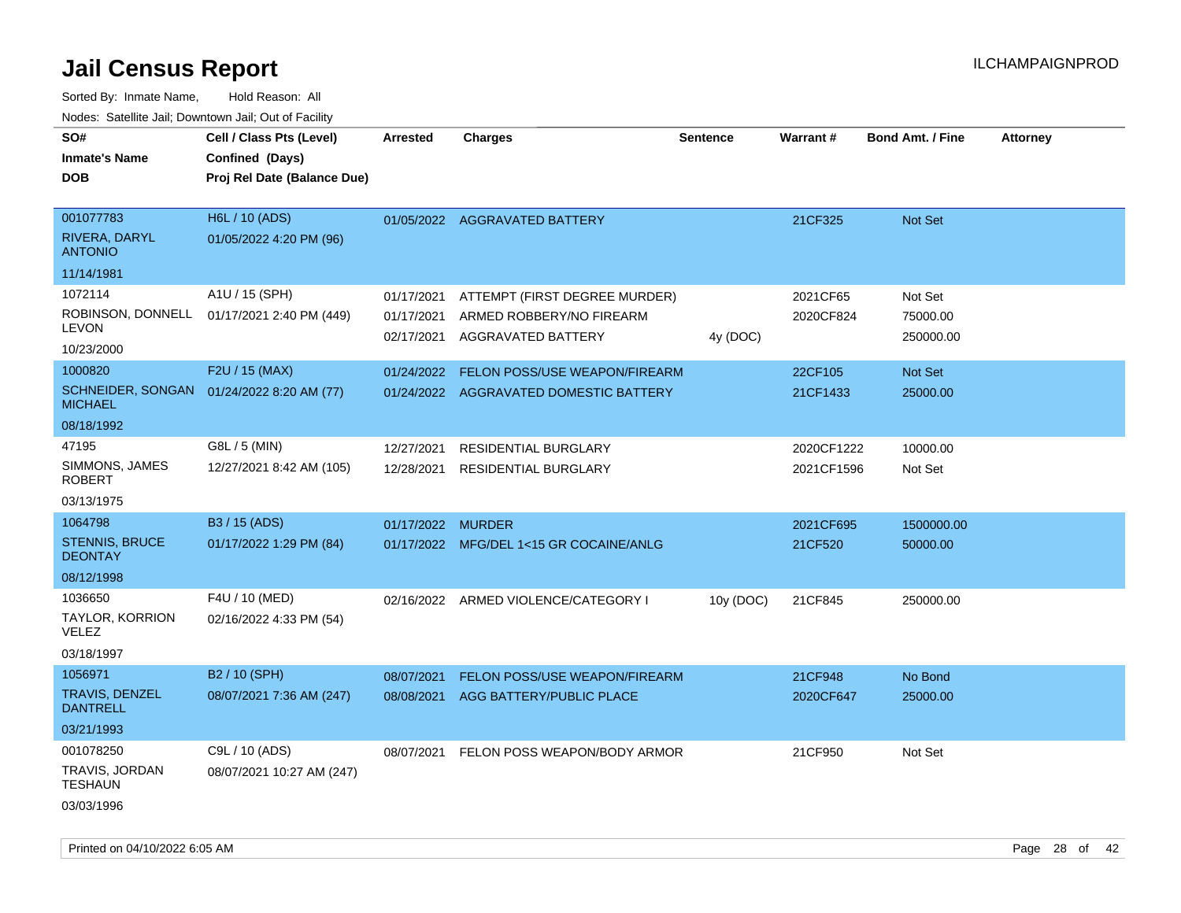| roacs. Catellite Jall, Downtown Jall, Out of Facility |                                                                            |                          |                                                       |                 |            |                         |                 |
|-------------------------------------------------------|----------------------------------------------------------------------------|--------------------------|-------------------------------------------------------|-----------------|------------|-------------------------|-----------------|
| SO#<br><b>Inmate's Name</b><br><b>DOB</b>             | Cell / Class Pts (Level)<br>Confined (Days)<br>Proj Rel Date (Balance Due) | <b>Arrested</b>          | <b>Charges</b>                                        | <b>Sentence</b> | Warrant#   | <b>Bond Amt. / Fine</b> | <b>Attorney</b> |
|                                                       |                                                                            |                          |                                                       |                 |            |                         |                 |
| 001077783                                             | H6L / 10 (ADS)                                                             |                          | 01/05/2022 AGGRAVATED BATTERY                         |                 | 21CF325    | Not Set                 |                 |
| <b>RIVERA, DARYL</b><br><b>ANTONIO</b>                | 01/05/2022 4:20 PM (96)                                                    |                          |                                                       |                 |            |                         |                 |
| 11/14/1981                                            |                                                                            |                          |                                                       |                 |            |                         |                 |
| 1072114                                               | A1U / 15 (SPH)                                                             | 01/17/2021               | ATTEMPT (FIRST DEGREE MURDER)                         |                 | 2021CF65   | Not Set                 |                 |
| ROBINSON, DONNELL<br><b>LEVON</b>                     | 01/17/2021 2:40 PM (449)                                                   | 01/17/2021<br>02/17/2021 | ARMED ROBBERY/NO FIREARM<br><b>AGGRAVATED BATTERY</b> | 4y (DOC)        | 2020CF824  | 75000.00<br>250000.00   |                 |
| 10/23/2000                                            |                                                                            |                          |                                                       |                 |            |                         |                 |
| 1000820                                               | F2U / 15 (MAX)                                                             | 01/24/2022               | FELON POSS/USE WEAPON/FIREARM                         |                 | 22CF105    | Not Set                 |                 |
| <b>MICHAEL</b>                                        | SCHNEIDER, SONGAN 01/24/2022 8:20 AM (77)                                  |                          | 01/24/2022 AGGRAVATED DOMESTIC BATTERY                |                 | 21CF1433   | 25000.00                |                 |
| 08/18/1992                                            |                                                                            |                          |                                                       |                 |            |                         |                 |
| 47195                                                 | G8L / 5 (MIN)                                                              | 12/27/2021               | RESIDENTIAL BURGLARY                                  |                 | 2020CF1222 | 10000.00                |                 |
| SIMMONS, JAMES<br><b>ROBERT</b>                       | 12/27/2021 8:42 AM (105)                                                   | 12/28/2021               | <b>RESIDENTIAL BURGLARY</b>                           |                 | 2021CF1596 | Not Set                 |                 |
| 03/13/1975                                            |                                                                            |                          |                                                       |                 |            |                         |                 |
| 1064798                                               | B3 / 15 (ADS)                                                              | 01/17/2022               | <b>MURDER</b>                                         |                 | 2021CF695  | 1500000.00              |                 |
| <b>STENNIS, BRUCE</b><br><b>DEONTAY</b>               | 01/17/2022 1:29 PM (84)                                                    |                          | 01/17/2022 MFG/DEL 1<15 GR COCAINE/ANLG               |                 | 21CF520    | 50000.00                |                 |
| 08/12/1998                                            |                                                                            |                          |                                                       |                 |            |                         |                 |
| 1036650                                               | F4U / 10 (MED)                                                             |                          | 02/16/2022 ARMED VIOLENCE/CATEGORY I                  | 10y (DOC)       | 21CF845    | 250000.00               |                 |
| TAYLOR, KORRION<br>VELEZ                              | 02/16/2022 4:33 PM (54)                                                    |                          |                                                       |                 |            |                         |                 |
| 03/18/1997                                            |                                                                            |                          |                                                       |                 |            |                         |                 |
| 1056971                                               | B2 / 10 (SPH)                                                              | 08/07/2021               | <b>FELON POSS/USE WEAPON/FIREARM</b>                  |                 | 21CF948    | No Bond                 |                 |
| <b>TRAVIS, DENZEL</b><br><b>DANTRELL</b>              | 08/07/2021 7:36 AM (247)                                                   | 08/08/2021               | AGG BATTERY/PUBLIC PLACE                              |                 | 2020CF647  | 25000.00                |                 |
| 03/21/1993                                            |                                                                            |                          |                                                       |                 |            |                         |                 |
| 001078250                                             | C9L / 10 (ADS)                                                             | 08/07/2021               | FELON POSS WEAPON/BODY ARMOR                          |                 | 21CF950    | Not Set                 |                 |
| TRAVIS, JORDAN<br><b>TESHAUN</b>                      | 08/07/2021 10:27 AM (247)                                                  |                          |                                                       |                 |            |                         |                 |
| 03/03/1996                                            |                                                                            |                          |                                                       |                 |            |                         |                 |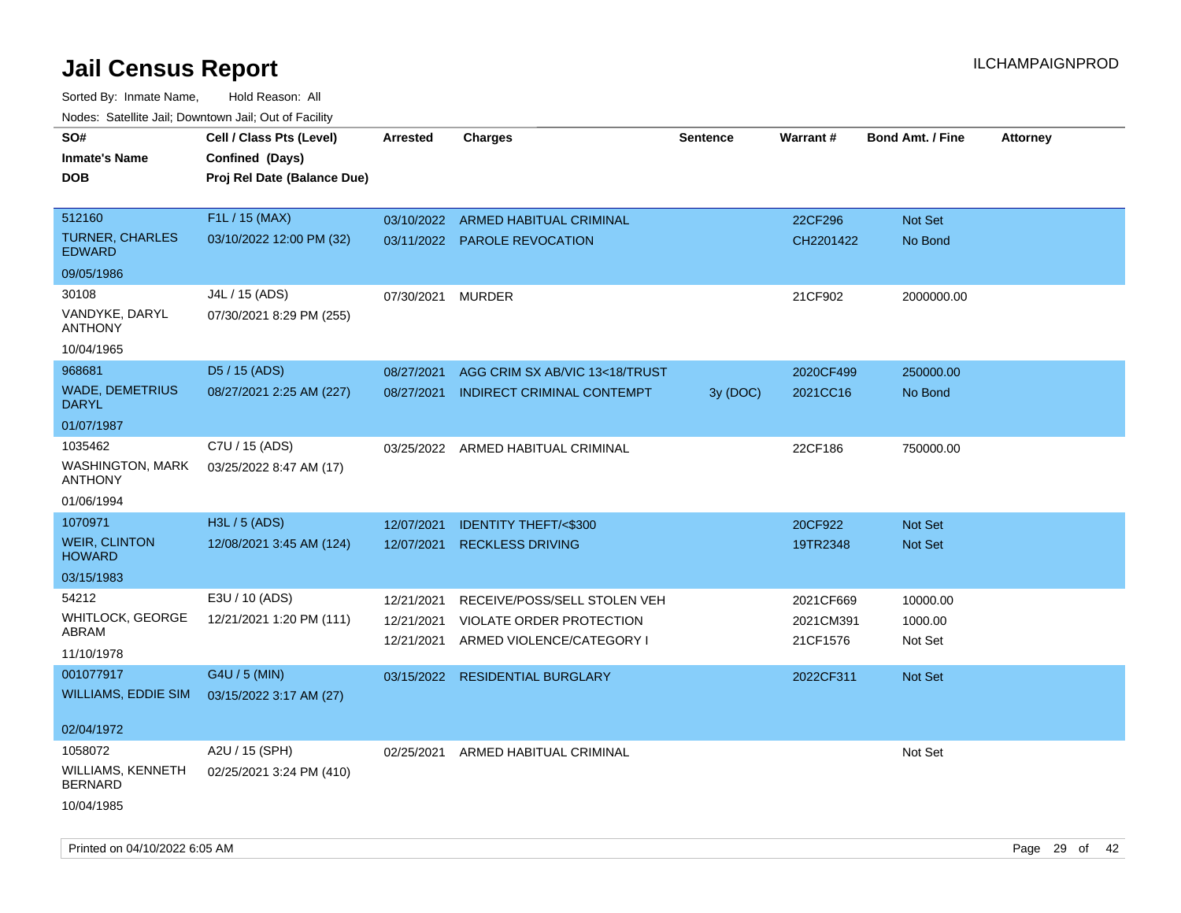| roaco. Catolino cali, Domntonn cali, Out of Facility |                             |                 |                                 |                 |           |                         |                 |
|------------------------------------------------------|-----------------------------|-----------------|---------------------------------|-----------------|-----------|-------------------------|-----------------|
| SO#                                                  | Cell / Class Pts (Level)    | <b>Arrested</b> | <b>Charges</b>                  | <b>Sentence</b> | Warrant#  | <b>Bond Amt. / Fine</b> | <b>Attorney</b> |
| <b>Inmate's Name</b>                                 | Confined (Days)             |                 |                                 |                 |           |                         |                 |
| <b>DOB</b>                                           | Proj Rel Date (Balance Due) |                 |                                 |                 |           |                         |                 |
|                                                      |                             |                 |                                 |                 |           |                         |                 |
| 512160                                               | F1L / 15 (MAX)              | 03/10/2022      | ARMED HABITUAL CRIMINAL         |                 | 22CF296   | Not Set                 |                 |
| <b>TURNER, CHARLES</b><br><b>EDWARD</b>              | 03/10/2022 12:00 PM (32)    |                 | 03/11/2022 PAROLE REVOCATION    |                 | CH2201422 | No Bond                 |                 |
| 09/05/1986                                           |                             |                 |                                 |                 |           |                         |                 |
| 30108                                                | J4L / 15 (ADS)              | 07/30/2021      | <b>MURDER</b>                   |                 | 21CF902   | 2000000.00              |                 |
| VANDYKE, DARYL<br><b>ANTHONY</b>                     | 07/30/2021 8:29 PM (255)    |                 |                                 |                 |           |                         |                 |
| 10/04/1965                                           |                             |                 |                                 |                 |           |                         |                 |
| 968681                                               | D5 / 15 (ADS)               | 08/27/2021      | AGG CRIM SX AB/VIC 13<18/TRUST  |                 | 2020CF499 | 250000.00               |                 |
| <b>WADE, DEMETRIUS</b><br><b>DARYL</b>               | 08/27/2021 2:25 AM (227)    | 08/27/2021      | INDIRECT CRIMINAL CONTEMPT      | 3y (DOC)        | 2021CC16  | No Bond                 |                 |
| 01/07/1987                                           |                             |                 |                                 |                 |           |                         |                 |
| 1035462                                              | C7U / 15 (ADS)              | 03/25/2022      | ARMED HABITUAL CRIMINAL         |                 | 22CF186   | 750000.00               |                 |
| <b>WASHINGTON, MARK</b><br><b>ANTHONY</b>            | 03/25/2022 8:47 AM (17)     |                 |                                 |                 |           |                         |                 |
| 01/06/1994                                           |                             |                 |                                 |                 |           |                         |                 |
| 1070971                                              | H3L / 5 (ADS)               | 12/07/2021      | <b>IDENTITY THEFT/&lt;\$300</b> |                 | 20CF922   | <b>Not Set</b>          |                 |
| <b>WEIR, CLINTON</b><br><b>HOWARD</b>                | 12/08/2021 3:45 AM (124)    | 12/07/2021      | <b>RECKLESS DRIVING</b>         |                 | 19TR2348  | Not Set                 |                 |
| 03/15/1983                                           |                             |                 |                                 |                 |           |                         |                 |
| 54212                                                | E3U / 10 (ADS)              | 12/21/2021      | RECEIVE/POSS/SELL STOLEN VEH    |                 | 2021CF669 | 10000.00                |                 |
| WHITLOCK, GEORGE                                     | 12/21/2021 1:20 PM (111)    | 12/21/2021      | VIOLATE ORDER PROTECTION        |                 | 2021CM391 | 1000.00                 |                 |
| ABRAM                                                |                             | 12/21/2021      | ARMED VIOLENCE/CATEGORY I       |                 | 21CF1576  | Not Set                 |                 |
| 11/10/1978                                           |                             |                 |                                 |                 |           |                         |                 |
| 001077917                                            | G4U / 5 (MIN)               | 03/15/2022      | <b>RESIDENTIAL BURGLARY</b>     |                 | 2022CF311 | <b>Not Set</b>          |                 |
| WILLIAMS, EDDIE SIM                                  | 03/15/2022 3:17 AM (27)     |                 |                                 |                 |           |                         |                 |
|                                                      |                             |                 |                                 |                 |           |                         |                 |
| 02/04/1972                                           |                             |                 |                                 |                 |           |                         |                 |
| 1058072                                              | A2U / 15 (SPH)              | 02/25/2021      | ARMED HABITUAL CRIMINAL         |                 |           | Not Set                 |                 |
| WILLIAMS, KENNETH<br><b>BERNARD</b>                  | 02/25/2021 3:24 PM (410)    |                 |                                 |                 |           |                         |                 |
| 10/04/1985                                           |                             |                 |                                 |                 |           |                         |                 |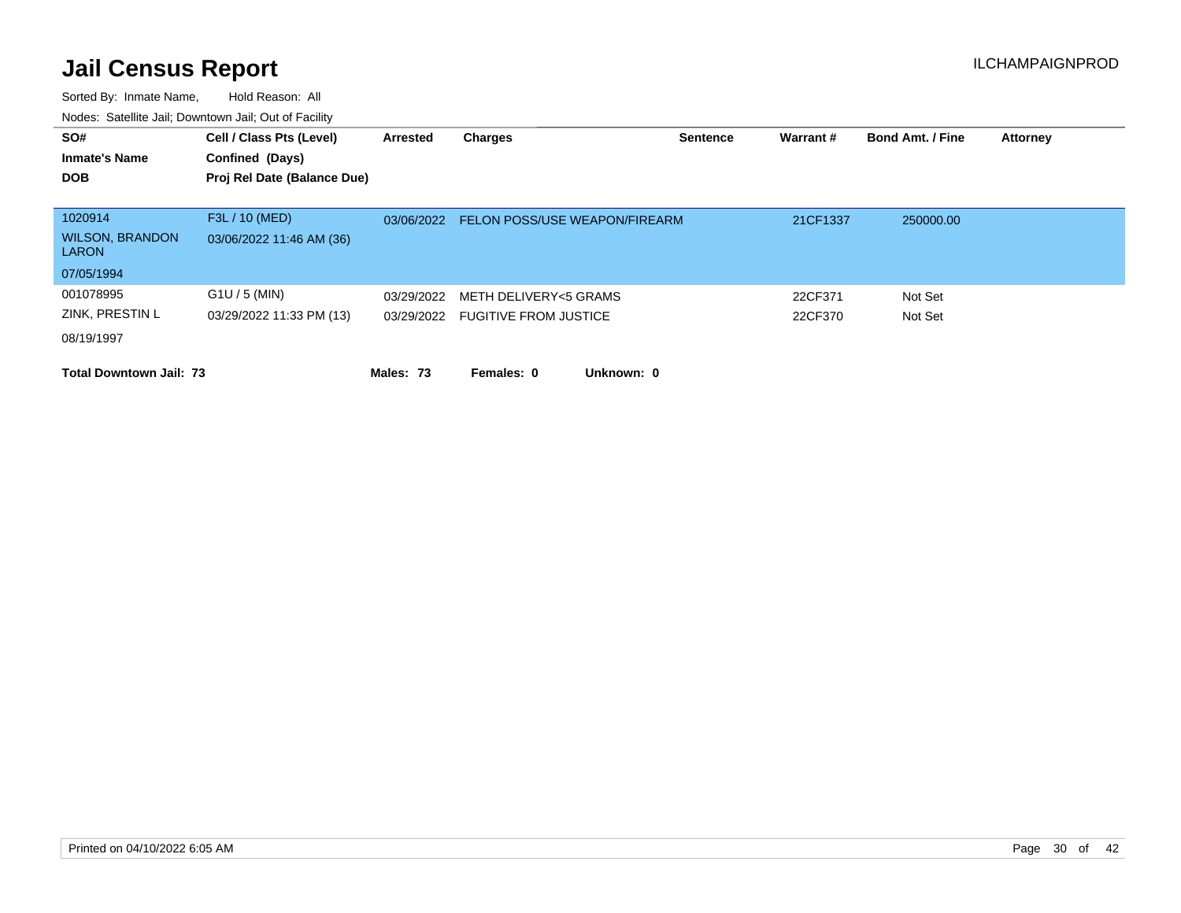| SO#<br><b>Inmate's Name</b><br><b>DOB</b> | Cell / Class Pts (Level)<br>Confined (Days)<br>Proj Rel Date (Balance Due) | Arrested   | <b>Charges</b>                   | <b>Sentence</b> | Warrant# | <b>Bond Amt. / Fine</b> | <b>Attorney</b> |
|-------------------------------------------|----------------------------------------------------------------------------|------------|----------------------------------|-----------------|----------|-------------------------|-----------------|
|                                           |                                                                            |            |                                  |                 |          |                         |                 |
| 1020914                                   | F3L / 10 (MED)                                                             | 03/06/2022 | FELON POSS/USE WEAPON/FIREARM    |                 | 21CF1337 | 250000.00               |                 |
| <b>WILSON, BRANDON</b><br><b>LARON</b>    | 03/06/2022 11:46 AM (36)                                                   |            |                                  |                 |          |                         |                 |
| 07/05/1994                                |                                                                            |            |                                  |                 |          |                         |                 |
| 001078995                                 | $G1U / 5$ (MIN)                                                            | 03/29/2022 | METH DELIVERY<5 GRAMS            |                 | 22CF371  | Not Set                 |                 |
| ZINK, PRESTIN L                           | 03/29/2022 11:33 PM (13)                                                   |            | 03/29/2022 FUGITIVE FROM JUSTICE |                 | 22CF370  | Not Set                 |                 |
| 08/19/1997                                |                                                                            |            |                                  |                 |          |                         |                 |
| <b>Total Downtown Jail: 73</b>            |                                                                            | Males: 73  | Unknown: 0<br>Females: 0         |                 |          |                         |                 |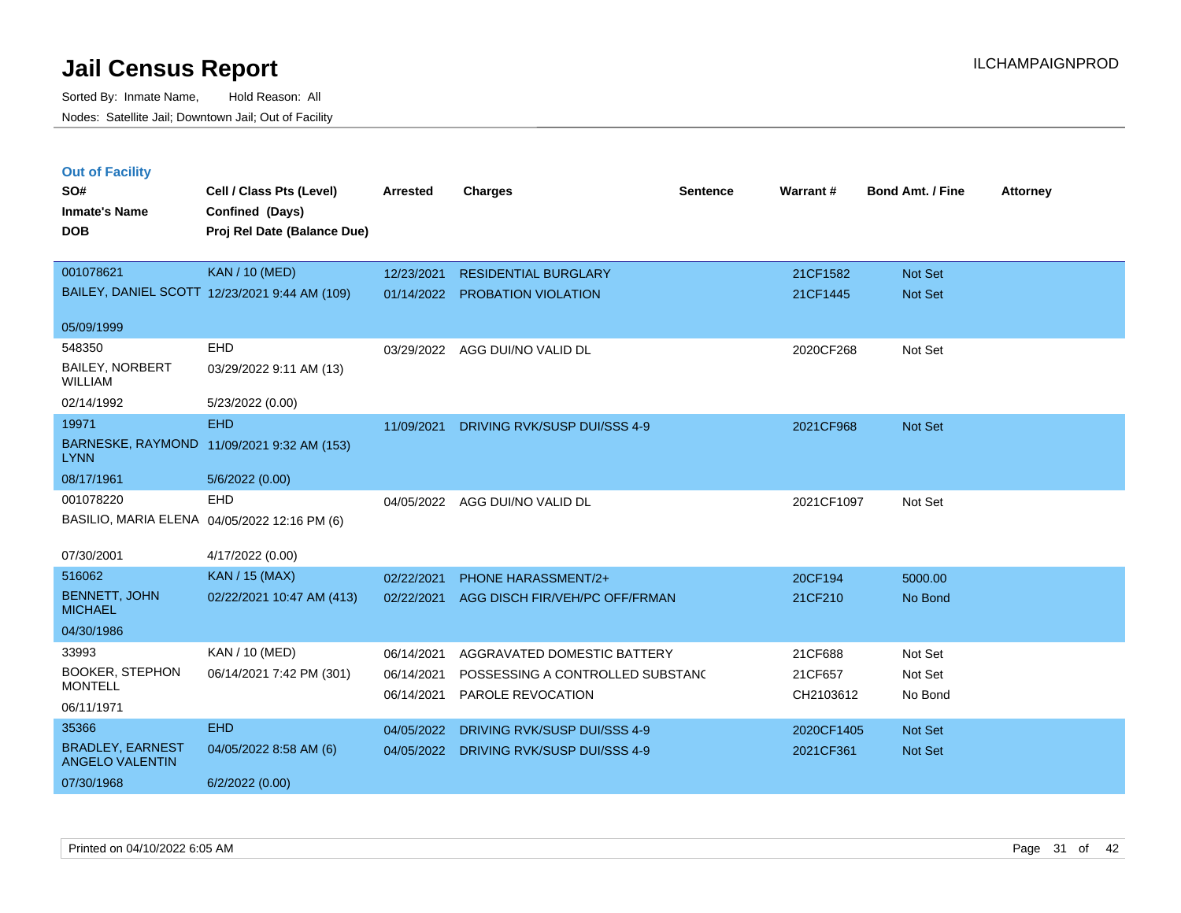**Out of Facility**

| SO#                                      | Cell / Class Pts (Level)                      | <b>Arrested</b> | Charges                      | <b>Sentence</b> | Warrant#   | <b>Bond Amt. / Fine</b> | <b>Attorney</b> |
|------------------------------------------|-----------------------------------------------|-----------------|------------------------------|-----------------|------------|-------------------------|-----------------|
| <b>Inmate's Name</b>                     | Confined (Days)                               |                 |                              |                 |            |                         |                 |
| <b>DOB</b>                               | Proj Rel Date (Balance Due)                   |                 |                              |                 |            |                         |                 |
|                                          |                                               |                 |                              |                 |            |                         |                 |
| 001078621                                | <b>KAN / 10 (MED)</b>                         | 12/23/2021      | <b>RESIDENTIAL BURGLARY</b>  |                 | 21CF1582   | Not Set                 |                 |
|                                          | BAILEY, DANIEL SCOTT 12/23/2021 9:44 AM (109) | 01/14/2022      | <b>PROBATION VIOLATION</b>   |                 | 21CF1445   | Not Set                 |                 |
| 05/09/1999                               |                                               |                 |                              |                 |            |                         |                 |
| 548350                                   | <b>EHD</b>                                    | 03/29/2022      | AGG DUI/NO VALID DL          |                 | 2020CF268  | Not Set                 |                 |
| <b>BAILEY, NORBERT</b><br><b>WILLIAM</b> | 03/29/2022 9:11 AM (13)                       |                 |                              |                 |            |                         |                 |
| 02/14/1992                               | 5/23/2022 (0.00)                              |                 |                              |                 |            |                         |                 |
| 19971                                    | <b>EHD</b>                                    | 11/09/2021      | DRIVING RVK/SUSP DUI/SSS 4-9 |                 | 2021CF968  | Not Set                 |                 |
| BARNESKE, RAYMOND<br><b>LYNN</b>         | 11/09/2021 9:32 AM (153)                      |                 |                              |                 |            |                         |                 |
| 08/17/1961                               | 5/6/2022 (0.00)                               |                 |                              |                 |            |                         |                 |
| 001078220                                | EHD                                           | 04/05/2022      | AGG DUI/NO VALID DL          |                 | 2021CF1097 | Not Set                 |                 |
|                                          | BASILIO, MARIA ELENA 04/05/2022 12:16 PM (6)  |                 |                              |                 |            |                         |                 |
| 07/30/2001                               | 4/17/2022 (0.00)                              |                 |                              |                 |            |                         |                 |
| 516062                                   | <b>KAN</b> / 15 (MAX)                         | 02/22/2021      | <b>PHONE HARASSMENT/2+</b>   |                 | 20CF194    | 5000.00                 |                 |

| <b>SOUGLC</b>                              | KAIN / 10 (MAA)           | 02/22/2021 | <b>PHONE HARASSMENT/2+</b>       | 20CF194    | 5000.00 |
|--------------------------------------------|---------------------------|------------|----------------------------------|------------|---------|
| <b>BENNETT, JOHN</b><br><b>MICHAEL</b>     | 02/22/2021 10:47 AM (413) | 02/22/2021 | AGG DISCH FIR/VEH/PC OFF/FRMAN   | 21CF210    | No Bond |
| 04/30/1986                                 |                           |            |                                  |            |         |
| 33993                                      | KAN / 10 (MED)            | 06/14/2021 | AGGRAVATED DOMESTIC BATTERY      | 21CF688    | Not Set |
| <b>BOOKER, STEPHON</b>                     | 06/14/2021 7:42 PM (301)  | 06/14/2021 | POSSESSING A CONTROLLED SUBSTANC | 21CF657    | Not Set |
| <b>MONTELL</b>                             |                           | 06/14/2021 | PAROLE REVOCATION                | CH2103612  | No Bond |
| 06/11/1971                                 |                           |            |                                  |            |         |
| 35366                                      | EHD.                      | 04/05/2022 | DRIVING RVK/SUSP DUI/SSS 4-9     | 2020CF1405 | Not Set |
| <b>BRADLEY, EARNEST</b><br>ANGELO VALENTIN | 04/05/2022 8:58 AM (6)    | 04/05/2022 | DRIVING RVK/SUSP DUI/SSS 4-9     | 2021CF361  | Not Set |
| 07/30/1968                                 | 6/2/2022(0.00)            |            |                                  |            |         |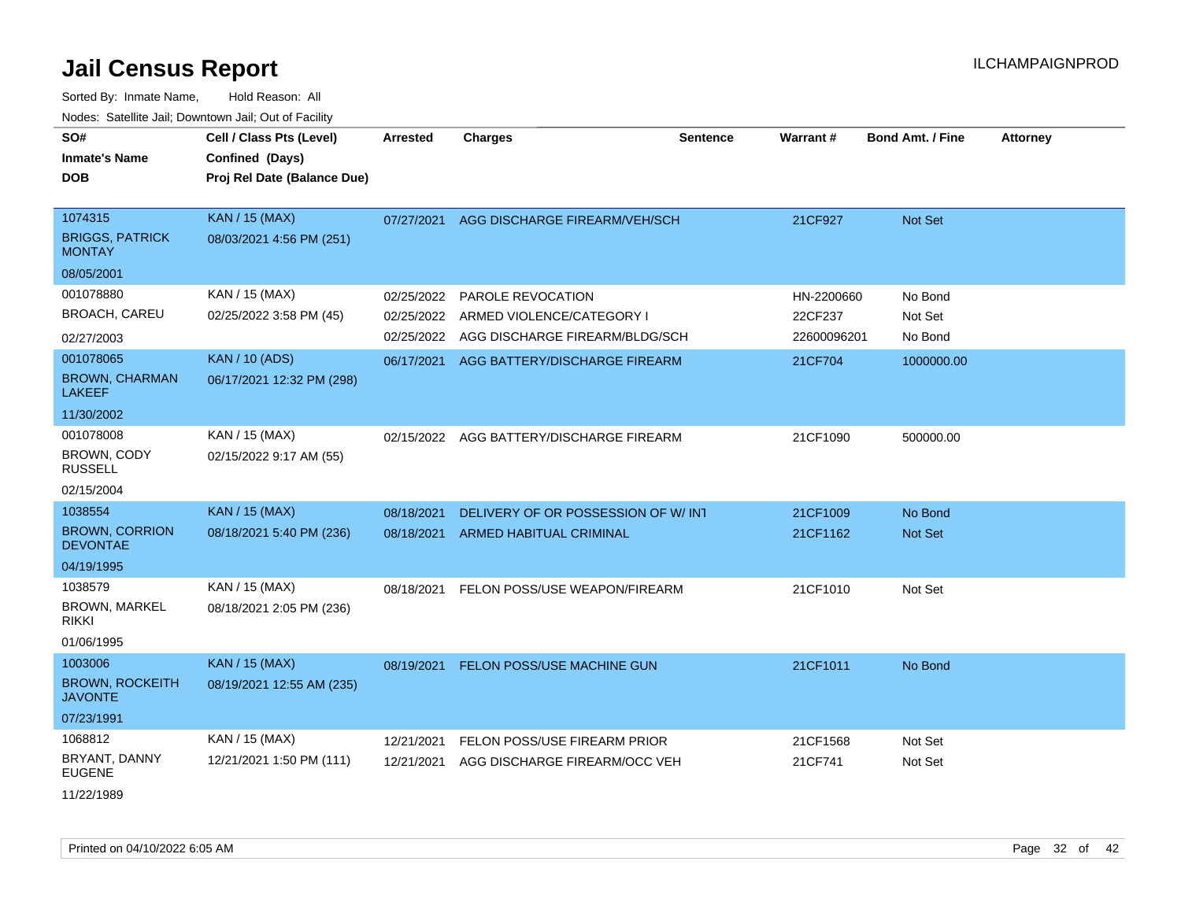| SO#<br><b>Inmate's Name</b><br><b>DOB</b>          | Cell / Class Pts (Level)<br>Confined (Days)<br>Proj Rel Date (Balance Due) | <b>Arrested</b> | <b>Charges</b>                      | <b>Sentence</b> | Warrant#    | <b>Bond Amt. / Fine</b> | <b>Attorney</b> |
|----------------------------------------------------|----------------------------------------------------------------------------|-----------------|-------------------------------------|-----------------|-------------|-------------------------|-----------------|
| 1074315<br><b>BRIGGS, PATRICK</b><br><b>MONTAY</b> | <b>KAN / 15 (MAX)</b><br>08/03/2021 4:56 PM (251)                          | 07/27/2021      | AGG DISCHARGE FIREARM/VEH/SCH       |                 | 21CF927     | <b>Not Set</b>          |                 |
| 08/05/2001                                         |                                                                            |                 |                                     |                 |             |                         |                 |
| 001078880                                          | KAN / 15 (MAX)                                                             | 02/25/2022      | PAROLE REVOCATION                   |                 | HN-2200660  | No Bond                 |                 |
| <b>BROACH, CAREU</b>                               | 02/25/2022 3:58 PM (45)                                                    | 02/25/2022      | ARMED VIOLENCE/CATEGORY I           |                 | 22CF237     | Not Set                 |                 |
| 02/27/2003                                         |                                                                            | 02/25/2022      | AGG DISCHARGE FIREARM/BLDG/SCH      |                 | 22600096201 | No Bond                 |                 |
| 001078065                                          | <b>KAN / 10 (ADS)</b>                                                      | 06/17/2021      | AGG BATTERY/DISCHARGE FIREARM       |                 | 21CF704     | 1000000.00              |                 |
| <b>BROWN, CHARMAN</b><br><b>LAKEEF</b>             | 06/17/2021 12:32 PM (298)                                                  |                 |                                     |                 |             |                         |                 |
| 11/30/2002                                         |                                                                            |                 |                                     |                 |             |                         |                 |
| 001078008<br><b>BROWN, CODY</b>                    | KAN / 15 (MAX)<br>02/15/2022 9:17 AM (55)                                  | 02/15/2022      | AGG BATTERY/DISCHARGE FIREARM       |                 | 21CF1090    | 500000.00               |                 |
| <b>RUSSELL</b><br>02/15/2004                       |                                                                            |                 |                                     |                 |             |                         |                 |
| 1038554                                            | <b>KAN / 15 (MAX)</b>                                                      | 08/18/2021      | DELIVERY OF OR POSSESSION OF W/ INT |                 | 21CF1009    | No Bond                 |                 |
| <b>BROWN, CORRION</b><br><b>DEVONTAE</b>           | 08/18/2021 5:40 PM (236)                                                   | 08/18/2021      | ARMED HABITUAL CRIMINAL             |                 | 21CF1162    | <b>Not Set</b>          |                 |
| 04/19/1995                                         |                                                                            |                 |                                     |                 |             |                         |                 |
| 1038579                                            | KAN / 15 (MAX)                                                             | 08/18/2021      | FELON POSS/USE WEAPON/FIREARM       |                 | 21CF1010    | Not Set                 |                 |
| <b>BROWN, MARKEL</b><br>rikki                      | 08/18/2021 2:05 PM (236)                                                   |                 |                                     |                 |             |                         |                 |
| 01/06/1995                                         |                                                                            |                 |                                     |                 |             |                         |                 |
| 1003006                                            | <b>KAN / 15 (MAX)</b>                                                      | 08/19/2021      | FELON POSS/USE MACHINE GUN          |                 | 21CF1011    | No Bond                 |                 |
| <b>BROWN, ROCKEITH</b><br><b>JAVONTE</b>           | 08/19/2021 12:55 AM (235)                                                  |                 |                                     |                 |             |                         |                 |
| 07/23/1991                                         |                                                                            |                 |                                     |                 |             |                         |                 |
| 1068812                                            | KAN / 15 (MAX)                                                             | 12/21/2021      | FELON POSS/USE FIREARM PRIOR        |                 | 21CF1568    | Not Set                 |                 |
| BRYANT, DANNY<br><b>EUGENE</b>                     | 12/21/2021 1:50 PM (111)                                                   | 12/21/2021      | AGG DISCHARGE FIREARM/OCC VEH       |                 | 21CF741     | Not Set                 |                 |
| 11/22/1989                                         |                                                                            |                 |                                     |                 |             |                         |                 |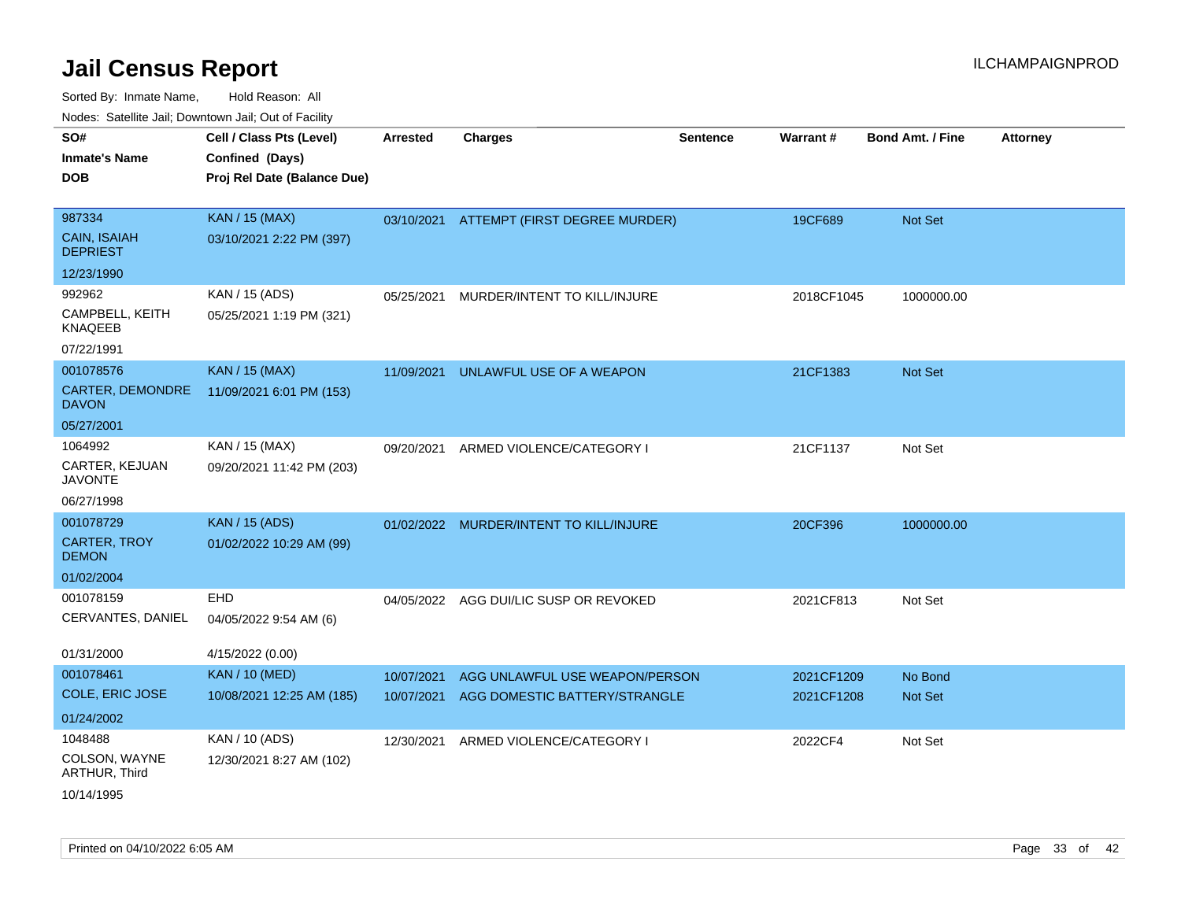| rouco. Calcillo Jali, Downtown Jali, Out of Facility |                                                                            |                 |                                |                 |            |                         |                 |
|------------------------------------------------------|----------------------------------------------------------------------------|-----------------|--------------------------------|-----------------|------------|-------------------------|-----------------|
| SO#<br>Inmate's Name<br><b>DOB</b>                   | Cell / Class Pts (Level)<br>Confined (Days)<br>Proj Rel Date (Balance Due) | <b>Arrested</b> | <b>Charges</b>                 | <b>Sentence</b> | Warrant#   | <b>Bond Amt. / Fine</b> | <b>Attorney</b> |
| 987334                                               | <b>KAN / 15 (MAX)</b>                                                      | 03/10/2021      | ATTEMPT (FIRST DEGREE MURDER)  |                 | 19CF689    | <b>Not Set</b>          |                 |
| <b>CAIN, ISAIAH</b><br><b>DEPRIEST</b>               | 03/10/2021 2:22 PM (397)                                                   |                 |                                |                 |            |                         |                 |
| 12/23/1990                                           |                                                                            |                 |                                |                 |            |                         |                 |
| 992962                                               | KAN / 15 (ADS)                                                             | 05/25/2021      | MURDER/INTENT TO KILL/INJURE   |                 | 2018CF1045 | 1000000.00              |                 |
| CAMPBELL, KEITH<br>KNAQEEB                           | 05/25/2021 1:19 PM (321)                                                   |                 |                                |                 |            |                         |                 |
| 07/22/1991                                           |                                                                            |                 |                                |                 |            |                         |                 |
| 001078576                                            | <b>KAN / 15 (MAX)</b>                                                      | 11/09/2021      | UNLAWFUL USE OF A WEAPON       |                 | 21CF1383   | <b>Not Set</b>          |                 |
| <b>CARTER, DEMONDRE</b><br><b>DAVON</b>              | 11/09/2021 6:01 PM (153)                                                   |                 |                                |                 |            |                         |                 |
| 05/27/2001                                           |                                                                            |                 |                                |                 |            |                         |                 |
| 1064992                                              | KAN / 15 (MAX)                                                             | 09/20/2021      | ARMED VIOLENCE/CATEGORY I      |                 | 21CF1137   | Not Set                 |                 |
| CARTER, KEJUAN<br><b>JAVONTE</b>                     | 09/20/2021 11:42 PM (203)                                                  |                 |                                |                 |            |                         |                 |
| 06/27/1998                                           |                                                                            |                 |                                |                 |            |                         |                 |
| 001078729                                            | <b>KAN / 15 (ADS)</b>                                                      | 01/02/2022      | MURDER/INTENT TO KILL/INJURE   |                 | 20CF396    | 1000000.00              |                 |
| CARTER, TROY<br><b>DEMON</b>                         | 01/02/2022 10:29 AM (99)                                                   |                 |                                |                 |            |                         |                 |
| 01/02/2004                                           |                                                                            |                 |                                |                 |            |                         |                 |
| 001078159                                            | EHD                                                                        | 04/05/2022      | AGG DUI/LIC SUSP OR REVOKED    |                 | 2021CF813  | Not Set                 |                 |
| CERVANTES, DANIEL                                    | 04/05/2022 9:54 AM (6)                                                     |                 |                                |                 |            |                         |                 |
| 01/31/2000                                           | 4/15/2022 (0.00)                                                           |                 |                                |                 |            |                         |                 |
| 001078461                                            | <b>KAN / 10 (MED)</b>                                                      | 10/07/2021      | AGG UNLAWFUL USE WEAPON/PERSON |                 | 2021CF1209 | No Bond                 |                 |
| COLE, ERIC JOSE                                      | 10/08/2021 12:25 AM (185)                                                  | 10/07/2021      | AGG DOMESTIC BATTERY/STRANGLE  |                 | 2021CF1208 | <b>Not Set</b>          |                 |
| 01/24/2002                                           |                                                                            |                 |                                |                 |            |                         |                 |
| 1048488                                              | KAN / 10 (ADS)                                                             | 12/30/2021      | ARMED VIOLENCE/CATEGORY I      |                 | 2022CF4    | Not Set                 |                 |
| COLSON, WAYNE<br>ARTHUR, Third                       | 12/30/2021 8:27 AM (102)                                                   |                 |                                |                 |            |                         |                 |
| 10/14/1995                                           |                                                                            |                 |                                |                 |            |                         |                 |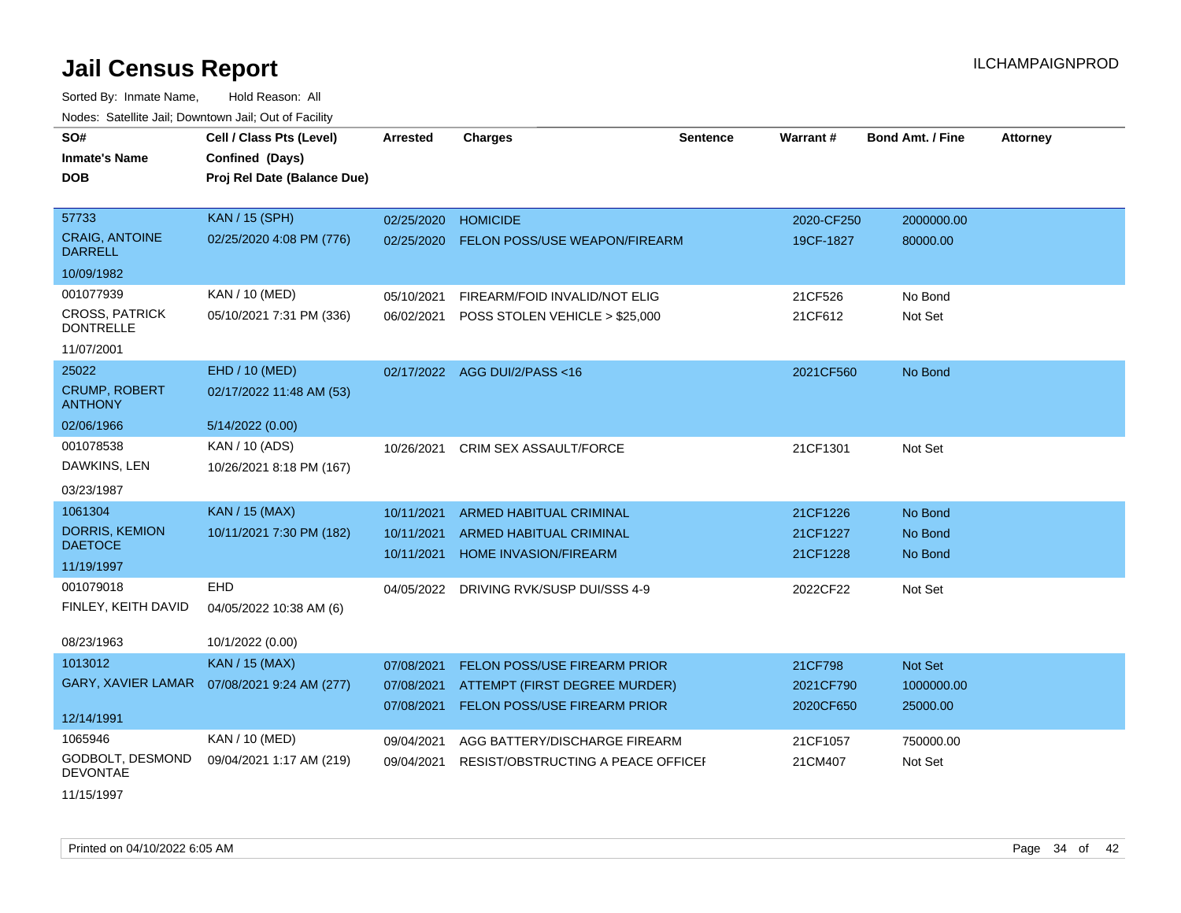| SO#                                       | Cell / Class Pts (Level)                     | <b>Arrested</b> | <b>Charges</b>                          | <b>Sentence</b> | <b>Warrant#</b> | <b>Bond Amt. / Fine</b> | <b>Attorney</b> |
|-------------------------------------------|----------------------------------------------|-----------------|-----------------------------------------|-----------------|-----------------|-------------------------|-----------------|
| <b>Inmate's Name</b>                      | Confined (Days)                              |                 |                                         |                 |                 |                         |                 |
| <b>DOB</b>                                | Proj Rel Date (Balance Due)                  |                 |                                         |                 |                 |                         |                 |
|                                           |                                              |                 |                                         |                 |                 |                         |                 |
| 57733                                     | <b>KAN / 15 (SPH)</b>                        | 02/25/2020      | <b>HOMICIDE</b>                         |                 | 2020-CF250      | 2000000.00              |                 |
| <b>CRAIG, ANTOINE</b><br><b>DARRELL</b>   | 02/25/2020 4:08 PM (776)                     | 02/25/2020      | FELON POSS/USE WEAPON/FIREARM           |                 | 19CF-1827       | 80000.00                |                 |
| 10/09/1982                                |                                              |                 |                                         |                 |                 |                         |                 |
| 001077939                                 | KAN / 10 (MED)                               | 05/10/2021      | FIREARM/FOID INVALID/NOT ELIG           |                 | 21CF526         | No Bond                 |                 |
| <b>CROSS, PATRICK</b><br><b>DONTRELLE</b> | 05/10/2021 7:31 PM (336)                     | 06/02/2021      | POSS STOLEN VEHICLE > \$25,000          |                 | 21CF612         | Not Set                 |                 |
| 11/07/2001                                |                                              |                 |                                         |                 |                 |                         |                 |
| 25022                                     | EHD / 10 (MED)                               |                 | 02/17/2022 AGG DUI/2/PASS<16            |                 | 2021CF560       | No Bond                 |                 |
| <b>CRUMP, ROBERT</b><br><b>ANTHONY</b>    | 02/17/2022 11:48 AM (53)                     |                 |                                         |                 |                 |                         |                 |
| 02/06/1966                                | 5/14/2022 (0.00)                             |                 |                                         |                 |                 |                         |                 |
| 001078538                                 | KAN / 10 (ADS)                               | 10/26/2021      | <b>CRIM SEX ASSAULT/FORCE</b>           |                 | 21CF1301        | Not Set                 |                 |
| DAWKINS, LEN                              | 10/26/2021 8:18 PM (167)                     |                 |                                         |                 |                 |                         |                 |
| 03/23/1987                                |                                              |                 |                                         |                 |                 |                         |                 |
| 1061304                                   | <b>KAN / 15 (MAX)</b>                        | 10/11/2021      | <b>ARMED HABITUAL CRIMINAL</b>          |                 | 21CF1226        | No Bond                 |                 |
| DORRIS, KEMION                            | 10/11/2021 7:30 PM (182)                     | 10/11/2021      | ARMED HABITUAL CRIMINAL                 |                 | 21CF1227        | No Bond                 |                 |
| <b>DAETOCE</b>                            |                                              | 10/11/2021      | <b>HOME INVASION/FIREARM</b>            |                 | 21CF1228        | No Bond                 |                 |
| 11/19/1997                                |                                              |                 |                                         |                 |                 |                         |                 |
| 001079018                                 | <b>EHD</b>                                   |                 | 04/05/2022 DRIVING RVK/SUSP DUI/SSS 4-9 |                 | 2022CF22        | Not Set                 |                 |
| FINLEY, KEITH DAVID                       | 04/05/2022 10:38 AM (6)                      |                 |                                         |                 |                 |                         |                 |
| 08/23/1963                                | 10/1/2022 (0.00)                             |                 |                                         |                 |                 |                         |                 |
| 1013012                                   | <b>KAN / 15 (MAX)</b>                        | 07/08/2021      | FELON POSS/USE FIREARM PRIOR            |                 | 21CF798         | Not Set                 |                 |
|                                           | GARY, XAVIER LAMAR  07/08/2021 9:24 AM (277) | 07/08/2021      | ATTEMPT (FIRST DEGREE MURDER)           |                 | 2021CF790       | 1000000.00              |                 |
|                                           |                                              | 07/08/2021      | FELON POSS/USE FIREARM PRIOR            |                 | 2020CF650       | 25000.00                |                 |
| 12/14/1991                                |                                              |                 |                                         |                 |                 |                         |                 |
| 1065946                                   | KAN / 10 (MED)                               | 09/04/2021      | AGG BATTERY/DISCHARGE FIREARM           |                 | 21CF1057        | 750000.00               |                 |
| GODBOLT, DESMOND<br><b>DEVONTAE</b>       | 09/04/2021 1:17 AM (219)                     | 09/04/2021      | RESIST/OBSTRUCTING A PEACE OFFICEL      |                 | 21CM407         | Not Set                 |                 |
| 11/15/1997                                |                                              |                 |                                         |                 |                 |                         |                 |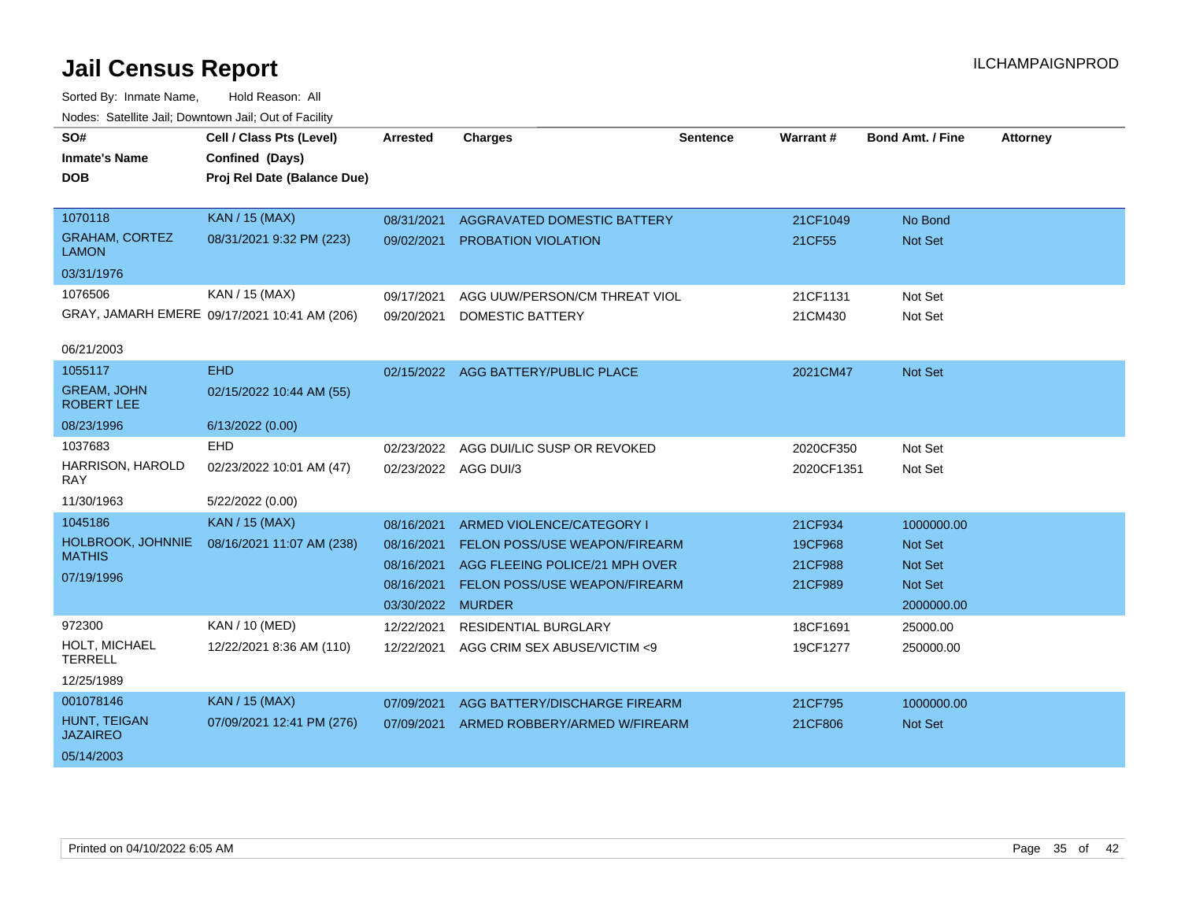| SO#<br><b>Inmate's Name</b><br><b>DOB</b>                        | Cell / Class Pts (Level)<br>Confined (Days)<br>Proj Rel Date (Balance Due) | <b>Arrested</b>                                                    | <b>Charges</b>                                                                                                                                        | <b>Sentence</b> | <b>Warrant#</b>                          | <b>Bond Amt. / Fine</b>                                                 | <b>Attorney</b> |
|------------------------------------------------------------------|----------------------------------------------------------------------------|--------------------------------------------------------------------|-------------------------------------------------------------------------------------------------------------------------------------------------------|-----------------|------------------------------------------|-------------------------------------------------------------------------|-----------------|
| 1070118<br><b>GRAHAM, CORTEZ</b><br><b>LAMON</b>                 | <b>KAN / 15 (MAX)</b><br>08/31/2021 9:32 PM (223)                          | 08/31/2021<br>09/02/2021                                           | AGGRAVATED DOMESTIC BATTERY<br><b>PROBATION VIOLATION</b>                                                                                             |                 | 21CF1049<br>21CF55                       | No Bond<br>Not Set                                                      |                 |
| 03/31/1976<br>1076506<br>06/21/2003                              | KAN / 15 (MAX)<br>GRAY, JAMARH EMERE 09/17/2021 10:41 AM (206)             | 09/17/2021<br>09/20/2021                                           | AGG UUW/PERSON/CM THREAT VIOL<br><b>DOMESTIC BATTERY</b>                                                                                              |                 | 21CF1131<br>21CM430                      | Not Set<br>Not Set                                                      |                 |
| 1055117<br><b>GREAM, JOHN</b><br><b>ROBERT LEE</b><br>08/23/1996 | <b>EHD</b><br>02/15/2022 10:44 AM (55)<br>6/13/2022 (0.00)                 |                                                                    | 02/15/2022 AGG BATTERY/PUBLIC PLACE                                                                                                                   |                 | 2021CM47                                 | <b>Not Set</b>                                                          |                 |
| 1037683<br>HARRISON, HAROLD<br><b>RAY</b><br>11/30/1963          | <b>EHD</b><br>02/23/2022 10:01 AM (47)<br>5/22/2022 (0.00)                 | 02/23/2022<br>02/23/2022 AGG DUI/3                                 | AGG DUI/LIC SUSP OR REVOKED                                                                                                                           |                 | 2020CF350<br>2020CF1351                  | Not Set<br>Not Set                                                      |                 |
| 1045186<br>HOLBROOK, JOHNNIE<br><b>MATHIS</b><br>07/19/1996      | <b>KAN / 15 (MAX)</b><br>08/16/2021 11:07 AM (238)                         | 08/16/2021<br>08/16/2021<br>08/16/2021<br>08/16/2021<br>03/30/2022 | <b>ARMED VIOLENCE/CATEGORY I</b><br>FELON POSS/USE WEAPON/FIREARM<br>AGG FLEEING POLICE/21 MPH OVER<br>FELON POSS/USE WEAPON/FIREARM<br><b>MURDER</b> |                 | 21CF934<br>19CF968<br>21CF988<br>21CF989 | 1000000.00<br><b>Not Set</b><br>Not Set<br><b>Not Set</b><br>2000000.00 |                 |
| 972300<br>HOLT, MICHAEL<br><b>TERRELL</b><br>12/25/1989          | KAN / 10 (MED)<br>12/22/2021 8:36 AM (110)                                 | 12/22/2021<br>12/22/2021                                           | RESIDENTIAL BURGLARY<br>AGG CRIM SEX ABUSE/VICTIM <9                                                                                                  |                 | 18CF1691<br>19CF1277                     | 25000.00<br>250000.00                                                   |                 |
| 001078146<br>HUNT, TEIGAN<br><b>JAZAIREO</b><br>05/14/2003       | <b>KAN / 15 (MAX)</b><br>07/09/2021 12:41 PM (276)                         | 07/09/2021<br>07/09/2021                                           | AGG BATTERY/DISCHARGE FIREARM<br>ARMED ROBBERY/ARMED W/FIREARM                                                                                        |                 | 21CF795<br>21CF806                       | 1000000.00<br><b>Not Set</b>                                            |                 |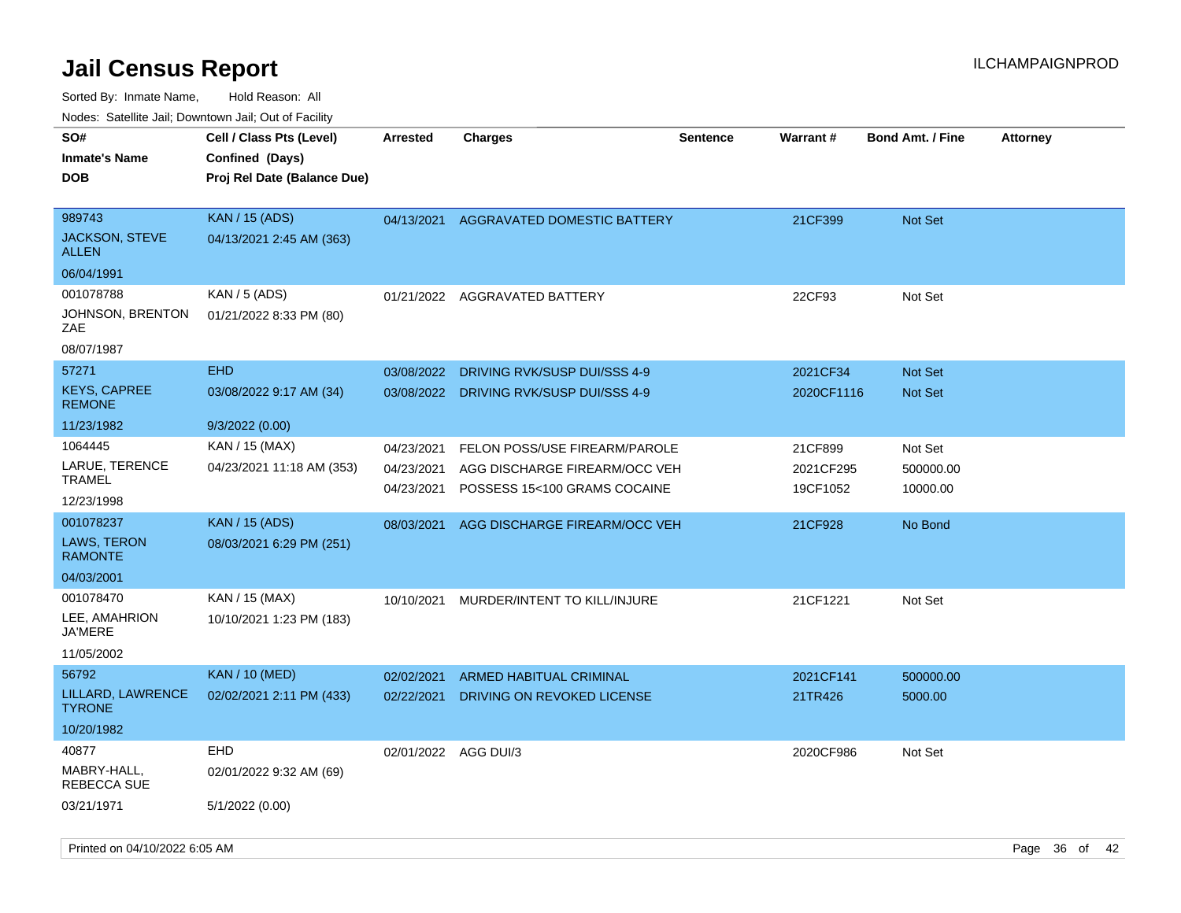| roaco. Calcinio dan, Downtown dan, Oal or Fability              |                                                                            |                                        |                                                                                                |                 |                                  |                                  |                 |
|-----------------------------------------------------------------|----------------------------------------------------------------------------|----------------------------------------|------------------------------------------------------------------------------------------------|-----------------|----------------------------------|----------------------------------|-----------------|
| SO#<br>Inmate's Name<br><b>DOB</b>                              | Cell / Class Pts (Level)<br>Confined (Days)<br>Proj Rel Date (Balance Due) | <b>Arrested</b>                        | Charges                                                                                        | <b>Sentence</b> | Warrant#                         | <b>Bond Amt. / Fine</b>          | <b>Attorney</b> |
| 989743<br>JACKSON, STEVE<br>ALLEN                               | <b>KAN / 15 (ADS)</b><br>04/13/2021 2:45 AM (363)                          | 04/13/2021                             | <b>AGGRAVATED DOMESTIC BATTERY</b>                                                             |                 | 21CF399                          | <b>Not Set</b>                   |                 |
| 06/04/1991                                                      |                                                                            |                                        |                                                                                                |                 |                                  |                                  |                 |
| 001078788<br>JOHNSON, BRENTON<br>ZAE                            | KAN / 5 (ADS)<br>01/21/2022 8:33 PM (80)                                   |                                        | 01/21/2022 AGGRAVATED BATTERY                                                                  |                 | 22CF93                           | Not Set                          |                 |
| 08/07/1987                                                      |                                                                            |                                        |                                                                                                |                 |                                  |                                  |                 |
| 57271<br><b>KEYS, CAPREE</b><br><b>REMONE</b>                   | <b>EHD</b><br>03/08/2022 9:17 AM (34)                                      | 03/08/2022<br>03/08/2022               | DRIVING RVK/SUSP DUI/SSS 4-9<br>DRIVING RVK/SUSP DUI/SSS 4-9                                   |                 | 2021CF34<br>2020CF1116           | <b>Not Set</b><br><b>Not Set</b> |                 |
| 11/23/1982                                                      | 9/3/2022 (0.00)                                                            |                                        |                                                                                                |                 |                                  |                                  |                 |
| 1064445<br>LARUE, TERENCE<br>TRAMEL<br>12/23/1998               | KAN / 15 (MAX)<br>04/23/2021 11:18 AM (353)                                | 04/23/2021<br>04/23/2021<br>04/23/2021 | FELON POSS/USE FIREARM/PAROLE<br>AGG DISCHARGE FIREARM/OCC VEH<br>POSSESS 15<100 GRAMS COCAINE |                 | 21CF899<br>2021CF295<br>19CF1052 | Not Set<br>500000.00<br>10000.00 |                 |
| 001078237<br><b>LAWS, TERON</b><br><b>RAMONTE</b><br>04/03/2001 | <b>KAN / 15 (ADS)</b><br>08/03/2021 6:29 PM (251)                          | 08/03/2021                             | AGG DISCHARGE FIREARM/OCC VEH                                                                  |                 | 21CF928                          | No Bond                          |                 |
| 001078470<br>LEE, AMAHRION<br>JA'MERE<br>11/05/2002             | KAN / 15 (MAX)<br>10/10/2021 1:23 PM (183)                                 | 10/10/2021                             | MURDER/INTENT TO KILL/INJURE                                                                   |                 | 21CF1221                         | Not Set                          |                 |
| 56792                                                           | <b>KAN / 10 (MED)</b>                                                      | 02/02/2021                             | ARMED HABITUAL CRIMINAL                                                                        |                 | 2021CF141                        | 500000.00                        |                 |
| LILLARD, LAWRENCE<br>TYRONE.                                    | 02/02/2021 2:11 PM (433)                                                   | 02/22/2021                             | DRIVING ON REVOKED LICENSE                                                                     |                 | 21TR426                          | 5000.00                          |                 |
| 10/20/1982                                                      |                                                                            |                                        |                                                                                                |                 |                                  |                                  |                 |
| 40877<br>MABRY-HALL,<br>REBECCA SUE                             | <b>EHD</b><br>02/01/2022 9:32 AM (69)                                      | 02/01/2022 AGG DUI/3                   |                                                                                                |                 | 2020CF986                        | Not Set                          |                 |
| 03/21/1971                                                      | 5/1/2022 (0.00)                                                            |                                        |                                                                                                |                 |                                  |                                  |                 |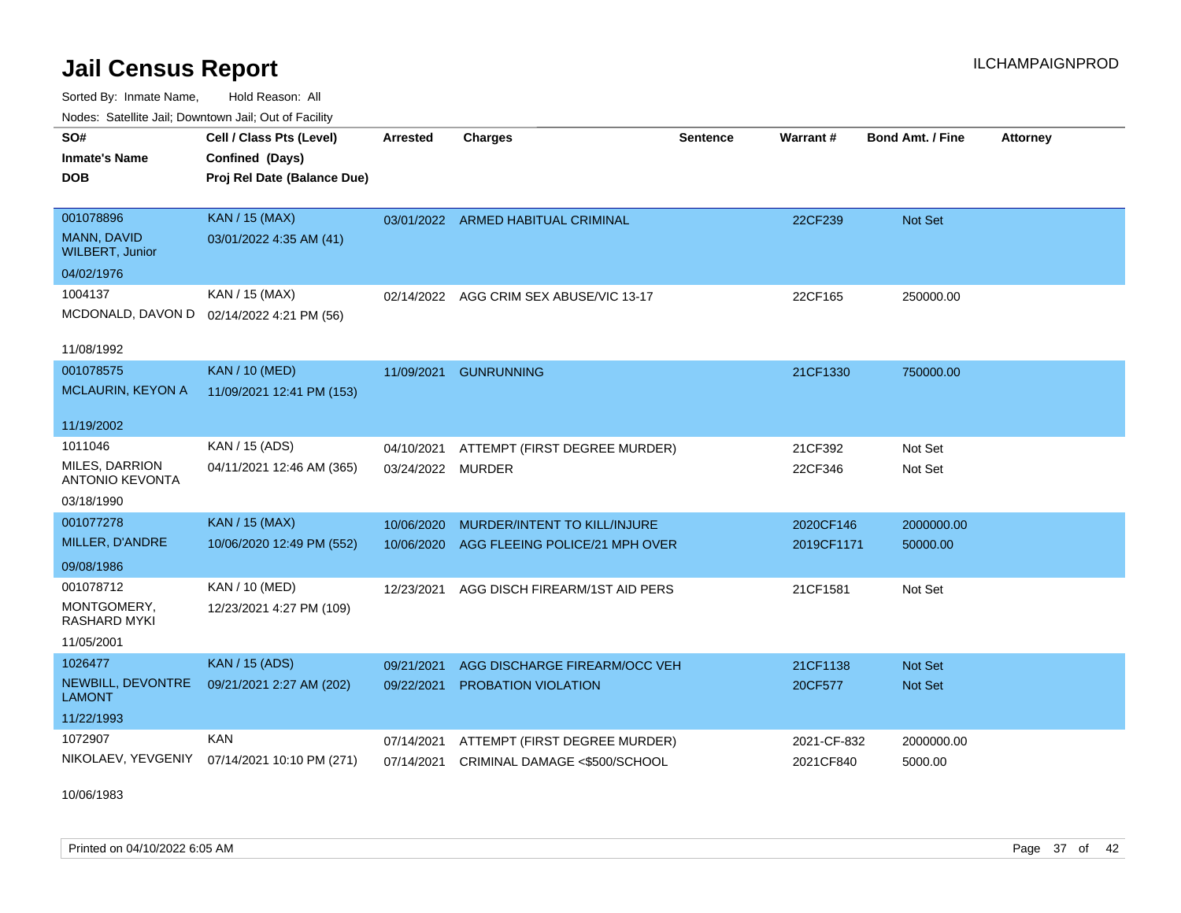Sorted By: Inmate Name, Hold Reason: All Nodes: Satellite Jail; Downtown Jail; Out of Facility

| SO#                                   | Cell / Class Pts (Level)                     | <b>Arrested</b> | <b>Charges</b>                          | <b>Sentence</b> | Warrant#    | <b>Bond Amt. / Fine</b> | <b>Attorney</b> |
|---------------------------------------|----------------------------------------------|-----------------|-----------------------------------------|-----------------|-------------|-------------------------|-----------------|
| <b>Inmate's Name</b>                  | Confined (Days)                              |                 |                                         |                 |             |                         |                 |
| <b>DOB</b>                            | Proj Rel Date (Balance Due)                  |                 |                                         |                 |             |                         |                 |
|                                       |                                              |                 |                                         |                 |             |                         |                 |
| 001078896                             | <b>KAN / 15 (MAX)</b>                        |                 | 03/01/2022 ARMED HABITUAL CRIMINAL      |                 | 22CF239     | Not Set                 |                 |
| MANN, DAVID<br><b>WILBERT, Junior</b> | 03/01/2022 4:35 AM (41)                      |                 |                                         |                 |             |                         |                 |
| 04/02/1976                            |                                              |                 |                                         |                 |             |                         |                 |
| 1004137                               | KAN / 15 (MAX)                               |                 | 02/14/2022 AGG CRIM SEX ABUSE/VIC 13-17 |                 | 22CF165     | 250000.00               |                 |
|                                       | MCDONALD, DAVON D 02/14/2022 4:21 PM (56)    |                 |                                         |                 |             |                         |                 |
|                                       |                                              |                 |                                         |                 |             |                         |                 |
| 11/08/1992                            |                                              |                 |                                         |                 |             |                         |                 |
| 001078575                             | <b>KAN / 10 (MED)</b>                        | 11/09/2021      | <b>GUNRUNNING</b>                       |                 | 21CF1330    | 750000.00               |                 |
| <b>MCLAURIN, KEYON A</b>              | 11/09/2021 12:41 PM (153)                    |                 |                                         |                 |             |                         |                 |
|                                       |                                              |                 |                                         |                 |             |                         |                 |
| 11/19/2002                            |                                              |                 |                                         |                 |             |                         |                 |
| 1011046                               | KAN / 15 (ADS)                               | 04/10/2021      | ATTEMPT (FIRST DEGREE MURDER)           |                 | 21CF392     | Not Set                 |                 |
| <b>MILES, DARRION</b>                 | 04/11/2021 12:46 AM (365)                    | 03/24/2022      | MURDER                                  |                 | 22CF346     | Not Set                 |                 |
| <b>ANTONIO KEVONTA</b>                |                                              |                 |                                         |                 |             |                         |                 |
| 03/18/1990                            |                                              |                 |                                         |                 |             |                         |                 |
| 001077278                             | <b>KAN / 15 (MAX)</b>                        | 10/06/2020      | MURDER/INTENT TO KILL/INJURE            |                 | 2020CF146   | 2000000.00              |                 |
| MILLER, D'ANDRE                       | 10/06/2020 12:49 PM (552)                    | 10/06/2020      | AGG FLEEING POLICE/21 MPH OVER          |                 | 2019CF1171  | 50000.00                |                 |
| 09/08/1986                            |                                              |                 |                                         |                 |             |                         |                 |
| 001078712                             | <b>KAN / 10 (MED)</b>                        | 12/23/2021      | AGG DISCH FIREARM/1ST AID PERS          |                 | 21CF1581    | Not Set                 |                 |
| MONTGOMERY,                           | 12/23/2021 4:27 PM (109)                     |                 |                                         |                 |             |                         |                 |
| <b>RASHARD MYKI</b>                   |                                              |                 |                                         |                 |             |                         |                 |
| 11/05/2001                            |                                              |                 |                                         |                 |             |                         |                 |
| 1026477                               | <b>KAN / 15 (ADS)</b>                        | 09/21/2021      | AGG DISCHARGE FIREARM/OCC VEH           |                 | 21CF1138    | <b>Not Set</b>          |                 |
| NEWBILL, DEVONTRE                     | 09/21/2021 2:27 AM (202)                     | 09/22/2021      | <b>PROBATION VIOLATION</b>              |                 | 20CF577     | Not Set                 |                 |
| <b>LAMONT</b>                         |                                              |                 |                                         |                 |             |                         |                 |
| 11/22/1993                            |                                              |                 |                                         |                 |             |                         |                 |
| 1072907                               | KAN                                          | 07/14/2021      | ATTEMPT (FIRST DEGREE MURDER)           |                 | 2021-CF-832 | 2000000.00              |                 |
|                                       | NIKOLAEV, YEVGENIY 07/14/2021 10:10 PM (271) | 07/14/2021      | CRIMINAL DAMAGE <\$500/SCHOOL           |                 | 2021CF840   | 5000.00                 |                 |
|                                       |                                              |                 |                                         |                 |             |                         |                 |

10/06/1983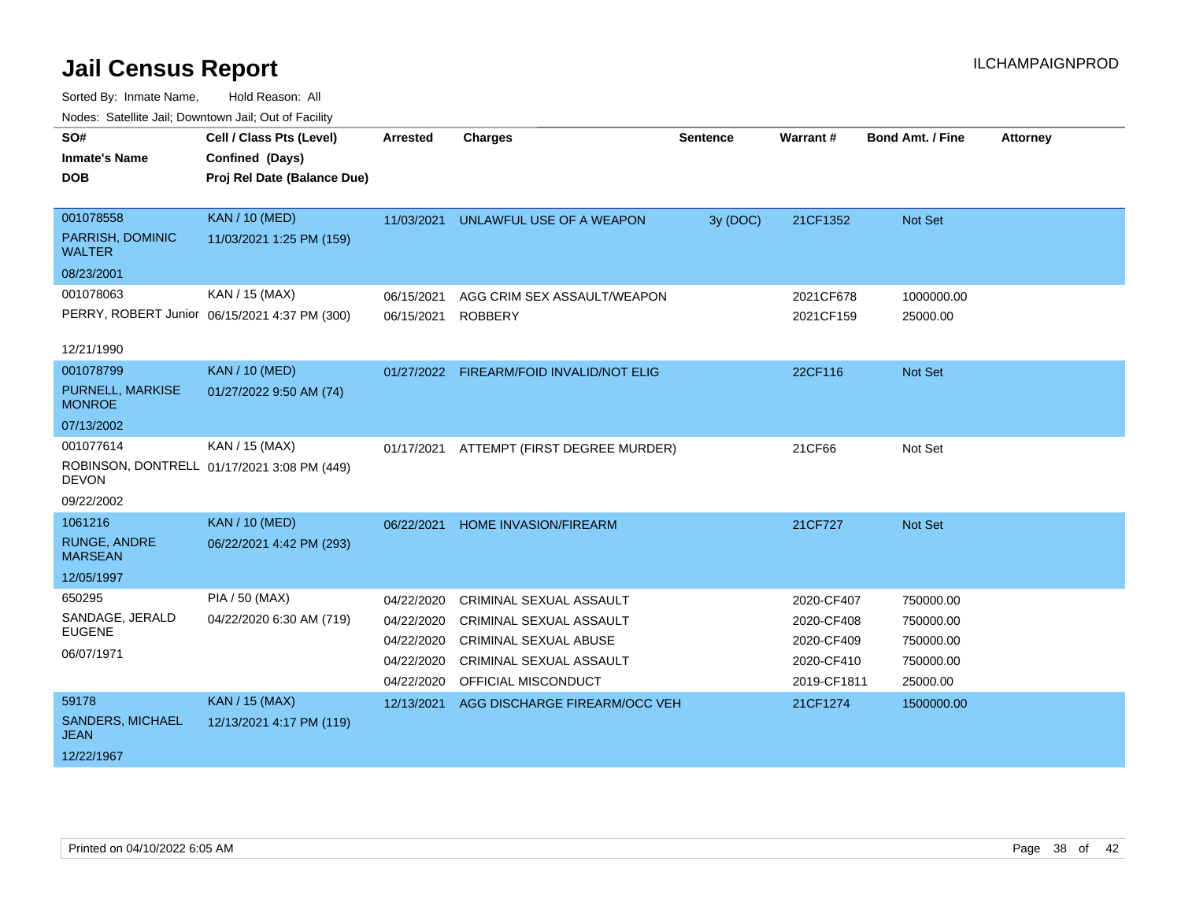| roucs. Oatchite sail, Downtown sail, Out of Facility |                                               |                 |                                          |                 |             |                         |                 |
|------------------------------------------------------|-----------------------------------------------|-----------------|------------------------------------------|-----------------|-------------|-------------------------|-----------------|
| SO#                                                  | Cell / Class Pts (Level)                      | <b>Arrested</b> | <b>Charges</b>                           | <b>Sentence</b> | Warrant#    | <b>Bond Amt. / Fine</b> | <b>Attorney</b> |
| <b>Inmate's Name</b>                                 | Confined (Days)                               |                 |                                          |                 |             |                         |                 |
| <b>DOB</b>                                           | Proj Rel Date (Balance Due)                   |                 |                                          |                 |             |                         |                 |
|                                                      |                                               |                 |                                          |                 |             |                         |                 |
| 001078558                                            | <b>KAN / 10 (MED)</b>                         | 11/03/2021      | UNLAWFUL USE OF A WEAPON                 | 3y (DOC)        | 21CF1352    | Not Set                 |                 |
| PARRISH, DOMINIC<br><b>WALTER</b>                    | 11/03/2021 1:25 PM (159)                      |                 |                                          |                 |             |                         |                 |
| 08/23/2001                                           |                                               |                 |                                          |                 |             |                         |                 |
| 001078063                                            | KAN / 15 (MAX)                                | 06/15/2021      | AGG CRIM SEX ASSAULT/WEAPON              |                 | 2021CF678   | 1000000.00              |                 |
|                                                      | PERRY, ROBERT Junior 06/15/2021 4:37 PM (300) | 06/15/2021      | <b>ROBBERY</b>                           |                 | 2021CF159   | 25000.00                |                 |
|                                                      |                                               |                 |                                          |                 |             |                         |                 |
| 12/21/1990                                           |                                               |                 |                                          |                 |             |                         |                 |
| 001078799                                            | <b>KAN / 10 (MED)</b>                         |                 | 01/27/2022 FIREARM/FOID INVALID/NOT ELIG |                 | 22CF116     | Not Set                 |                 |
| PURNELL, MARKISE<br><b>MONROE</b>                    | 01/27/2022 9:50 AM (74)                       |                 |                                          |                 |             |                         |                 |
| 07/13/2002                                           |                                               |                 |                                          |                 |             |                         |                 |
| 001077614                                            | KAN / 15 (MAX)                                | 01/17/2021      | ATTEMPT (FIRST DEGREE MURDER)            |                 | 21CF66      | Not Set                 |                 |
| <b>DEVON</b>                                         | ROBINSON, DONTRELL 01/17/2021 3:08 PM (449)   |                 |                                          |                 |             |                         |                 |
| 09/22/2002                                           |                                               |                 |                                          |                 |             |                         |                 |
| 1061216                                              | <b>KAN / 10 (MED)</b>                         | 06/22/2021      | <b>HOME INVASION/FIREARM</b>             |                 | 21CF727     | Not Set                 |                 |
| <b>RUNGE, ANDRE</b><br><b>MARSEAN</b>                | 06/22/2021 4:42 PM (293)                      |                 |                                          |                 |             |                         |                 |
| 12/05/1997                                           |                                               |                 |                                          |                 |             |                         |                 |
| 650295                                               | <b>PIA / 50 (MAX)</b>                         | 04/22/2020      | <b>CRIMINAL SEXUAL ASSAULT</b>           |                 | 2020-CF407  | 750000.00               |                 |
| SANDAGE, JERALD                                      | 04/22/2020 6:30 AM (719)                      | 04/22/2020      | <b>CRIMINAL SEXUAL ASSAULT</b>           |                 | 2020-CF408  | 750000.00               |                 |
| <b>EUGENE</b>                                        |                                               | 04/22/2020      | <b>CRIMINAL SEXUAL ABUSE</b>             |                 | 2020-CF409  | 750000.00               |                 |
| 06/07/1971                                           |                                               | 04/22/2020      | <b>CRIMINAL SEXUAL ASSAULT</b>           |                 | 2020-CF410  | 750000.00               |                 |
|                                                      |                                               | 04/22/2020      | OFFICIAL MISCONDUCT                      |                 | 2019-CF1811 | 25000.00                |                 |
| 59178                                                | <b>KAN / 15 (MAX)</b>                         | 12/13/2021      | AGG DISCHARGE FIREARM/OCC VEH            |                 | 21CF1274    | 1500000.00              |                 |
| <b>SANDERS, MICHAEL</b><br><b>JEAN</b>               | 12/13/2021 4:17 PM (119)                      |                 |                                          |                 |             |                         |                 |
| 12/22/1967                                           |                                               |                 |                                          |                 |             |                         |                 |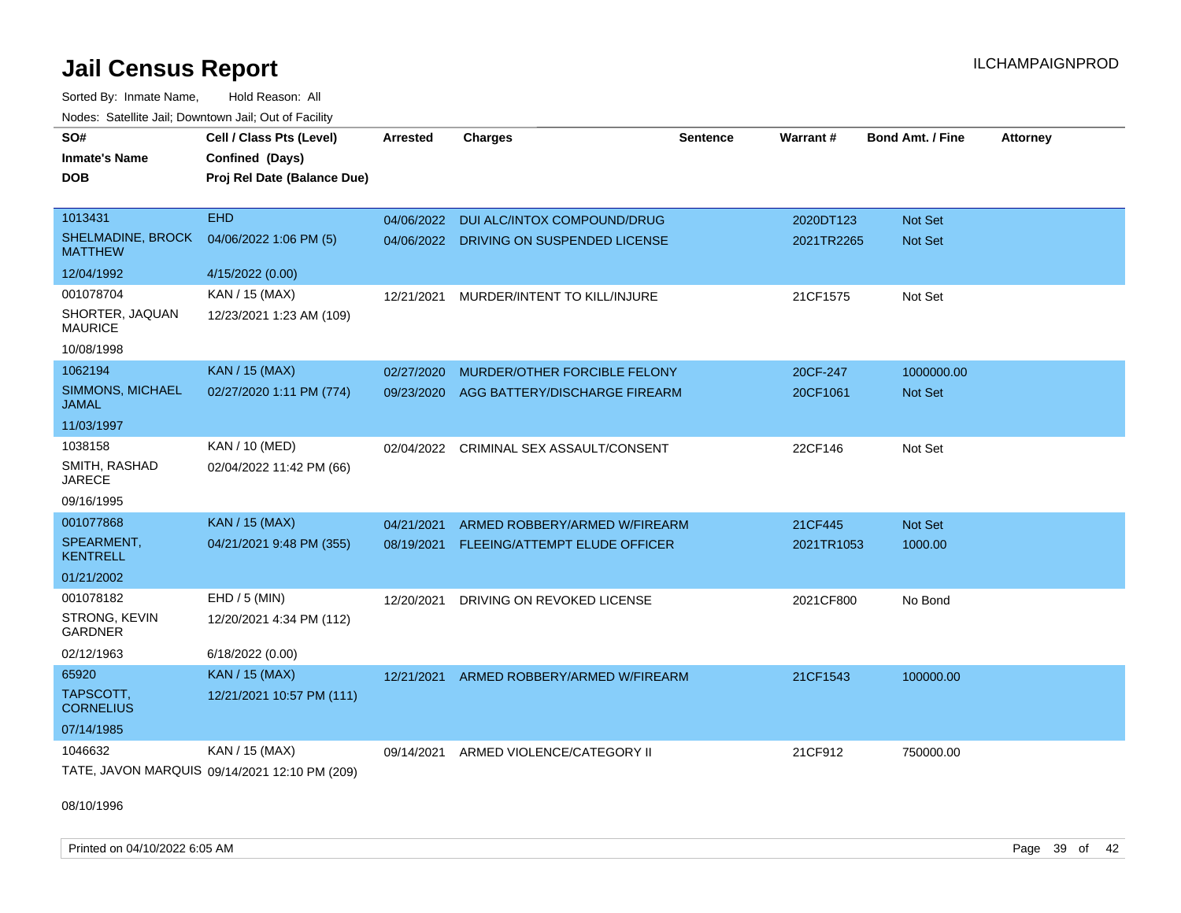Sorted By: Inmate Name, Hold Reason: All Nodes: Satellite Jail; Downtown Jail; Out of Facility

| SO#                                        | Cell / Class Pts (Level)                      | <b>Arrested</b> | <b>Charges</b>                          | <b>Sentence</b> | Warrant#   | <b>Bond Amt. / Fine</b> | <b>Attorney</b> |
|--------------------------------------------|-----------------------------------------------|-----------------|-----------------------------------------|-----------------|------------|-------------------------|-----------------|
| <b>Inmate's Name</b>                       | Confined (Days)                               |                 |                                         |                 |            |                         |                 |
| <b>DOB</b>                                 | Proj Rel Date (Balance Due)                   |                 |                                         |                 |            |                         |                 |
|                                            |                                               |                 |                                         |                 |            |                         |                 |
| 1013431                                    | <b>EHD</b>                                    | 04/06/2022      | DUI ALC/INTOX COMPOUND/DRUG             |                 | 2020DT123  | Not Set                 |                 |
| <b>SHELMADINE, BROCK</b><br><b>MATTHEW</b> | 04/06/2022 1:06 PM (5)                        |                 | 04/06/2022 DRIVING ON SUSPENDED LICENSE |                 | 2021TR2265 | <b>Not Set</b>          |                 |
| 12/04/1992                                 | 4/15/2022 (0.00)                              |                 |                                         |                 |            |                         |                 |
| 001078704                                  | KAN / 15 (MAX)                                | 12/21/2021      | MURDER/INTENT TO KILL/INJURE            |                 | 21CF1575   | Not Set                 |                 |
| SHORTER, JAQUAN<br><b>MAURICE</b>          | 12/23/2021 1:23 AM (109)                      |                 |                                         |                 |            |                         |                 |
| 10/08/1998                                 |                                               |                 |                                         |                 |            |                         |                 |
| 1062194                                    | <b>KAN / 15 (MAX)</b>                         | 02/27/2020      | MURDER/OTHER FORCIBLE FELONY            |                 | 20CF-247   | 1000000.00              |                 |
| SIMMONS, MICHAEL<br><b>JAMAL</b>           | 02/27/2020 1:11 PM (774)                      | 09/23/2020      | AGG BATTERY/DISCHARGE FIREARM           |                 | 20CF1061   | Not Set                 |                 |
| 11/03/1997                                 |                                               |                 |                                         |                 |            |                         |                 |
| 1038158                                    | <b>KAN / 10 (MED)</b>                         | 02/04/2022      | CRIMINAL SEX ASSAULT/CONSENT            |                 | 22CF146    | Not Set                 |                 |
| SMITH, RASHAD<br><b>JARECE</b>             | 02/04/2022 11:42 PM (66)                      |                 |                                         |                 |            |                         |                 |
| 09/16/1995                                 |                                               |                 |                                         |                 |            |                         |                 |
| 001077868                                  | KAN / 15 (MAX)                                | 04/21/2021      | ARMED ROBBERY/ARMED W/FIREARM           |                 | 21CF445    | Not Set                 |                 |
| SPEARMENT,<br><b>KENTRELL</b>              | 04/21/2021 9:48 PM (355)                      | 08/19/2021      | FLEEING/ATTEMPT ELUDE OFFICER           |                 | 2021TR1053 | 1000.00                 |                 |
| 01/21/2002                                 |                                               |                 |                                         |                 |            |                         |                 |
| 001078182                                  | EHD / 5 (MIN)                                 | 12/20/2021      | DRIVING ON REVOKED LICENSE              |                 | 2021CF800  | No Bond                 |                 |
| STRONG, KEVIN<br><b>GARDNER</b>            | 12/20/2021 4:34 PM (112)                      |                 |                                         |                 |            |                         |                 |
| 02/12/1963                                 | 6/18/2022 (0.00)                              |                 |                                         |                 |            |                         |                 |
| 65920                                      | KAN / 15 (MAX)                                | 12/21/2021      | ARMED ROBBERY/ARMED W/FIREARM           |                 | 21CF1543   | 100000.00               |                 |
| TAPSCOTT,<br><b>CORNELIUS</b>              | 12/21/2021 10:57 PM (111)                     |                 |                                         |                 |            |                         |                 |
| 07/14/1985                                 |                                               |                 |                                         |                 |            |                         |                 |
| 1046632                                    | KAN / 15 (MAX)                                | 09/14/2021      | ARMED VIOLENCE/CATEGORY II              |                 | 21CF912    | 750000.00               |                 |
|                                            | TATE, JAVON MARQUIS 09/14/2021 12:10 PM (209) |                 |                                         |                 |            |                         |                 |

08/10/1996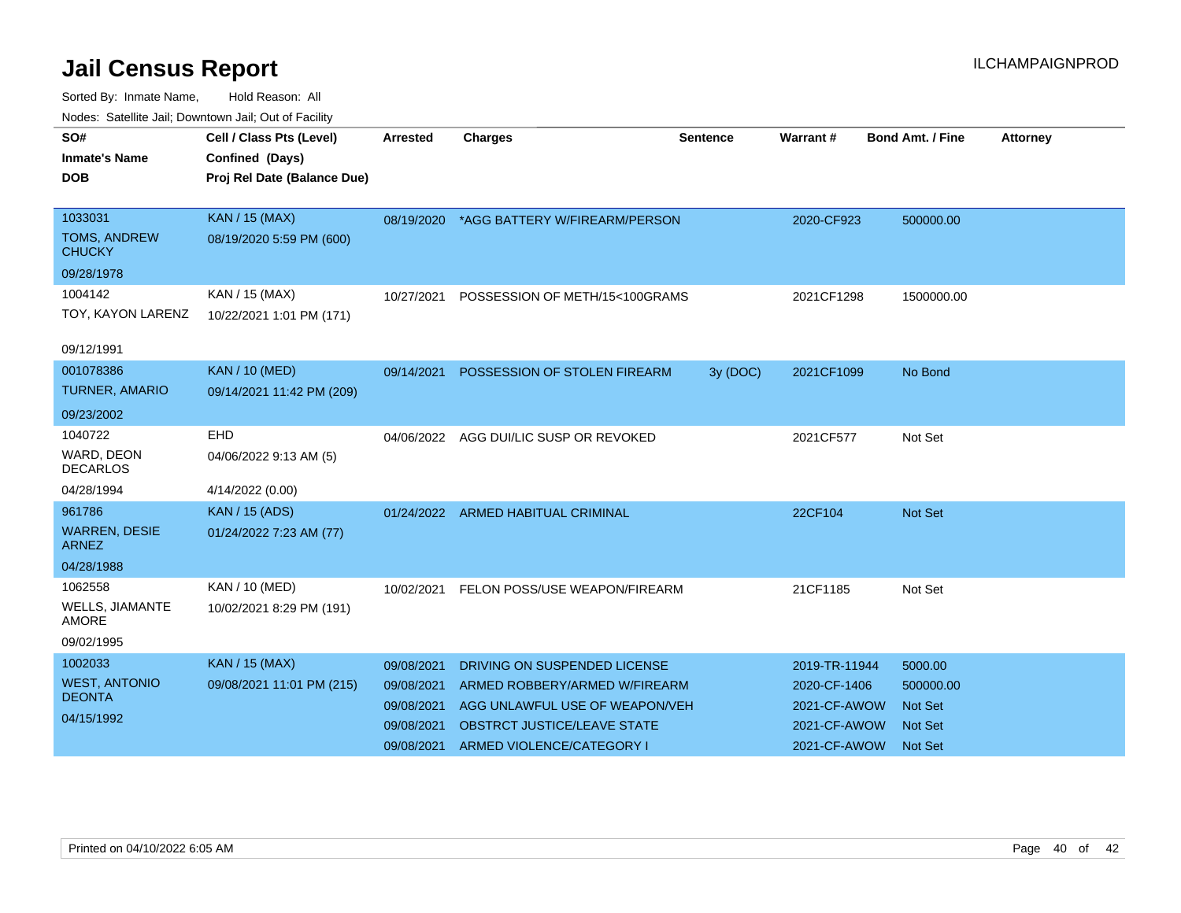| roaco. Calcinio can, Downlown can, Out or Fability |                             |            |                                          |                 |               |                         |                 |
|----------------------------------------------------|-----------------------------|------------|------------------------------------------|-----------------|---------------|-------------------------|-----------------|
| SO#                                                | Cell / Class Pts (Level)    | Arrested   | <b>Charges</b>                           | <b>Sentence</b> | Warrant#      | <b>Bond Amt. / Fine</b> | <b>Attorney</b> |
| <b>Inmate's Name</b>                               | Confined (Days)             |            |                                          |                 |               |                         |                 |
| <b>DOB</b>                                         | Proj Rel Date (Balance Due) |            |                                          |                 |               |                         |                 |
|                                                    |                             |            |                                          |                 |               |                         |                 |
| 1033031                                            | <b>KAN / 15 (MAX)</b>       |            | 08/19/2020 *AGG BATTERY W/FIREARM/PERSON |                 | 2020-CF923    | 500000.00               |                 |
| <b>TOMS, ANDREW</b><br><b>CHUCKY</b>               | 08/19/2020 5:59 PM (600)    |            |                                          |                 |               |                         |                 |
| 09/28/1978                                         |                             |            |                                          |                 |               |                         |                 |
| 1004142                                            | KAN / 15 (MAX)              | 10/27/2021 | POSSESSION OF METH/15<100GRAMS           |                 | 2021CF1298    | 1500000.00              |                 |
| TOY, KAYON LARENZ                                  | 10/22/2021 1:01 PM (171)    |            |                                          |                 |               |                         |                 |
|                                                    |                             |            |                                          |                 |               |                         |                 |
| 09/12/1991                                         |                             |            |                                          |                 |               |                         |                 |
| 001078386                                          | <b>KAN / 10 (MED)</b>       |            | 09/14/2021 POSSESSION OF STOLEN FIREARM  | 3y (DOC)        | 2021CF1099    | No Bond                 |                 |
| <b>TURNER, AMARIO</b>                              | 09/14/2021 11:42 PM (209)   |            |                                          |                 |               |                         |                 |
| 09/23/2002                                         |                             |            |                                          |                 |               |                         |                 |
| 1040722                                            | <b>EHD</b>                  |            | 04/06/2022 AGG DUI/LIC SUSP OR REVOKED   |                 | 2021CF577     | Not Set                 |                 |
| WARD, DEON<br><b>DECARLOS</b>                      | 04/06/2022 9:13 AM (5)      |            |                                          |                 |               |                         |                 |
| 04/28/1994                                         | 4/14/2022 (0.00)            |            |                                          |                 |               |                         |                 |
| 961786                                             | <b>KAN / 15 (ADS)</b>       | 01/24/2022 | ARMED HABITUAL CRIMINAL                  |                 | 22CF104       | Not Set                 |                 |
| <b>WARREN, DESIE</b><br><b>ARNEZ</b>               | 01/24/2022 7:23 AM (77)     |            |                                          |                 |               |                         |                 |
| 04/28/1988                                         |                             |            |                                          |                 |               |                         |                 |
| 1062558                                            | KAN / 10 (MED)              | 10/02/2021 | FELON POSS/USE WEAPON/FIREARM            |                 | 21CF1185      | Not Set                 |                 |
| WELLS, JIAMANTE<br>AMORE                           | 10/02/2021 8:29 PM (191)    |            |                                          |                 |               |                         |                 |
| 09/02/1995                                         |                             |            |                                          |                 |               |                         |                 |
| 1002033                                            | KAN / 15 (MAX)              | 09/08/2021 | DRIVING ON SUSPENDED LICENSE             |                 | 2019-TR-11944 | 5000.00                 |                 |
| <b>WEST, ANTONIO</b>                               | 09/08/2021 11:01 PM (215)   | 09/08/2021 | ARMED ROBBERY/ARMED W/FIREARM            |                 | 2020-CF-1406  | 500000.00               |                 |
| <b>DEONTA</b>                                      |                             | 09/08/2021 | AGG UNLAWFUL USE OF WEAPON/VEH           |                 | 2021-CF-AWOW  | <b>Not Set</b>          |                 |
| 04/15/1992                                         |                             | 09/08/2021 | <b>OBSTRCT JUSTICE/LEAVE STATE</b>       |                 | 2021-CF-AWOW  | <b>Not Set</b>          |                 |
|                                                    |                             | 09/08/2021 | ARMED VIOLENCE/CATEGORY I                |                 | 2021-CF-AWOW  | <b>Not Set</b>          |                 |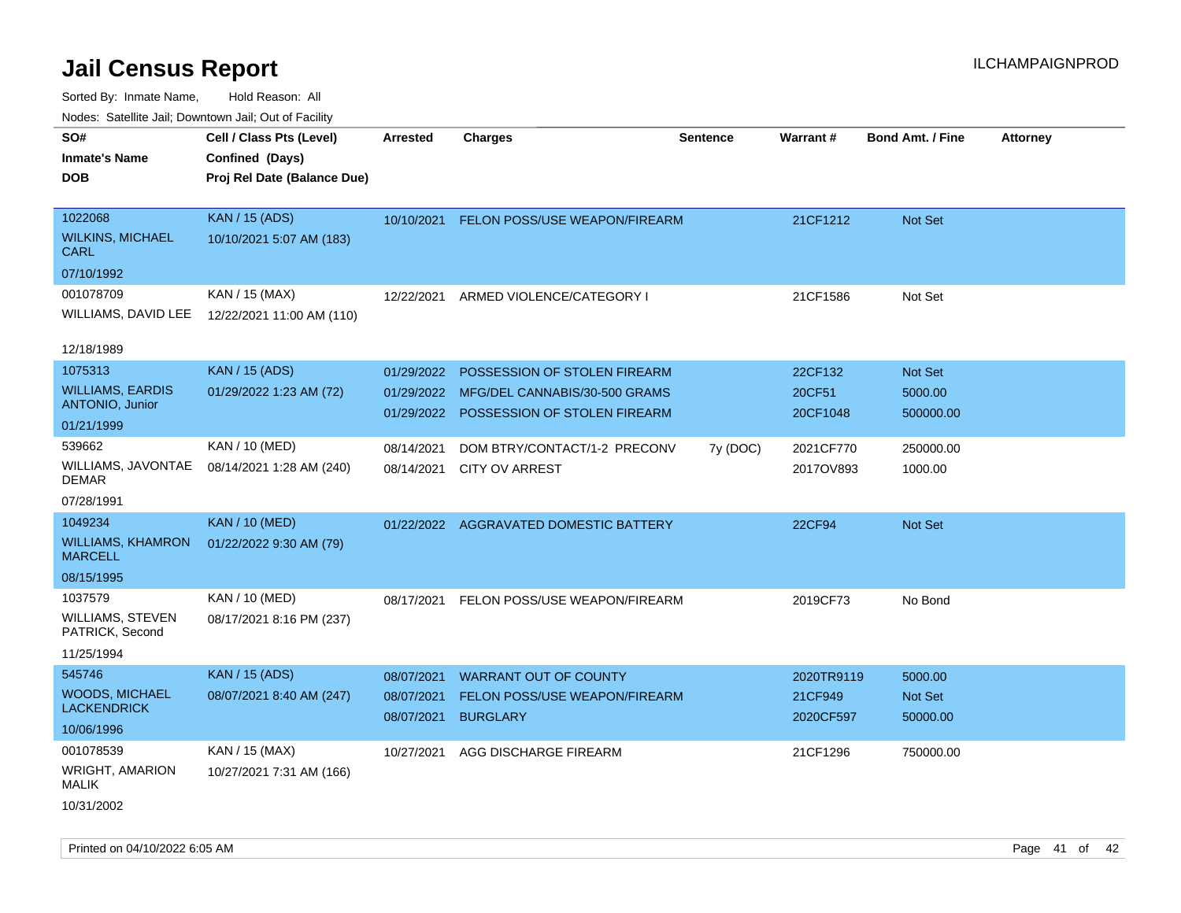| roaco. Catolino cali, Downtown cali, Out of Facility |                             |                 |                                        |                 |            |                         |                 |
|------------------------------------------------------|-----------------------------|-----------------|----------------------------------------|-----------------|------------|-------------------------|-----------------|
| SO#                                                  | Cell / Class Pts (Level)    | <b>Arrested</b> | <b>Charges</b>                         | <b>Sentence</b> | Warrant#   | <b>Bond Amt. / Fine</b> | <b>Attorney</b> |
| Inmate's Name                                        | Confined (Days)             |                 |                                        |                 |            |                         |                 |
| DOB                                                  | Proj Rel Date (Balance Due) |                 |                                        |                 |            |                         |                 |
|                                                      |                             |                 |                                        |                 |            |                         |                 |
| 1022068                                              | <b>KAN / 15 (ADS)</b>       | 10/10/2021      | FELON POSS/USE WEAPON/FIREARM          |                 | 21CF1212   | Not Set                 |                 |
| <b>WILKINS, MICHAEL</b><br>CARL                      | 10/10/2021 5:07 AM (183)    |                 |                                        |                 |            |                         |                 |
| 07/10/1992                                           |                             |                 |                                        |                 |            |                         |                 |
| 001078709                                            | KAN / 15 (MAX)              | 12/22/2021      | ARMED VIOLENCE/CATEGORY I              |                 | 21CF1586   | Not Set                 |                 |
| WILLIAMS, DAVID LEE                                  | 12/22/2021 11:00 AM (110)   |                 |                                        |                 |            |                         |                 |
|                                                      |                             |                 |                                        |                 |            |                         |                 |
| 12/18/1989                                           |                             |                 |                                        |                 |            |                         |                 |
| 1075313                                              | KAN / 15 (ADS)              | 01/29/2022      | POSSESSION OF STOLEN FIREARM           |                 | 22CF132    | Not Set                 |                 |
| <b>WILLIAMS, EARDIS</b>                              | 01/29/2022 1:23 AM (72)     | 01/29/2022      | MFG/DEL CANNABIS/30-500 GRAMS          |                 | 20CF51     | 5000.00                 |                 |
| <b>ANTONIO, Junior</b>                               |                             | 01/29/2022      | POSSESSION OF STOLEN FIREARM           |                 | 20CF1048   | 500000.00               |                 |
| 01/21/1999                                           |                             |                 |                                        |                 |            |                         |                 |
| 539662                                               | KAN / 10 (MED)              | 08/14/2021      | DOM BTRY/CONTACT/1-2 PRECONV           | 7y (DOC)        | 2021CF770  | 250000.00               |                 |
| WILLIAMS, JAVONTAE<br>DEMAR                          | 08/14/2021 1:28 AM (240)    | 08/14/2021      | <b>CITY OV ARREST</b>                  |                 | 2017OV893  | 1000.00                 |                 |
| 07/28/1991                                           |                             |                 |                                        |                 |            |                         |                 |
| 1049234                                              | <b>KAN / 10 (MED)</b>       |                 | 01/22/2022 AGGRAVATED DOMESTIC BATTERY |                 | 22CF94     | Not Set                 |                 |
| <b>WILLIAMS, KHAMRON</b><br><b>MARCELL</b>           | 01/22/2022 9:30 AM (79)     |                 |                                        |                 |            |                         |                 |
| 08/15/1995                                           |                             |                 |                                        |                 |            |                         |                 |
| 1037579                                              | KAN / 10 (MED)              | 08/17/2021      | FELON POSS/USE WEAPON/FIREARM          |                 | 2019CF73   | No Bond                 |                 |
| WILLIAMS, STEVEN<br>PATRICK, Second                  | 08/17/2021 8:16 PM (237)    |                 |                                        |                 |            |                         |                 |
| 11/25/1994                                           |                             |                 |                                        |                 |            |                         |                 |
| 545746                                               | <b>KAN / 15 (ADS)</b>       | 08/07/2021      | <b>WARRANT OUT OF COUNTY</b>           |                 | 2020TR9119 | 5000.00                 |                 |
| <b>WOODS, MICHAEL</b>                                | 08/07/2021 8:40 AM (247)    | 08/07/2021      | FELON POSS/USE WEAPON/FIREARM          |                 | 21CF949    | Not Set                 |                 |
| <b>LACKENDRICK</b>                                   |                             | 08/07/2021      | <b>BURGLARY</b>                        |                 | 2020CF597  | 50000.00                |                 |
| 10/06/1996                                           |                             |                 |                                        |                 |            |                         |                 |
| 001078539                                            | KAN / 15 (MAX)              | 10/27/2021      | AGG DISCHARGE FIREARM                  |                 | 21CF1296   | 750000.00               |                 |
| <b>WRIGHT, AMARION</b><br><b>MALIK</b>               | 10/27/2021 7:31 AM (166)    |                 |                                        |                 |            |                         |                 |
| 10/31/2002                                           |                             |                 |                                        |                 |            |                         |                 |